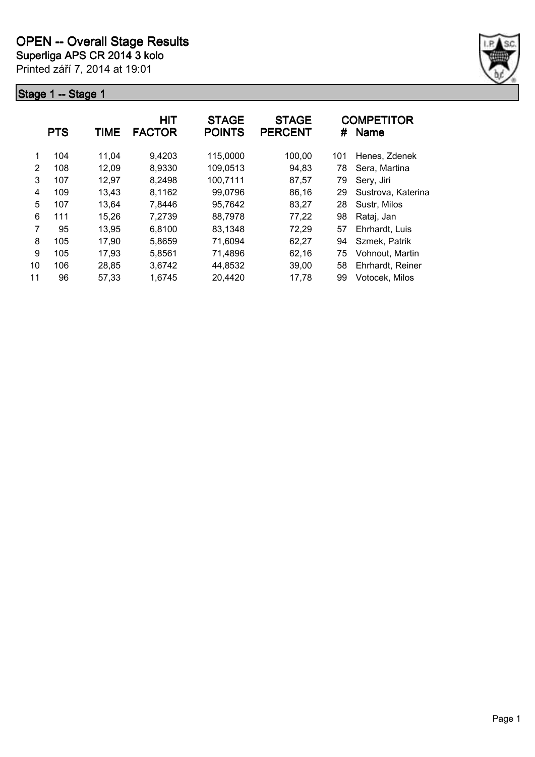

|    | <b>PTS</b> | TIME  | HIT<br><b>FACTOR</b> | <b>STAGE</b><br><b>POINTS</b> | <b>STAGE</b><br><b>PERCENT</b> | #   | <b>COMPETITOR</b><br><b>Name</b> |
|----|------------|-------|----------------------|-------------------------------|--------------------------------|-----|----------------------------------|
| 1  | 104        | 11,04 | 9,4203               | 115,0000                      | 100,00                         | 101 | Henes, Zdenek                    |
| 2  | 108        | 12,09 | 8,9330               | 109,0513                      | 94,83                          | 78  | Sera, Martina                    |
| 3  | 107        | 12,97 | 8,2498               | 100,7111                      | 87,57                          | 79  | Sery, Jiri                       |
| 4  | 109        | 13,43 | 8,1162               | 99,0796                       | 86,16                          | 29  | Sustrova, Katerina               |
| 5  | 107        | 13,64 | 7,8446               | 95,7642                       | 83,27                          | 28  | Sustr, Milos                     |
| 6  | 111        | 15,26 | 7,2739               | 88,7978                       | 77,22                          | 98  | Rataj, Jan                       |
| 7  | 95         | 13,95 | 6,8100               | 83,1348                       | 72,29                          | 57  | Ehrhardt, Luis                   |
| 8  | 105        | 17,90 | 5,8659               | 71,6094                       | 62,27                          | 94  | Szmek, Patrik                    |
| 9  | 105        | 17.93 | 5,8561               | 71,4896                       | 62,16                          | 75  | Vohnout, Martin                  |
| 10 | 106        | 28,85 | 3,6742               | 44,8532                       | 39,00                          | 58  | Ehrhardt, Reiner                 |
| 11 | 96         | 57,33 | 1,6745               | 20,4420                       | 17,78                          | 99  | Votocek, Milos                   |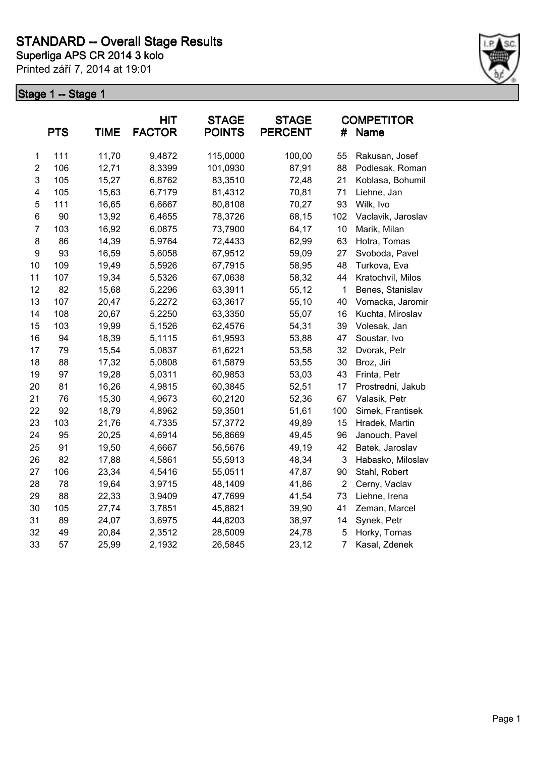

|                  | <b>PTS</b> | <b>TIME</b> | HIT<br><b>FACTOR</b> | <b>STAGE</b><br><b>POINTS</b> | <b>STAGE</b><br><b>PERCENT</b> | #              | <b>COMPETITOR</b><br>Name |
|------------------|------------|-------------|----------------------|-------------------------------|--------------------------------|----------------|---------------------------|
| 1                | 111        | 11,70       | 9,4872               | 115,0000                      | 100,00                         | 55             | Rakusan, Josef            |
| $\boldsymbol{2}$ | 106        | 12,71       | 8,3399               | 101,0930                      | 87,91                          | 88             | Podlesak, Roman           |
| 3                | 105        | 15,27       | 6,8762               | 83,3510                       | 72,48                          | 21             | Koblasa, Bohumil          |
| 4                | 105        | 15,63       | 6,7179               | 81,4312                       | 70,81                          | 71             | Liehne, Jan               |
| 5                | 111        | 16,65       | 6,6667               | 80,8108                       | 70,27                          | 93             | Wilk, Ivo                 |
| 6                | 90         | 13,92       | 6,4655               | 78,3726                       | 68,15                          | 102            | Vaclavik, Jaroslav        |
| $\overline{7}$   | 103        | 16,92       | 6,0875               | 73,7900                       | 64,17                          | 10             | Marik, Milan              |
| 8                | 86         | 14,39       | 5,9764               | 72,4433                       | 62,99                          | 63             | Hotra, Tomas              |
| $\boldsymbol{9}$ | 93         | 16,59       | 5,6058               | 67,9512                       | 59,09                          | 27             | Svoboda, Pavel            |
| 10               | 109        | 19,49       | 5,5926               | 67,7915                       | 58,95                          | 48             | Turkova, Eva              |
| 11               | 107        | 19,34       | 5,5326               | 67,0638                       | 58,32                          | 44             | Kratochvil, Milos         |
| 12               | 82         | 15,68       | 5,2296               | 63,3911                       | 55,12                          | $\mathbf{1}$   | Benes, Stanislav          |
| 13               | 107        | 20,47       | 5,2272               | 63,3617                       | 55,10                          | 40             | Vomacka, Jaromir          |
| 14               | 108        | 20,67       | 5,2250               | 63,3350                       | 55,07                          | 16             | Kuchta, Miroslav          |
| 15               | 103        | 19,99       | 5,1526               | 62,4576                       | 54,31                          | 39             | Volesak, Jan              |
| 16               | 94         | 18,39       | 5,1115               | 61,9593                       | 53,88                          | 47             | Soustar, Ivo              |
| 17               | 79         | 15,54       | 5,0837               | 61,6221                       | 53,58                          | 32             | Dvorak, Petr              |
| 18               | 88         | 17,32       | 5,0808               | 61,5879                       | 53,55                          | 30             | Broz, Jiri                |
| 19               | 97         | 19,28       | 5,0311               | 60,9853                       | 53,03                          | 43             | Frinta, Petr              |
| 20               | 81         | 16,26       | 4,9815               | 60,3845                       | 52,51                          | 17             | Prostredni, Jakub         |
| 21               | 76         | 15,30       | 4,9673               | 60,2120                       | 52,36                          | 67             | Valasik, Petr             |
| 22               | 92         | 18,79       | 4,8962               | 59,3501                       | 51,61                          | 100            | Simek, Frantisek          |
| 23               | 103        | 21,76       | 4,7335               | 57,3772                       | 49,89                          | 15             | Hradek, Martin            |
| 24               | 95         | 20,25       | 4,6914               | 56,8669                       | 49,45                          | 96             | Janouch, Pavel            |
| 25               | 91         | 19,50       | 4,6667               | 56,5676                       | 49,19                          | 42             | Batek, Jaroslav           |
| 26               | 82         | 17,88       | 4,5861               | 55,5913                       | 48,34                          | 3              | Habasko, Miloslav         |
| 27               | 106        | 23,34       | 4,5416               | 55,0511                       | 47,87                          | 90             | Stahl, Robert             |
| 28               | 78         | 19,64       | 3,9715               | 48,1409                       | 41,86                          | $\overline{2}$ | Cerny, Vaclav             |
| 29               | 88         | 22,33       | 3,9409               | 47,7699                       | 41,54                          | 73             | Liehne, Irena             |
| 30               | 105        | 27,74       | 3,7851               | 45,8821                       | 39,90                          | 41             | Zeman, Marcel             |
| 31               | 89         | 24,07       | 3,6975               | 44,8203                       | 38,97                          | 14             | Synek, Petr               |
| 32               | 49         | 20,84       | 2,3512               | 28,5009                       | 24,78                          | 5              | Horky, Tomas              |
| 33               | 57         | 25,99       | 2,1932               | 26,5845                       | 23,12                          | $\overline{7}$ | Kasal, Zdenek             |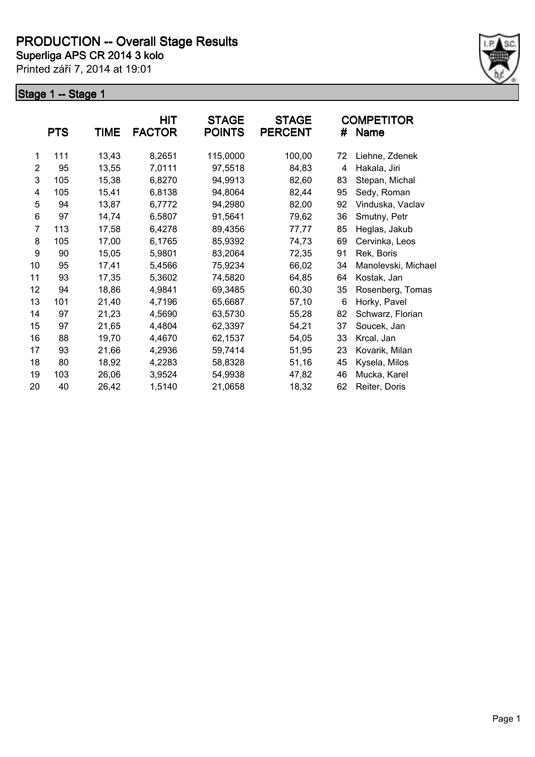

|                | <b>PTS</b> | <b>TIME</b> | <b>HIT</b><br><b>FACTOR</b> | <b>STAGE</b><br><b>POINTS</b> | <b>STAGE</b><br><b>PERCENT</b> | #  | <b>COMPETITOR</b><br>Name |
|----------------|------------|-------------|-----------------------------|-------------------------------|--------------------------------|----|---------------------------|
| 1              | 111        | 13,43       | 8,2651                      | 115,0000                      | 100,00                         | 72 | Liehne, Zdenek            |
| $\overline{2}$ | 95         | 13,55       | 7,0111                      | 97,5518                       | 84,83                          | 4  | Hakala, Jiri              |
| 3              | 105        | 15,38       | 6,8270                      | 94,9913                       | 82,60                          | 83 | Stepan, Michal            |
| 4              | 105        | 15,41       | 6,8138                      | 94,8064                       | 82,44                          | 95 | Sedy, Roman               |
| 5              | 94         | 13,87       | 6,7772                      | 94,2980                       | 82,00                          | 92 | Vinduska, Vaclav          |
| 6              | 97         | 14,74       | 6,5807                      | 91,5641                       | 79,62                          | 36 | Smutny, Petr              |
| 7              | 113        | 17,58       | 6,4278                      | 89,4356                       | 77,77                          | 85 | Heglas, Jakub             |
| 8              | 105        | 17,00       | 6,1765                      | 85,9392                       | 74,73                          | 69 | Cervinka, Leos            |
| 9              | 90         | 15,05       | 5,9801                      | 83,2064                       | 72,35                          | 91 | Rek, Boris                |
| 10             | 95         | 17,41       | 5,4566                      | 75,9234                       | 66,02                          | 34 | Manolevski, Michael       |
| 11             | 93         | 17,35       | 5,3602                      | 74,5820                       | 64,85                          | 64 | Kostak, Jan               |
| 12             | 94         | 18,86       | 4,9841                      | 69,3485                       | 60,30                          | 35 | Rosenberg, Tomas          |
| 13             | 101        | 21,40       | 4,7196                      | 65,6687                       | 57,10                          | 6  | Horky, Pavel              |
| 14             | 97         | 21,23       | 4,5690                      | 63,5730                       | 55,28                          | 82 | Schwarz, Florian          |
| 15             | 97         | 21,65       | 4,4804                      | 62,3397                       | 54,21                          | 37 | Soucek, Jan               |
| 16             | 88         | 19,70       | 4,4670                      | 62,1537                       | 54,05                          | 33 | Krcal, Jan                |
| 17             | 93         | 21,66       | 4,2936                      | 59,7414                       | 51,95                          | 23 | Kovarik, Milan            |
| 18             | 80         | 18,92       | 4,2283                      | 58,8328                       | 51,16                          | 45 | Kysela, Milos             |
| 19             | 103        | 26,06       | 3,9524                      | 54,9938                       | 47,82                          | 46 | Mucka, Karel              |
| 20             | 40         | 26,42       | 1,5140                      | 21,0658                       | 18,32                          | 62 | Reiter, Doris             |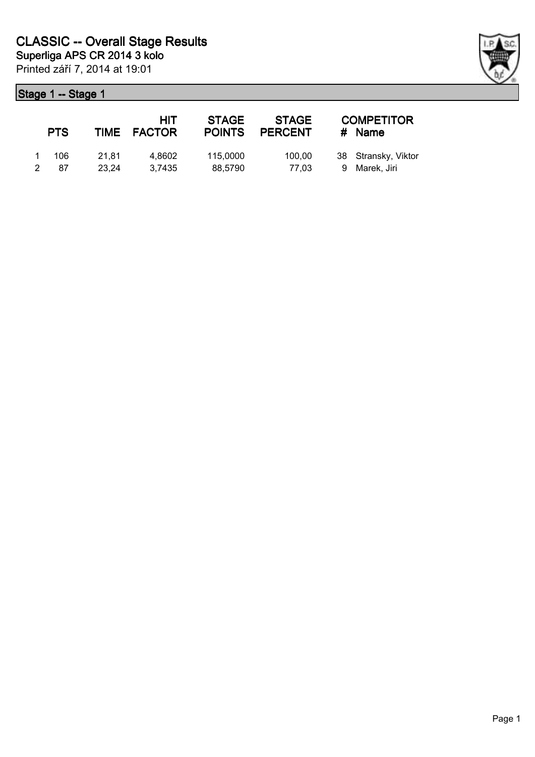|              | <b>PTS</b> |                | HIT<br>TIME FACTOR | <b>STAGE</b><br><b>POINTS</b> | <b>STAGE</b><br><b>PERCENT</b> | <b>COMPETITOR</b><br># Name          |
|--------------|------------|----------------|--------------------|-------------------------------|--------------------------------|--------------------------------------|
| $\mathbf{1}$ | 106<br>-87 | 21.81<br>23.24 | 4.8602<br>3.7435   | 115,0000<br>88,5790           | 100.00<br>77.03                | 38 Stransky, Viktor<br>9 Marek, Jiri |

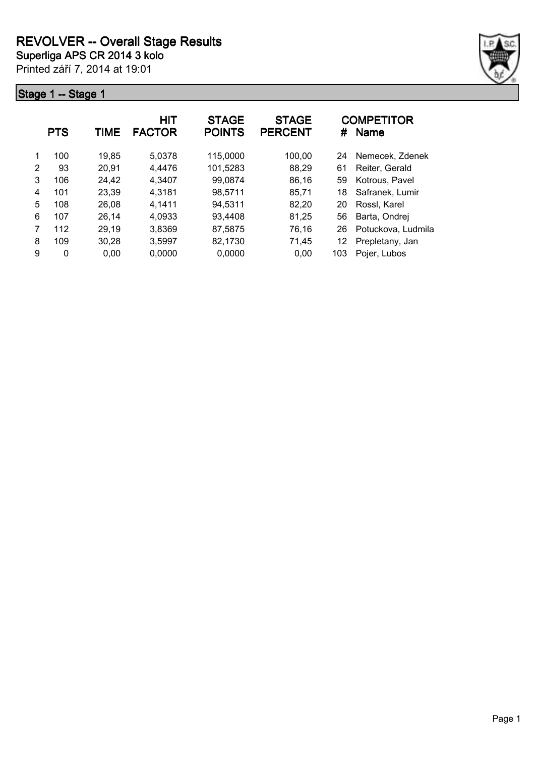

|   | <b>PTS</b> | TIME  | HIT<br><b>FACTOR</b> | <b>STAGE</b><br><b>POINTS</b> | <b>STAGE</b><br><b>PERCENT</b> | #   | <b>COMPETITOR</b><br><b>Name</b> |
|---|------------|-------|----------------------|-------------------------------|--------------------------------|-----|----------------------------------|
| 1 | 100        | 19,85 | 5,0378               | 115,0000                      | 100,00                         | 24  | Nemecek. Zdenek                  |
| 2 | 93         | 20,91 | 4,4476               | 101,5283                      | 88,29                          | 61  | Reiter, Gerald                   |
| 3 | 106        | 24,42 | 4,3407               | 99,0874                       | 86,16                          | 59  | Kotrous, Pavel                   |
| 4 | 101        | 23,39 | 4,3181               | 98,5711                       | 85,71                          | 18  | Safranek, Lumir                  |
| 5 | 108        | 26,08 | 4,1411               | 94,5311                       | 82,20                          | 20  | Rossl, Karel                     |
| 6 | 107        | 26,14 | 4,0933               | 93,4408                       | 81,25                          | 56  | Barta, Ondrej                    |
|   | 112        | 29,19 | 3,8369               | 87,5875                       | 76,16                          | 26  | Potuckova, Ludmila               |
| 8 | 109        | 30,28 | 3,5997               | 82,1730                       | 71,45                          | 12  | Prepletany, Jan                  |
| 9 | 0          | 0.00  | 0,0000               | 0,0000                        | 0.00                           | 103 | Pojer, Lubos                     |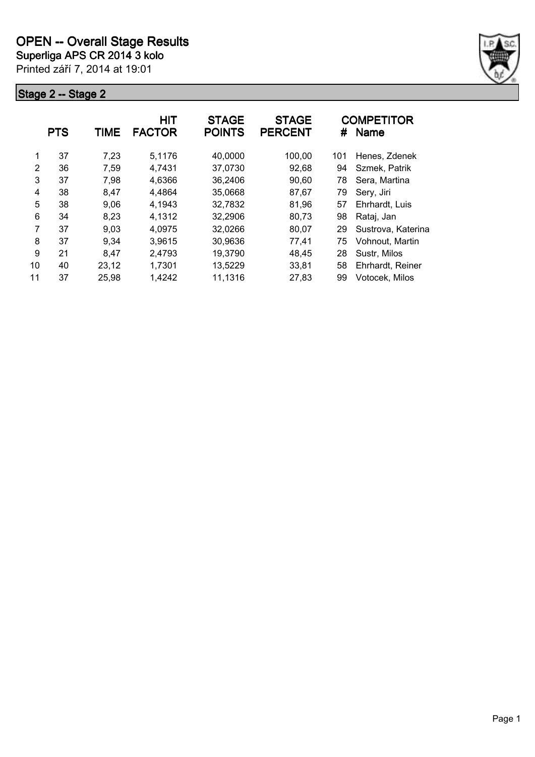

|    | <b>PTS</b> | TIME  | HIT<br><b>FACTOR</b> | <b>STAGE</b><br><b>POINTS</b> | <b>STAGE</b><br><b>PERCENT</b> | #   | <b>COMPETITOR</b><br><b>Name</b> |
|----|------------|-------|----------------------|-------------------------------|--------------------------------|-----|----------------------------------|
| 1  | 37         | 7,23  | 5,1176               | 40,0000                       | 100,00                         | 101 | Henes, Zdenek                    |
| 2  | 36         | 7,59  | 4,7431               | 37,0730                       | 92,68                          | 94  | Szmek, Patrik                    |
| 3  | 37         | 7,98  | 4,6366               | 36,2406                       | 90,60                          | 78  | Sera, Martina                    |
| 4  | 38         | 8,47  | 4,4864               | 35,0668                       | 87,67                          | 79  | Sery, Jiri                       |
| 5  | 38         | 9,06  | 4,1943               | 32,7832                       | 81,96                          | 57  | Ehrhardt, Luis                   |
| 6  | 34         | 8,23  | 4,1312               | 32,2906                       | 80,73                          | 98  | Rataj, Jan                       |
| 7  | 37         | 9,03  | 4,0975               | 32,0266                       | 80,07                          | 29  | Sustrova, Katerina               |
| 8  | 37         | 9,34  | 3,9615               | 30,9636                       | 77,41                          | 75  | Vohnout, Martin                  |
| 9  | 21         | 8.47  | 2,4793               | 19,3790                       | 48,45                          | 28  | Sustr, Milos                     |
| 10 | 40         | 23,12 | 1,7301               | 13,5229                       | 33,81                          | 58  | Ehrhardt, Reiner                 |
| 11 | 37         | 25,98 | 1,4242               | 11,1316                       | 27,83                          | 99  | Votocek, Milos                   |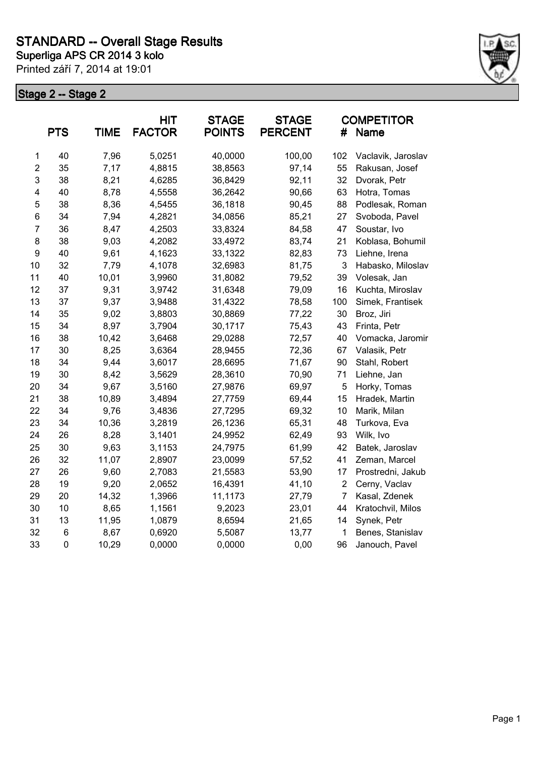

|                         | <b>PTS</b> | <b>TIME</b> | <b>HIT</b><br><b>FACTOR</b> | <b>STAGE</b><br><b>POINTS</b> | <b>STAGE</b><br><b>PERCENT</b> | #              | <b>COMPETITOR</b><br><b>Name</b> |
|-------------------------|------------|-------------|-----------------------------|-------------------------------|--------------------------------|----------------|----------------------------------|
| $\mathbf 1$             | 40         | 7,96        | 5,0251                      | 40,0000                       | 100,00                         | 102            | Vaclavik, Jaroslav               |
| $\boldsymbol{2}$        | 35         | 7,17        | 4,8815                      | 38,8563                       | 97,14                          | 55             | Rakusan, Josef                   |
| $\mathsf 3$             | 38         | 8,21        | 4,6285                      | 36,8429                       | 92,11                          | 32             | Dvorak, Petr                     |
| $\overline{\mathbf{4}}$ | 40         | 8,78        | 4,5558                      | 36,2642                       | 90,66                          | 63             | Hotra, Tomas                     |
| 5                       | 38         | 8,36        | 4,5455                      | 36,1818                       | 90,45                          | 88             | Podlesak, Roman                  |
| $\,6$                   | 34         | 7,94        | 4,2821                      | 34,0856                       | 85,21                          | 27             | Svoboda, Pavel                   |
| $\overline{7}$          | 36         | 8,47        | 4,2503                      | 33,8324                       | 84,58                          | 47             | Soustar, Ivo                     |
| 8                       | 38         | 9,03        | 4,2082                      | 33,4972                       | 83,74                          | 21             | Koblasa, Bohumil                 |
| 9                       | 40         | 9,61        | 4,1623                      | 33,1322                       | 82,83                          | 73             | Liehne, Irena                    |
| 10                      | 32         | 7,79        | 4,1078                      | 32,6983                       | 81,75                          | 3              | Habasko, Miloslav                |
| 11                      | 40         | 10,01       | 3,9960                      | 31,8082                       | 79,52                          | 39             | Volesak, Jan                     |
| 12                      | 37         | 9,31        | 3,9742                      | 31,6348                       | 79,09                          | 16             | Kuchta, Miroslav                 |
| 13                      | 37         | 9,37        | 3,9488                      | 31,4322                       | 78,58                          | 100            | Simek, Frantisek                 |
| 14                      | 35         | 9,02        | 3,8803                      | 30,8869                       | 77,22                          | 30             | Broz, Jiri                       |
| 15                      | 34         | 8,97        | 3,7904                      | 30,1717                       | 75,43                          | 43             | Frinta, Petr                     |
| 16                      | 38         | 10,42       | 3,6468                      | 29,0288                       | 72,57                          | 40             | Vomacka, Jaromir                 |
| 17                      | 30         | 8,25        | 3,6364                      | 28,9455                       | 72,36                          | 67             | Valasik, Petr                    |
| 18                      | 34         | 9,44        | 3,6017                      | 28,6695                       | 71,67                          | 90             | Stahl, Robert                    |
| 19                      | 30         | 8,42        | 3,5629                      | 28,3610                       | 70,90                          | 71             | Liehne, Jan                      |
| 20                      | 34         | 9,67        | 3,5160                      | 27,9876                       | 69,97                          | 5              | Horky, Tomas                     |
| 21                      | 38         | 10,89       | 3,4894                      | 27,7759                       | 69,44                          | 15             | Hradek, Martin                   |
| 22                      | 34         | 9,76        | 3,4836                      | 27,7295                       | 69,32                          | 10             | Marik, Milan                     |
| 23                      | 34         | 10,36       | 3,2819                      | 26,1236                       | 65,31                          | 48             | Turkova, Eva                     |
| 24                      | 26         | 8,28        | 3,1401                      | 24,9952                       | 62,49                          | 93             | Wilk, Ivo                        |
| 25                      | 30         | 9,63        | 3,1153                      | 24,7975                       | 61,99                          | 42             | Batek, Jaroslav                  |
| 26                      | 32         | 11,07       | 2,8907                      | 23,0099                       | 57,52                          | 41             | Zeman, Marcel                    |
| 27                      | 26         | 9,60        | 2,7083                      | 21,5583                       | 53,90                          | 17             | Prostredni, Jakub                |
| 28                      | 19         | 9,20        | 2,0652                      | 16,4391                       | 41,10                          | $\overline{2}$ | Cerny, Vaclav                    |
| 29                      | 20         | 14,32       | 1,3966                      | 11,1173                       | 27,79                          | $\overline{7}$ | Kasal, Zdenek                    |
| 30                      | 10         | 8,65        | 1,1561                      | 9,2023                        | 23,01                          | 44             | Kratochvil, Milos                |
| 31                      | 13         | 11,95       | 1,0879                      | 8,6594                        | 21,65                          | 14             | Synek, Petr                      |
| 32                      | 6          | 8,67        | 0,6920                      | 5,5087                        | 13,77                          | 1              | Benes, Stanislav                 |
| 33                      | 0          | 10,29       | 0,0000                      | 0,0000                        | 0,00                           | 96             | Janouch, Pavel                   |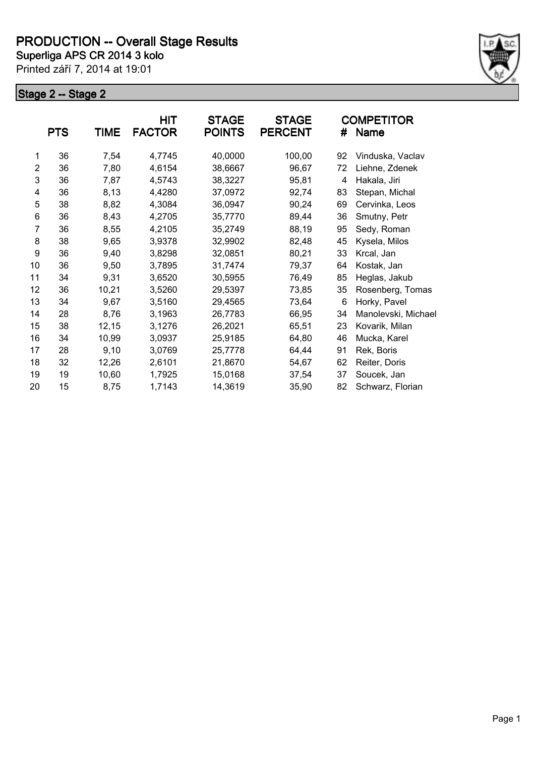

|                | <b>PTS</b> | <b>TIME</b> | HIT<br><b>FACTOR</b> | <b>STAGE</b><br><b>POINTS</b> | <b>STAGE</b><br><b>PERCENT</b> | #  | <b>COMPETITOR</b><br>Name |
|----------------|------------|-------------|----------------------|-------------------------------|--------------------------------|----|---------------------------|
| 1              | 36         | 7,54        | 4,7745               | 40,0000                       | 100,00                         | 92 | Vinduska, Vaclav          |
| $\overline{2}$ | 36         | 7,80        | 4,6154               | 38,6667                       | 96,67                          | 72 | Liehne, Zdenek            |
| 3              | 36         | 7,87        | 4,5743               | 38,3227                       | 95,81                          | 4  | Hakala, Jiri              |
| 4              | 36         | 8,13        | 4,4280               | 37,0972                       | 92,74                          | 83 | Stepan, Michal            |
| 5              | 38         | 8,82        | 4,3084               | 36,0947                       | 90,24                          | 69 | Cervinka, Leos            |
| 6              | 36         | 8,43        | 4,2705               | 35,7770                       | 89,44                          | 36 | Smutny, Petr              |
| 7              | 36         | 8,55        | 4,2105               | 35,2749                       | 88,19                          | 95 | Sedy, Roman               |
| 8              | 38         | 9,65        | 3,9378               | 32,9902                       | 82,48                          | 45 | Kysela, Milos             |
| 9              | 36         | 9,40        | 3,8298               | 32,0851                       | 80,21                          | 33 | Krcal, Jan                |
| 10             | 36         | 9,50        | 3,7895               | 31,7474                       | 79,37                          | 64 | Kostak, Jan               |
| 11             | 34         | 9,31        | 3,6520               | 30,5955                       | 76,49                          | 85 | Heglas, Jakub             |
| 12             | 36         | 10,21       | 3,5260               | 29,5397                       | 73,85                          | 35 | Rosenberg, Tomas          |
| 13             | 34         | 9,67        | 3,5160               | 29,4565                       | 73,64                          | 6  | Horky, Pavel              |
| 14             | 28         | 8,76        | 3,1963               | 26,7783                       | 66,95                          | 34 | Manolevski, Michael       |
| 15             | 38         | 12,15       | 3,1276               | 26,2021                       | 65,51                          | 23 | Kovarik, Milan            |
| 16             | 34         | 10,99       | 3,0937               | 25,9185                       | 64,80                          | 46 | Mucka, Karel              |
| 17             | 28         | 9,10        | 3,0769               | 25,7778                       | 64,44                          | 91 | Rek, Boris                |
| 18             | 32         | 12,26       | 2,6101               | 21,8670                       | 54,67                          | 62 | Reiter, Doris             |
| 19             | 19         | 10,60       | 1,7925               | 15,0168                       | 37,54                          | 37 | Soucek, Jan               |
| 20             | 15         | 8,75        | 1,7143               | 14,3619                       | 35,90                          | 82 | Schwarz, Florian          |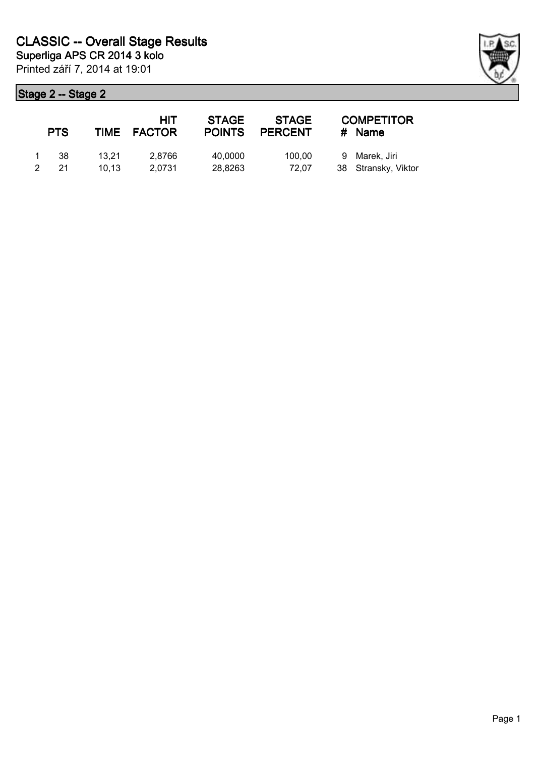| <b>PTS</b> |       | HIT<br>TIME FACTOR | <b>STAGE</b><br><b>POINTS</b> | <b>STAGE</b><br><b>PERCENT</b> | <b>COMPETITOR</b><br># Name |
|------------|-------|--------------------|-------------------------------|--------------------------------|-----------------------------|
| -38        | 13.21 | 2.8766             | 40,0000                       | 100.00                         | 9 Marek, Jiri               |
| 21         | 10.13 | 2.0731             | 28,8263                       | 72.07                          | 38 Stransky, Viktor         |

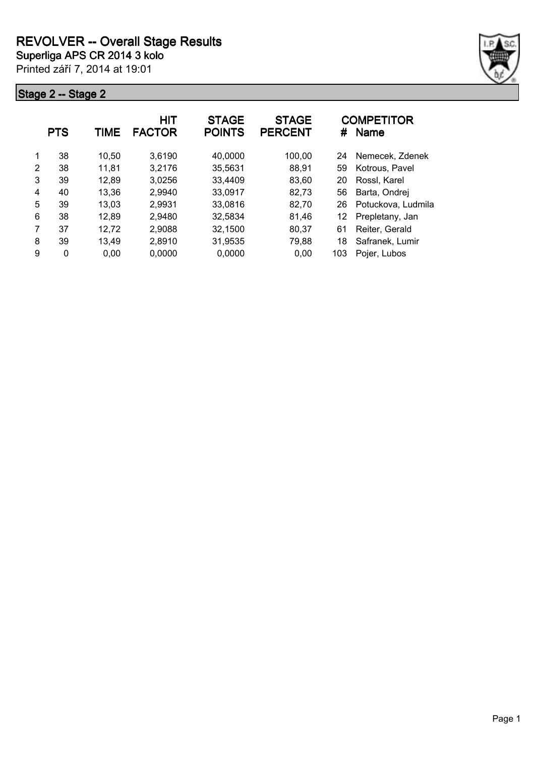

|   | <b>PTS</b> | TIME  | HIT<br><b>FACTOR</b> | <b>STAGE</b><br><b>POINTS</b> | <b>STAGE</b><br><b>PERCENT</b> | #   | <b>COMPETITOR</b><br><b>Name</b> |
|---|------------|-------|----------------------|-------------------------------|--------------------------------|-----|----------------------------------|
| 1 | 38         | 10,50 | 3,6190               | 40,0000                       | 100,00                         | 24  | Nemecek, Zdenek                  |
| 2 | 38         | 11,81 | 3,2176               | 35,5631                       | 88,91                          | 59  | Kotrous, Pavel                   |
| 3 | 39         | 12,89 | 3,0256               | 33,4409                       | 83,60                          | 20  | Rossl, Karel                     |
| 4 | 40         | 13,36 | 2,9940               | 33,0917                       | 82,73                          | 56  | Barta, Ondrej                    |
| 5 | 39         | 13,03 | 2,9931               | 33,0816                       | 82,70                          | 26  | Potuckova, Ludmila               |
| 6 | 38         | 12,89 | 2,9480               | 32,5834                       | 81,46                          | 12  | Prepletany, Jan                  |
| 7 | 37         | 12,72 | 2,9088               | 32,1500                       | 80,37                          | 61  | Reiter, Gerald                   |
| 8 | 39         | 13,49 | 2,8910               | 31,9535                       | 79,88                          | 18  | Safranek, Lumir                  |
| 9 | 0          | 0,00  | 0,0000               | 0,0000                        | 0,00                           | 103 | Pojer, Lubos                     |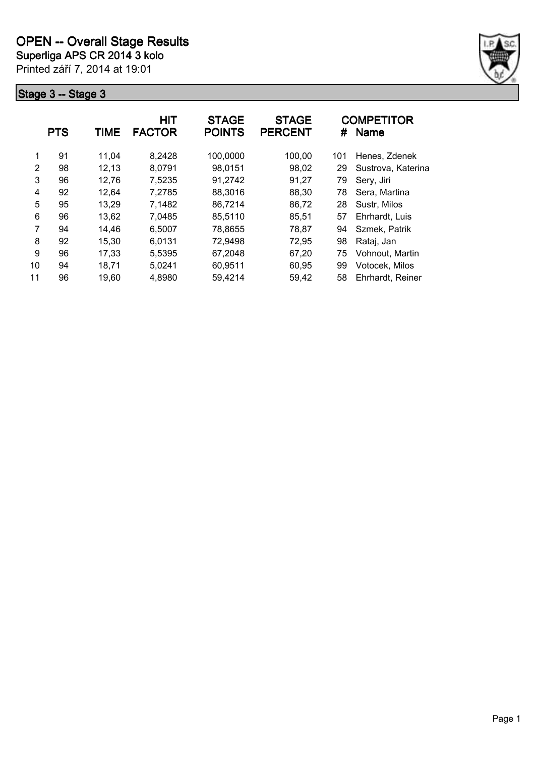

|                | <b>PTS</b> | TIME  | <b>HIT</b><br><b>FACTOR</b> | <b>STAGE</b><br><b>POINTS</b> | <b>STAGE</b><br><b>PERCENT</b> | #   | <b>COMPETITOR</b><br><b>Name</b> |
|----------------|------------|-------|-----------------------------|-------------------------------|--------------------------------|-----|----------------------------------|
| 1              | 91         | 11,04 | 8.2428                      | 100,0000                      | 100,00                         | 101 | Henes, Zdenek                    |
| 2              | 98         | 12,13 | 8,0791                      | 98,0151                       | 98,02                          | 29  | Sustrova, Katerina               |
| 3              | 96         | 12,76 | 7,5235                      | 91,2742                       | 91,27                          | 79  | Sery, Jiri                       |
| 4              | 92         | 12,64 | 7,2785                      | 88,3016                       | 88,30                          | 78  | Sera, Martina                    |
| 5              | 95         | 13,29 | 7,1482                      | 86,7214                       | 86,72                          | 28  | Sustr, Milos                     |
| 6              | 96         | 13,62 | 7,0485                      | 85,5110                       | 85,51                          | 57  | Ehrhardt, Luis                   |
| $\overline{7}$ | 94         | 14,46 | 6,5007                      | 78,8655                       | 78,87                          | 94  | Szmek, Patrik                    |
| 8              | 92         | 15,30 | 6,0131                      | 72,9498                       | 72,95                          | 98  | Rataj, Jan                       |
| 9              | 96         | 17,33 | 5,5395                      | 67,2048                       | 67,20                          | 75  | Vohnout, Martin                  |
| 10             | 94         | 18,71 | 5,0241                      | 60,9511                       | 60,95                          | 99  | Votocek, Milos                   |
| 11             | 96         | 19,60 | 4,8980                      | 59,4214                       | 59,42                          | 58  | Ehrhardt, Reiner                 |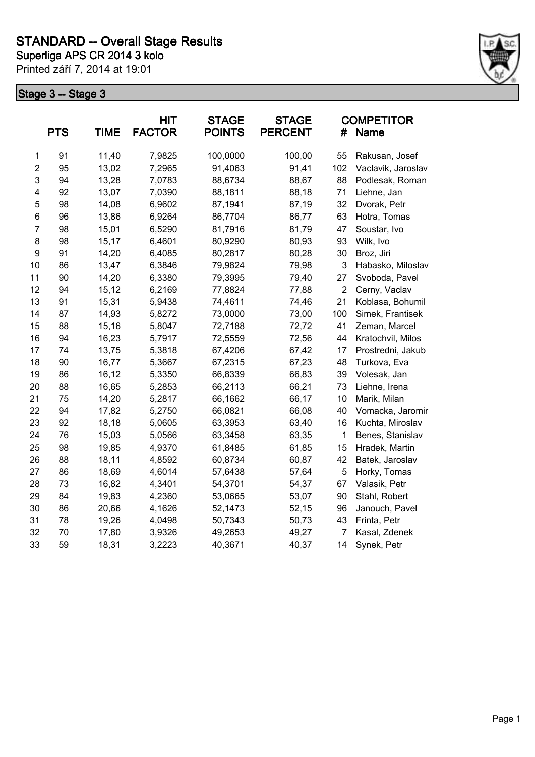

|                         | <b>PTS</b> | <b>TIME</b> | HIT<br><b>FACTOR</b> | <b>STAGE</b><br><b>POINTS</b> | <b>STAGE</b><br><b>PERCENT</b> | #              | <b>COMPETITOR</b><br><b>Name</b> |
|-------------------------|------------|-------------|----------------------|-------------------------------|--------------------------------|----------------|----------------------------------|
| $\mathbf 1$             | 91         | 11,40       | 7,9825               | 100,0000                      | 100,00                         | 55             | Rakusan, Josef                   |
| $\overline{c}$          | 95         | 13,02       | 7,2965               | 91,4063                       | 91,41                          | 102            | Vaclavik, Jaroslav               |
| 3                       | 94         | 13,28       | 7,0783               | 88,6734                       | 88,67                          | 88             | Podlesak, Roman                  |
| $\overline{\mathbf{4}}$ | 92         | 13,07       | 7,0390               | 88,1811                       | 88,18                          | 71             | Liehne, Jan                      |
| 5                       | 98         | 14,08       | 6,9602               | 87,1941                       | 87,19                          | 32             | Dvorak, Petr                     |
| $\,6$                   | 96         | 13,86       | 6,9264               | 86,7704                       | 86,77                          | 63             | Hotra, Tomas                     |
| $\overline{7}$          | 98         | 15,01       | 6,5290               | 81,7916                       | 81,79                          | 47             | Soustar, Ivo                     |
| 8                       | 98         | 15,17       | 6,4601               | 80,9290                       | 80,93                          | 93             | Wilk, Ivo                        |
| 9                       | 91         | 14,20       | 6,4085               | 80,2817                       | 80,28                          | 30             | Broz, Jiri                       |
| 10                      | 86         | 13,47       | 6,3846               | 79,9824                       | 79,98                          | 3              | Habasko, Miloslav                |
| 11                      | 90         | 14,20       | 6,3380               | 79,3995                       | 79,40                          | 27             | Svoboda, Pavel                   |
| 12                      | 94         | 15,12       | 6,2169               | 77,8824                       | 77,88                          | $\overline{2}$ | Cerny, Vaclav                    |
| 13                      | 91         | 15,31       | 5,9438               | 74,4611                       | 74,46                          | 21             | Koblasa, Bohumil                 |
| 14                      | 87         | 14,93       | 5,8272               | 73,0000                       | 73,00                          | 100            | Simek, Frantisek                 |
| 15                      | 88         | 15,16       | 5,8047               | 72,7188                       | 72,72                          | 41             | Zeman, Marcel                    |
| 16                      | 94         | 16,23       | 5,7917               | 72,5559                       | 72,56                          | 44             | Kratochvil, Milos                |
| 17                      | 74         | 13,75       | 5,3818               | 67,4206                       | 67,42                          | 17             | Prostredni, Jakub                |
| 18                      | 90         | 16,77       | 5,3667               | 67,2315                       | 67,23                          | 48             | Turkova, Eva                     |
| 19                      | 86         | 16,12       | 5,3350               | 66,8339                       | 66,83                          | 39             | Volesak, Jan                     |
| 20                      | 88         | 16,65       | 5,2853               | 66,2113                       | 66,21                          | 73             | Liehne, Irena                    |
| 21                      | 75         | 14,20       | 5,2817               | 66,1662                       | 66,17                          | 10             | Marik, Milan                     |
| 22                      | 94         | 17,82       | 5,2750               | 66,0821                       | 66,08                          | 40             | Vomacka, Jaromir                 |
| 23                      | 92         | 18,18       | 5,0605               | 63,3953                       | 63,40                          | 16             | Kuchta, Miroslav                 |
| 24                      | 76         | 15,03       | 5,0566               | 63,3458                       | 63,35                          | 1              | Benes, Stanislav                 |
| 25                      | 98         | 19,85       | 4,9370               | 61,8485                       | 61,85                          | 15             | Hradek, Martin                   |
| 26                      | 88         | 18,11       | 4,8592               | 60,8734                       | 60,87                          | 42             | Batek, Jaroslav                  |
| 27                      | 86         | 18,69       | 4,6014               | 57,6438                       | 57,64                          | 5              | Horky, Tomas                     |
| 28                      | 73         | 16,82       | 4,3401               | 54,3701                       | 54,37                          | 67             | Valasik, Petr                    |
| 29                      | 84         | 19,83       | 4,2360               | 53,0665                       | 53,07                          | 90             | Stahl, Robert                    |
| 30                      | 86         | 20,66       | 4,1626               | 52,1473                       | 52,15                          | 96             | Janouch, Pavel                   |
| 31                      | 78         | 19,26       | 4,0498               | 50,7343                       | 50,73                          | 43             | Frinta, Petr                     |
| 32                      | 70         | 17,80       | 3,9326               | 49,2653                       | 49,27                          | 7              | Kasal, Zdenek                    |
| 33                      | 59         | 18,31       | 3,2223               | 40,3671                       | 40,37                          | 14             | Synek, Petr                      |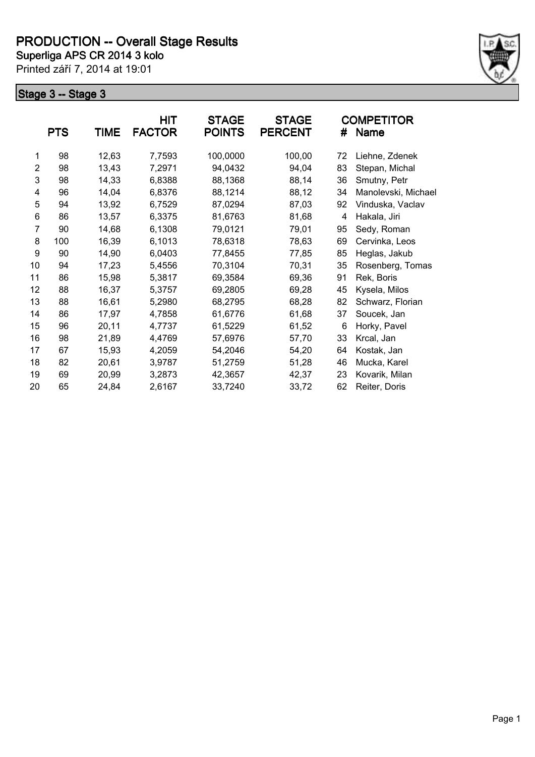

|                | <b>PTS</b> | <b>TIME</b> | <b>HIT</b><br><b>FACTOR</b> | <b>STAGE</b><br><b>POINTS</b> | <b>STAGE</b><br><b>PERCENT</b> | #  | <b>COMPETITOR</b><br><b>Name</b> |
|----------------|------------|-------------|-----------------------------|-------------------------------|--------------------------------|----|----------------------------------|
| 1              | 98         | 12,63       | 7,7593                      | 100,0000                      | 100,00                         | 72 | Liehne, Zdenek                   |
| $\overline{2}$ | 98         | 13,43       | 7,2971                      | 94,0432                       | 94,04                          | 83 | Stepan, Michal                   |
| 3              | 98         | 14,33       | 6,8388                      | 88,1368                       | 88,14                          | 36 | Smutny, Petr                     |
| 4              | 96         | 14,04       | 6,8376                      | 88,1214                       | 88,12                          | 34 | Manolevski, Michael              |
| 5              | 94         | 13,92       | 6,7529                      | 87,0294                       | 87,03                          | 92 | Vinduska, Vaclav                 |
| 6              | 86         | 13,57       | 6,3375                      | 81,6763                       | 81,68                          | 4  | Hakala, Jiri                     |
| 7              | 90         | 14,68       | 6,1308                      | 79,0121                       | 79,01                          | 95 | Sedy, Roman                      |
| 8              | 100        | 16,39       | 6,1013                      | 78,6318                       | 78,63                          | 69 | Cervinka, Leos                   |
| 9              | 90         | 14,90       | 6,0403                      | 77,8455                       | 77,85                          | 85 | Heglas, Jakub                    |
| 10             | 94         | 17,23       | 5,4556                      | 70,3104                       | 70,31                          | 35 | Rosenberg, Tomas                 |
| 11             | 86         | 15,98       | 5,3817                      | 69,3584                       | 69,36                          | 91 | Rek, Boris                       |
| 12             | 88         | 16,37       | 5,3757                      | 69,2805                       | 69,28                          | 45 | Kysela, Milos                    |
| 13             | 88         | 16,61       | 5,2980                      | 68,2795                       | 68,28                          | 82 | Schwarz, Florian                 |
| 14             | 86         | 17,97       | 4,7858                      | 61,6776                       | 61,68                          | 37 | Soucek, Jan                      |
| 15             | 96         | 20,11       | 4,7737                      | 61,5229                       | 61,52                          | 6  | Horky, Pavel                     |
| 16             | 98         | 21,89       | 4,4769                      | 57,6976                       | 57,70                          | 33 | Krcal, Jan                       |
| 17             | 67         | 15,93       | 4,2059                      | 54,2046                       | 54,20                          | 64 | Kostak, Jan                      |
| 18             | 82         | 20,61       | 3,9787                      | 51,2759                       | 51,28                          | 46 | Mucka, Karel                     |
| 19             | 69         | 20,99       | 3,2873                      | 42,3657                       | 42,37                          | 23 | Kovarik, Milan                   |
| 20             | 65         | 24,84       | 2,6167                      | 33,7240                       | 33,72                          | 62 | Reiter, Doris                    |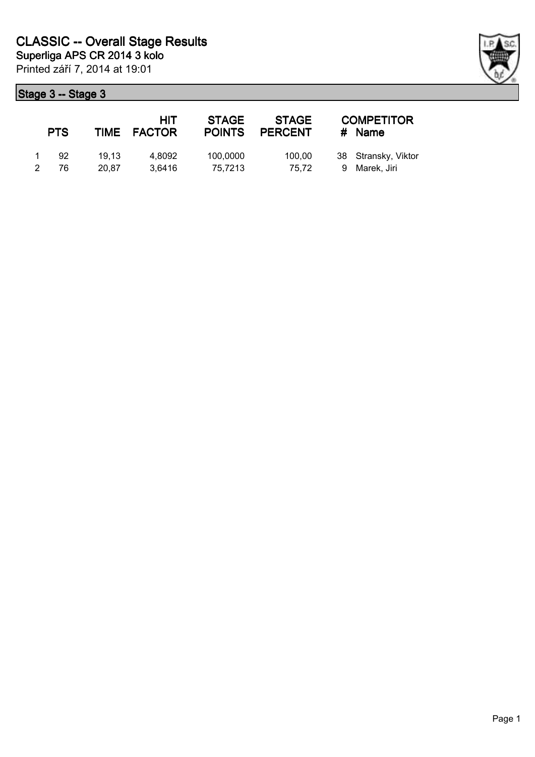| <b>PTS</b> |                | HIT<br>TIME FACTOR | <b>STAGE</b><br><b>POINTS</b> | <b>STAGE</b><br><b>PERCENT</b> | <b>COMPETITOR</b><br># Name          |
|------------|----------------|--------------------|-------------------------------|--------------------------------|--------------------------------------|
| 92<br>76   | 19.13<br>20.87 | 4.8092<br>3.6416   | 100,0000<br>75,7213           | 100.00<br>75.72                | 38 Stransky, Viktor<br>9 Marek, Jiri |

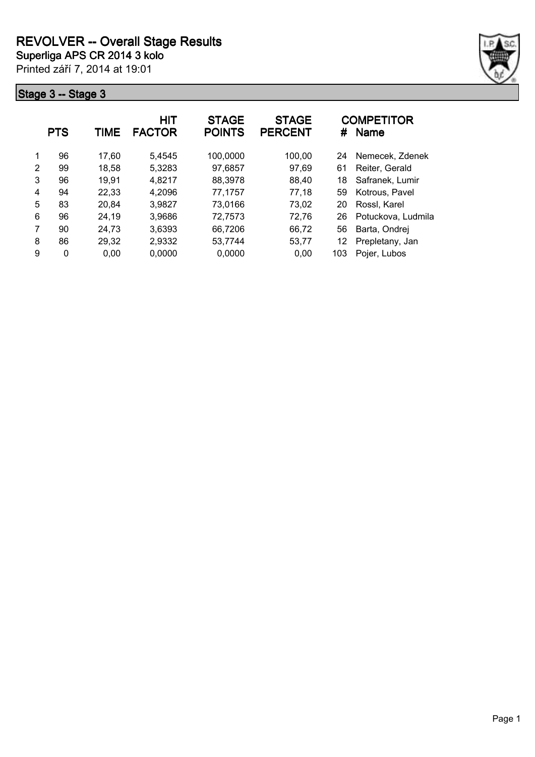

|   | <b>PTS</b> | TIME  | <b>HIT</b><br><b>FACTOR</b> | <b>STAGE</b><br><b>POINTS</b> | <b>STAGE</b><br><b>PERCENT</b> | #   | <b>COMPETITOR</b><br><b>Name</b> |
|---|------------|-------|-----------------------------|-------------------------------|--------------------------------|-----|----------------------------------|
| 1 | 96         | 17,60 | 5.4545                      | 100,0000                      | 100,00                         | 24  | Nemecek, Zdenek                  |
| 2 | 99         | 18,58 | 5,3283                      | 97,6857                       | 97,69                          | 61  | Reiter, Gerald                   |
| 3 | 96         | 19,91 | 4,8217                      | 88,3978                       | 88.40                          | 18  | Safranek, Lumir                  |
| 4 | 94         | 22,33 | 4,2096                      | 77,1757                       | 77,18                          | 59  | Kotrous, Pavel                   |
| 5 | 83         | 20,84 | 3,9827                      | 73,0166                       | 73,02                          | 20  | Rossl, Karel                     |
| 6 | 96         | 24,19 | 3,9686                      | 72,7573                       | 72,76                          | 26  | Potuckova, Ludmila               |
| 7 | 90         | 24,73 | 3,6393                      | 66,7206                       | 66,72                          | 56  | Barta, Ondrej                    |
| 8 | 86         | 29,32 | 2,9332                      | 53,7744                       | 53,77                          | 12  | Prepletany, Jan                  |
| 9 | 0          | 0,00  | 0,0000                      | 0,0000                        | 0.00                           | 103 | Pojer, Lubos                     |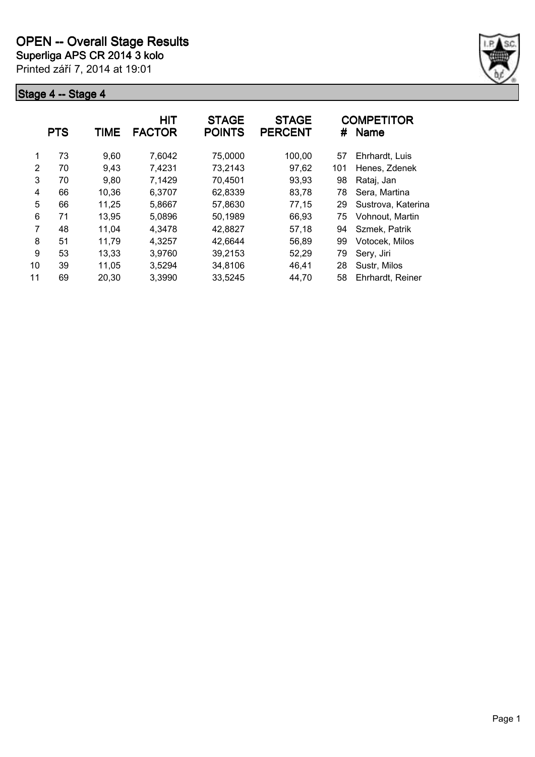

|    | <b>PTS</b> | TIME  | HIT<br><b>FACTOR</b> | <b>STAGE</b><br><b>POINTS</b> | <b>STAGE</b><br><b>PERCENT</b> | #   | <b>COMPETITOR</b><br><b>Name</b> |
|----|------------|-------|----------------------|-------------------------------|--------------------------------|-----|----------------------------------|
| 1  | 73         | 9,60  | 7,6042               | 75,0000                       | 100,00                         | 57  | Ehrhardt, Luis                   |
| 2  | 70         | 9,43  | 7,4231               | 73,2143                       | 97,62                          | 101 | Henes, Zdenek                    |
| 3  | 70         | 9,80  | 7,1429               | 70,4501                       | 93,93                          | 98  | Rataj, Jan                       |
| 4  | 66         | 10,36 | 6,3707               | 62,8339                       | 83,78                          | 78  | Sera, Martina                    |
| 5  | 66         | 11,25 | 5,8667               | 57,8630                       | 77,15                          | 29  | Sustrova, Katerina               |
| 6  | 71         | 13,95 | 5,0896               | 50,1989                       | 66,93                          | 75  | Vohnout, Martin                  |
| 7  | 48         | 11,04 | 4,3478               | 42,8827                       | 57,18                          | 94  | Szmek, Patrik                    |
| 8  | 51         | 11,79 | 4,3257               | 42,6644                       | 56,89                          | 99  | Votocek, Milos                   |
| 9  | 53         | 13,33 | 3.9760               | 39,2153                       | 52,29                          | 79  | Sery, Jiri                       |
| 10 | 39         | 11,05 | 3,5294               | 34,8106                       | 46,41                          | 28  | Sustr, Milos                     |
| 11 | 69         | 20,30 | 3,3990               | 33,5245                       | 44,70                          | 58  | Ehrhardt, Reiner                 |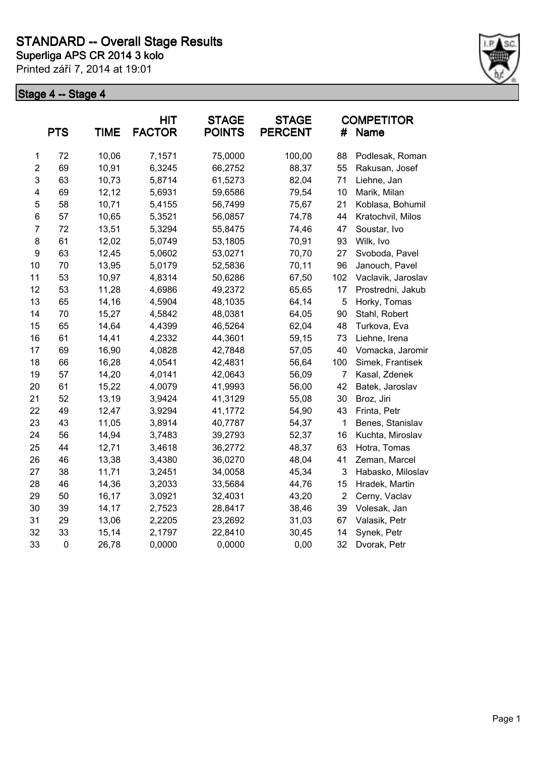

|                | <b>PTS</b>  | <b>TIME</b> | HIT<br><b>FACTOR</b> | <b>STAGE</b><br><b>POINTS</b> | <b>STAGE</b><br><b>PERCENT</b> | #              | <b>COMPETITOR</b><br><b>Name</b> |
|----------------|-------------|-------------|----------------------|-------------------------------|--------------------------------|----------------|----------------------------------|
| 1              | 72          | 10,06       | 7,1571               | 75,0000                       | 100,00                         | 88             | Podlesak, Roman                  |
| $\overline{2}$ | 69          | 10,91       | 6,3245               | 66,2752                       | 88,37                          | 55             | Rakusan, Josef                   |
| 3              | 63          | 10,73       | 5,8714               | 61,5273                       | 82,04                          | 71             | Liehne, Jan                      |
| 4              | 69          | 12,12       | 5,6931               | 59,6586                       | 79,54                          | 10             | Marik, Milan                     |
| 5              | 58          | 10,71       | 5,4155               | 56,7499                       | 75,67                          | 21             | Koblasa, Bohumil                 |
| 6              | 57          | 10,65       | 5,3521               | 56,0857                       | 74,78                          | 44             | Kratochvil, Milos                |
| $\overline{7}$ | 72          | 13,51       | 5,3294               | 55,8475                       | 74,46                          | 47             | Soustar, Ivo                     |
| 8              | 61          | 12,02       | 5,0749               | 53,1805                       | 70,91                          | 93             | Wilk, Ivo                        |
| 9              | 63          | 12,45       | 5,0602               | 53,0271                       | 70,70                          | 27             | Svoboda, Pavel                   |
| 10             | 70          | 13,95       | 5,0179               | 52,5836                       | 70,11                          | 96             | Janouch, Pavel                   |
| 11             | 53          | 10,97       | 4,8314               | 50,6286                       | 67,50                          | 102            | Vaclavik, Jaroslav               |
| 12             | 53          | 11,28       | 4,6986               | 49,2372                       | 65,65                          | 17             | Prostredni, Jakub                |
| 13             | 65          | 14,16       | 4,5904               | 48,1035                       | 64,14                          | 5              | Horky, Tomas                     |
| 14             | 70          | 15,27       | 4,5842               | 48,0381                       | 64,05                          | 90             | Stahl, Robert                    |
| 15             | 65          | 14,64       | 4,4399               | 46,5264                       | 62,04                          | 48             | Turkova, Eva                     |
| 16             | 61          | 14,41       | 4,2332               | 44,3601                       | 59,15                          | 73             | Liehne, Irena                    |
| 17             | 69          | 16,90       | 4,0828               | 42,7848                       | 57,05                          | 40             | Vomacka, Jaromir                 |
| 18             | 66          | 16,28       | 4,0541               | 42,4831                       | 56,64                          | 100            | Simek, Frantisek                 |
| 19             | 57          | 14,20       | 4,0141               | 42,0643                       | 56,09                          | $\overline{7}$ | Kasal, Zdenek                    |
| 20             | 61          | 15,22       | 4,0079               | 41,9993                       | 56,00                          | 42             | Batek, Jaroslav                  |
| 21             | 52          | 13,19       | 3,9424               | 41,3129                       | 55,08                          | 30             | Broz, Jiri                       |
| 22             | 49          | 12,47       | 3,9294               | 41,1772                       | 54,90                          | 43             | Frinta, Petr                     |
| 23             | 43          | 11,05       | 3,8914               | 40,7787                       | 54,37                          | 1              | Benes, Stanislav                 |
| 24             | 56          | 14,94       | 3,7483               | 39,2793                       | 52,37                          | 16             | Kuchta, Miroslav                 |
| 25             | 44          | 12,71       | 3,4618               | 36,2772                       | 48,37                          | 63             | Hotra, Tomas                     |
| 26             | 46          | 13,38       | 3,4380               | 36,0270                       | 48,04                          | 41             | Zeman, Marcel                    |
| 27             | 38          | 11,71       | 3,2451               | 34,0058                       | 45,34                          | 3              | Habasko, Miloslav                |
| 28             | 46          | 14,36       | 3,2033               | 33,5684                       | 44,76                          | 15             | Hradek, Martin                   |
| 29             | 50          | 16,17       | 3,0921               | 32,4031                       | 43,20                          | $\overline{2}$ | Cerny, Vaclav                    |
| 30             | 39          | 14,17       | 2,7523               | 28,8417                       | 38,46                          | 39             | Volesak, Jan                     |
| 31             | 29          | 13,06       | 2,2205               | 23,2692                       | 31,03                          | 67             | Valasik, Petr                    |
| 32             | 33          | 15,14       | 2,1797               | 22,8410                       | 30,45                          | 14             | Synek, Petr                      |
| 33             | $\mathbf 0$ | 26,78       | 0,0000               | 0,0000                        | 0,00                           | 32             | Dvorak, Petr                     |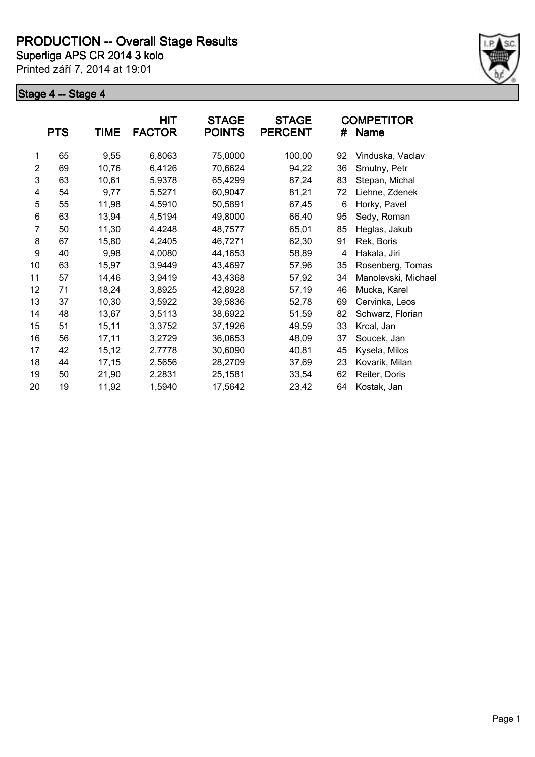

|                 | <b>PTS</b> | <b>TIME</b> | <b>HIT</b><br><b>FACTOR</b> | <b>STAGE</b><br><b>POINTS</b> | <b>STAGE</b><br><b>PERCENT</b> | #  | <b>COMPETITOR</b><br>Name |
|-----------------|------------|-------------|-----------------------------|-------------------------------|--------------------------------|----|---------------------------|
| 1               | 65         | 9,55        | 6,8063                      | 75,0000                       | 100,00                         | 92 | Vinduska, Vaclav          |
| $\overline{2}$  | 69         | 10,76       | 6,4126                      | 70,6624                       | 94,22                          | 36 | Smutny, Petr              |
| 3               | 63         | 10,61       | 5,9378                      | 65,4299                       | 87,24                          | 83 | Stepan, Michal            |
| 4               | 54         | 9,77        | 5,5271                      | 60,9047                       | 81,21                          | 72 | Liehne, Zdenek            |
| 5               | 55         | 11,98       | 4,5910                      | 50,5891                       | 67,45                          | 6  | Horky, Pavel              |
| 6               | 63         | 13,94       | 4,5194                      | 49,8000                       | 66,40                          | 95 | Sedy, Roman               |
| 7               | 50         | 11,30       | 4,4248                      | 48,7577                       | 65,01                          | 85 | Heglas, Jakub             |
| 8               | 67         | 15,80       | 4,2405                      | 46,7271                       | 62,30                          | 91 | Rek, Boris                |
| 9               | 40         | 9,98        | 4,0080                      | 44,1653                       | 58,89                          | 4  | Hakala, Jiri              |
| 10 <sup>1</sup> | 63         | 15,97       | 3,9449                      | 43,4697                       | 57,96                          | 35 | Rosenberg, Tomas          |
| 11              | 57         | 14,46       | 3,9419                      | 43,4368                       | 57,92                          | 34 | Manolevski, Michael       |
| 12              | 71         | 18,24       | 3,8925                      | 42,8928                       | 57,19                          | 46 | Mucka, Karel              |
| 13              | 37         | 10,30       | 3,5922                      | 39,5836                       | 52,78                          | 69 | Cervinka, Leos            |
| 14              | 48         | 13,67       | 3,5113                      | 38,6922                       | 51,59                          | 82 | Schwarz, Florian          |
| 15              | 51         | 15,11       | 3,3752                      | 37,1926                       | 49,59                          | 33 | Krcal, Jan                |
| 16              | 56         | 17,11       | 3,2729                      | 36,0653                       | 48,09                          | 37 | Soucek, Jan               |
| 17              | 42         | 15,12       | 2,7778                      | 30,6090                       | 40,81                          | 45 | Kysela, Milos             |
| 18              | 44         | 17,15       | 2,5656                      | 28,2709                       | 37,69                          | 23 | Kovarik, Milan            |
| 19              | 50         | 21,90       | 2,2831                      | 25,1581                       | 33,54                          | 62 | Reiter, Doris             |
| 20              | 19         | 11,92       | 1,5940                      | 17,5642                       | 23,42                          | 64 | Kostak, Jan               |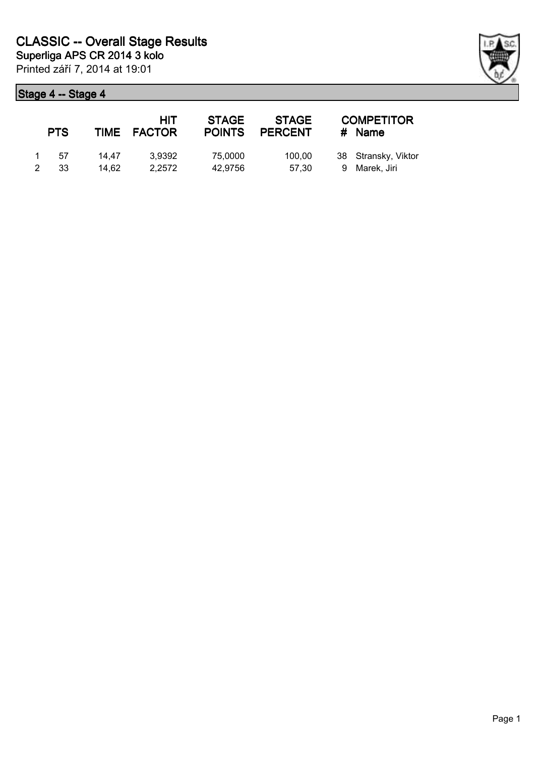| <b>PTS</b> |                | HIT<br>TIME FACTOR | <b>STAGE</b><br><b>POINTS</b> | <b>STAGE</b><br><b>PERCENT</b> | <b>COMPETITOR</b><br># Name          |
|------------|----------------|--------------------|-------------------------------|--------------------------------|--------------------------------------|
| 1 57<br>33 | 14.47<br>14.62 | 3.9392<br>2.2572   | 75,0000<br>42.9756            | 100.00<br>57.30                | 38 Stransky, Viktor<br>9 Marek, Jiri |

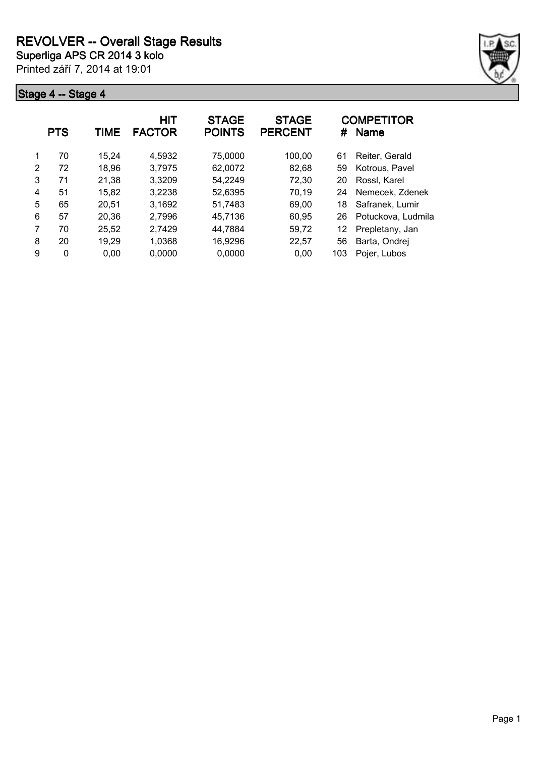

|   | <b>PTS</b> | TIME  | <b>HIT</b><br><b>FACTOR</b> | <b>STAGE</b><br><b>POINTS</b> | <b>STAGE</b><br><b>PERCENT</b> | #   | <b>COMPETITOR</b><br><b>Name</b> |
|---|------------|-------|-----------------------------|-------------------------------|--------------------------------|-----|----------------------------------|
| 1 | 70         | 15,24 | 4,5932                      | 75,0000                       | 100,00                         | 61  | Reiter, Gerald                   |
| 2 | 72         | 18,96 | 3,7975                      | 62,0072                       | 82,68                          | 59  | Kotrous, Pavel                   |
| 3 | 71         | 21,38 | 3,3209                      | 54,2249                       | 72,30                          | 20  | Rossl, Karel                     |
| 4 | 51         | 15,82 | 3,2238                      | 52,6395                       | 70,19                          | 24  | Nemecek, Zdenek                  |
| 5 | 65         | 20,51 | 3,1692                      | 51,7483                       | 69,00                          | 18  | Safranek, Lumir                  |
| 6 | 57         | 20,36 | 2,7996                      | 45,7136                       | 60,95                          | 26  | Potuckova, Ludmila               |
| 7 | 70         | 25,52 | 2,7429                      | 44,7884                       | 59.72                          | 12  | Prepletany, Jan                  |
| 8 | 20         | 19,29 | 1,0368                      | 16,9296                       | 22,57                          | 56  | Barta, Ondrej                    |
| 9 | 0          | 0,00  | 0,0000                      | 0,0000                        | 0.00                           | 103 | Pojer, Lubos                     |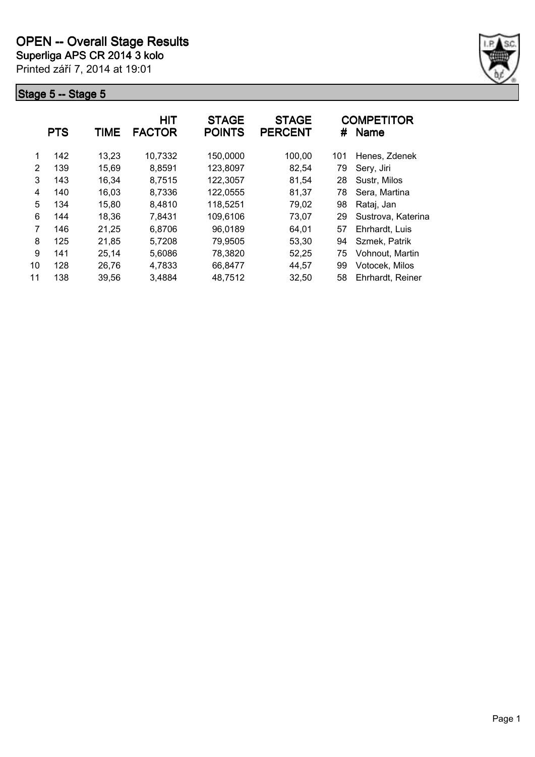

|    | <b>PTS</b> | TIME  | <b>HIT</b><br><b>FACTOR</b> | <b>STAGE</b><br><b>POINTS</b> | <b>STAGE</b><br><b>PERCENT</b> | #   | <b>COMPETITOR</b><br><b>Name</b> |
|----|------------|-------|-----------------------------|-------------------------------|--------------------------------|-----|----------------------------------|
| 1  | 142        | 13,23 | 10,7332                     | 150,0000                      | 100,00                         | 101 | Henes, Zdenek                    |
| 2  | 139        | 15,69 | 8,8591                      | 123,8097                      | 82,54                          | 79  | Sery, Jiri                       |
| 3  | 143        | 16,34 | 8,7515                      | 122,3057                      | 81,54                          | 28  | Sustr, Milos                     |
| 4  | 140        | 16,03 | 8,7336                      | 122,0555                      | 81,37                          | 78  | Sera, Martina                    |
| 5  | 134        | 15,80 | 8,4810                      | 118,5251                      | 79,02                          | 98  | Rataj, Jan                       |
| 6  | 144        | 18,36 | 7,8431                      | 109,6106                      | 73,07                          | 29  | Sustrova, Katerina               |
| 7  | 146        | 21,25 | 6,8706                      | 96,0189                       | 64,01                          | 57  | Ehrhardt, Luis                   |
| 8  | 125        | 21,85 | 5,7208                      | 79,9505                       | 53,30                          | 94  | Szmek, Patrik                    |
| 9  | 141        | 25,14 | 5,6086                      | 78,3820                       | 52,25                          | 75  | Vohnout, Martin                  |
| 10 | 128        | 26,76 | 4,7833                      | 66,8477                       | 44,57                          | 99  | Votocek, Milos                   |
| 11 | 138        | 39.56 | 3,4884                      | 48,7512                       | 32,50                          | 58  | Ehrhardt, Reiner                 |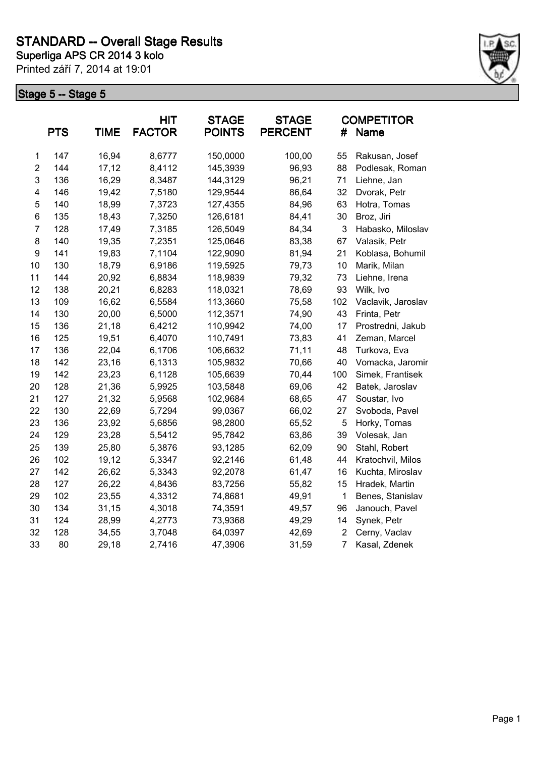

|                | <b>PTS</b> | <b>TIME</b> | <b>HIT</b><br><b>FACTOR</b> | <b>STAGE</b><br><b>POINTS</b> | <b>STAGE</b><br><b>PERCENT</b> | #              | <b>COMPETITOR</b><br>Name |
|----------------|------------|-------------|-----------------------------|-------------------------------|--------------------------------|----------------|---------------------------|
| $\mathbf 1$    | 147        | 16,94       | 8,6777                      | 150,0000                      | 100,00                         | 55             | Rakusan, Josef            |
| $\overline{2}$ | 144        | 17,12       | 8,4112                      | 145,3939                      | 96,93                          | 88             | Podlesak, Roman           |
| $\mathsf 3$    | 136        | 16,29       | 8,3487                      | 144,3129                      | 96,21                          | 71             | Liehne, Jan               |
| 4              | 146        | 19,42       | 7,5180                      | 129,9544                      | 86,64                          | 32             | Dvorak, Petr              |
| 5              | 140        | 18,99       | 7,3723                      | 127,4355                      | 84,96                          | 63             | Hotra, Tomas              |
| 6              | 135        | 18,43       | 7,3250                      | 126,6181                      | 84,41                          | 30             | Broz, Jiri                |
| $\overline{7}$ | 128        | 17,49       | 7,3185                      | 126,5049                      | 84,34                          | 3              | Habasko, Miloslav         |
| 8              | 140        | 19,35       | 7,2351                      | 125,0646                      | 83,38                          | 67             | Valasik, Petr             |
| 9              | 141        | 19,83       | 7,1104                      | 122,9090                      | 81,94                          | 21             | Koblasa, Bohumil          |
| 10             | 130        | 18,79       | 6,9186                      | 119,5925                      | 79,73                          | 10             | Marik, Milan              |
| 11             | 144        | 20,92       | 6,8834                      | 118,9839                      | 79,32                          | 73             | Liehne, Irena             |
| 12             | 138        | 20,21       | 6,8283                      | 118,0321                      | 78,69                          | 93             | Wilk, Ivo                 |
| 13             | 109        | 16,62       | 6,5584                      | 113,3660                      | 75,58                          | 102            | Vaclavik, Jaroslav        |
| 14             | 130        | 20,00       | 6,5000                      | 112,3571                      | 74,90                          | 43             | Frinta, Petr              |
| 15             | 136        | 21,18       | 6,4212                      | 110,9942                      | 74,00                          | 17             | Prostredni, Jakub         |
| 16             | 125        | 19,51       | 6,4070                      | 110,7491                      | 73,83                          | 41             | Zeman, Marcel             |
| 17             | 136        | 22,04       | 6,1706                      | 106,6632                      | 71,11                          | 48             | Turkova, Eva              |
| 18             | 142        | 23,16       | 6,1313                      | 105,9832                      | 70,66                          | 40             | Vomacka, Jaromir          |
| 19             | 142        | 23,23       | 6,1128                      | 105,6639                      | 70,44                          | 100            | Simek, Frantisek          |
| 20             | 128        | 21,36       | 5,9925                      | 103,5848                      | 69,06                          | 42             | Batek, Jaroslav           |
| 21             | 127        | 21,32       | 5,9568                      | 102,9684                      | 68,65                          | 47             | Soustar, Ivo              |
| 22             | 130        | 22,69       | 5,7294                      | 99,0367                       | 66,02                          | 27             | Svoboda, Pavel            |
| 23             | 136        | 23,92       | 5,6856                      | 98,2800                       | 65,52                          | 5              | Horky, Tomas              |
| 24             | 129        | 23,28       | 5,5412                      | 95,7842                       | 63,86                          | 39             | Volesak, Jan              |
| 25             | 139        | 25,80       | 5,3876                      | 93,1285                       | 62,09                          | 90             | Stahl, Robert             |
| 26             | 102        | 19,12       | 5,3347                      | 92,2146                       | 61,48                          | 44             | Kratochvil, Milos         |
| 27             | 142        | 26,62       | 5,3343                      | 92,2078                       | 61,47                          | 16             | Kuchta, Miroslav          |
| 28             | 127        | 26,22       | 4,8436                      | 83,7256                       | 55,82                          | 15             | Hradek, Martin            |
| 29             | 102        | 23,55       | 4,3312                      | 74,8681                       | 49,91                          | $\mathbf{1}$   | Benes, Stanislav          |
| 30             | 134        | 31,15       | 4,3018                      | 74,3591                       | 49,57                          | 96             | Janouch, Pavel            |
| 31             | 124        | 28,99       | 4,2773                      | 73,9368                       | 49,29                          | 14             | Synek, Petr               |
| 32             | 128        | 34,55       | 3,7048                      | 64,0397                       | 42,69                          | $\overline{c}$ | Cerny, Vaclav             |
| 33             | 80         | 29,18       | 2,7416                      | 47,3906                       | 31,59                          | $\overline{7}$ | Kasal, Zdenek             |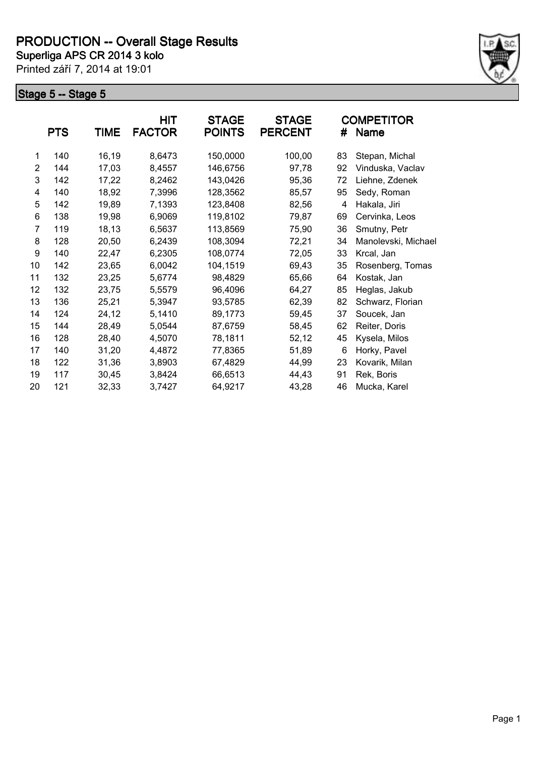

|    | <b>PTS</b> | <b>TIME</b> | <b>HIT</b><br><b>FACTOR</b> | <b>STAGE</b><br><b>POINTS</b> | <b>STAGE</b><br><b>PERCENT</b> | #  | <b>COMPETITOR</b><br>Name |
|----|------------|-------------|-----------------------------|-------------------------------|--------------------------------|----|---------------------------|
|    |            |             |                             |                               |                                |    |                           |
| 1  | 140        | 16,19       | 8,6473                      | 150,0000                      | 100,00                         | 83 | Stepan, Michal            |
| 2  | 144        | 17,03       | 8,4557                      | 146,6756                      | 97,78                          | 92 | Vinduska, Vaclav          |
| 3  | 142        | 17,22       | 8,2462                      | 143,0426                      | 95,36                          | 72 | Liehne, Zdenek            |
| 4  | 140        | 18,92       | 7,3996                      | 128,3562                      | 85,57                          | 95 | Sedy, Roman               |
| 5  | 142        | 19,89       | 7,1393                      | 123,8408                      | 82,56                          | 4  | Hakala, Jiri              |
| 6  | 138        | 19,98       | 6,9069                      | 119,8102                      | 79,87                          | 69 | Cervinka, Leos            |
| 7  | 119        | 18,13       | 6,5637                      | 113,8569                      | 75,90                          | 36 | Smutny, Petr              |
| 8  | 128        | 20,50       | 6,2439                      | 108,3094                      | 72,21                          | 34 | Manolevski, Michael       |
| 9  | 140        | 22,47       | 6,2305                      | 108,0774                      | 72,05                          | 33 | Krcal, Jan                |
| 10 | 142        | 23,65       | 6,0042                      | 104,1519                      | 69,43                          | 35 | Rosenberg, Tomas          |
| 11 | 132        | 23,25       | 5,6774                      | 98,4829                       | 65,66                          | 64 | Kostak, Jan               |
| 12 | 132        | 23,75       | 5,5579                      | 96,4096                       | 64,27                          | 85 | Heglas, Jakub             |
| 13 | 136        | 25,21       | 5,3947                      | 93,5785                       | 62,39                          | 82 | Schwarz, Florian          |
| 14 | 124        | 24,12       | 5,1410                      | 89,1773                       | 59,45                          | 37 | Soucek, Jan               |
| 15 | 144        | 28,49       | 5,0544                      | 87,6759                       | 58,45                          | 62 | Reiter, Doris             |
| 16 | 128        | 28,40       | 4,5070                      | 78,1811                       | 52,12                          | 45 | Kysela, Milos             |
| 17 | 140        | 31,20       | 4,4872                      | 77,8365                       | 51,89                          | 6  | Horky, Pavel              |
| 18 | 122        | 31,36       | 3,8903                      | 67,4829                       | 44,99                          | 23 | Kovarik, Milan            |
| 19 | 117        | 30,45       | 3,8424                      | 66,6513                       | 44,43                          | 91 | Rek, Boris                |
| 20 | 121        | 32,33       | 3,7427                      | 64,9217                       | 43,28                          | 46 | Mucka, Karel              |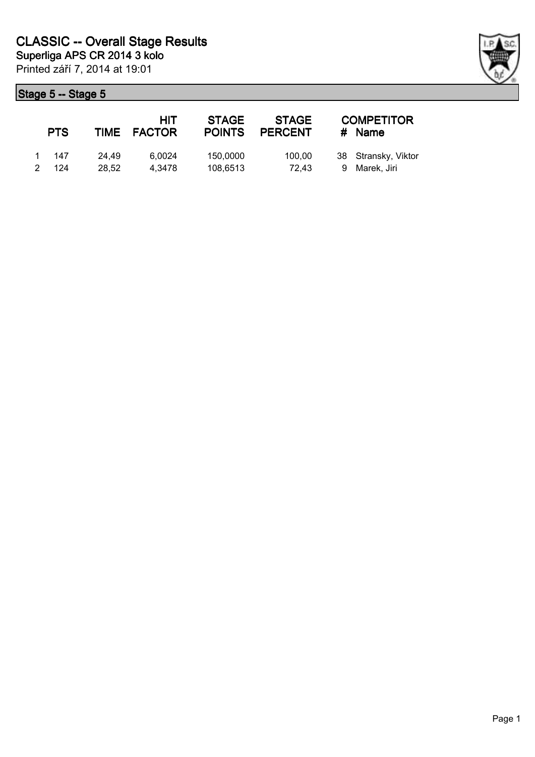|               | <b>PTS</b>     |                | HIT<br>TIME FACTOR | <b>STAGE</b><br><b>POINTS</b> | <b>STAGE</b><br><b>PERCENT</b> | <b>COMPETITOR</b><br># Name          |
|---------------|----------------|----------------|--------------------|-------------------------------|--------------------------------|--------------------------------------|
| $\mathcal{P}$ | 1 147<br>- 124 | 24.49<br>28.52 | 6.0024<br>4.3478   | 150,0000<br>108,6513          | 100.00<br>72.43                | 38 Stransky, Viktor<br>9 Marek, Jiri |

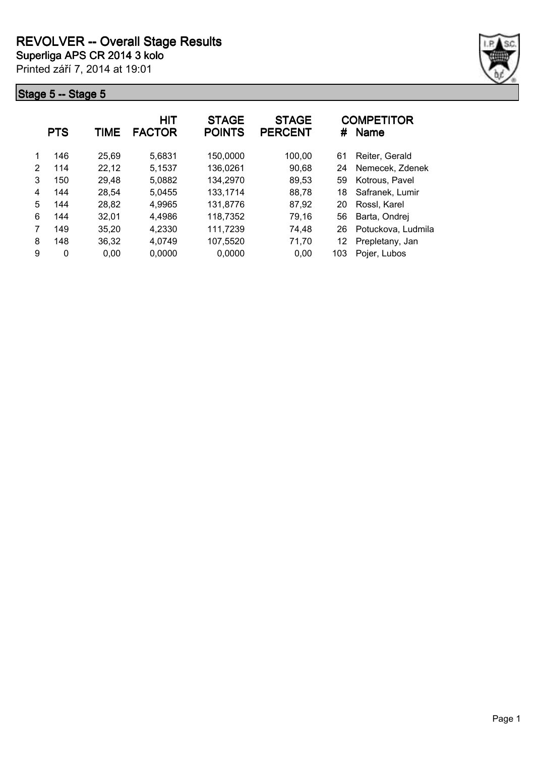

|   | <b>PTS</b> | TIME  | HIT<br><b>FACTOR</b> | <b>STAGE</b><br><b>POINTS</b> | <b>STAGE</b><br><b>PERCENT</b> | #   | <b>COMPETITOR</b><br><b>Name</b> |
|---|------------|-------|----------------------|-------------------------------|--------------------------------|-----|----------------------------------|
|   | 146        | 25,69 | 5,6831               | 150,0000                      | 100,00                         | 61  | Reiter, Gerald                   |
| 2 | 114        | 22,12 | 5.1537               | 136,0261                      | 90,68                          | 24  | Nemecek, Zdenek                  |
| 3 | 150        | 29,48 | 5,0882               | 134,2970                      | 89,53                          | 59  | Kotrous, Pavel                   |
| 4 | 144        | 28,54 | 5,0455               | 133,1714                      | 88,78                          | 18  | Safranek, Lumir                  |
| 5 | 144        | 28,82 | 4,9965               | 131,8776                      | 87,92                          | 20  | Rossl, Karel                     |
| 6 | 144        | 32,01 | 4,4986               | 118,7352                      | 79,16                          | 56  | Barta, Ondrej                    |
|   | 149        | 35,20 | 4,2330               | 111,7239                      | 74,48                          | 26  | Potuckova, Ludmila               |
| 8 | 148        | 36,32 | 4,0749               | 107,5520                      | 71,70                          | 12  | Prepletany, Jan                  |
| 9 | 0          | 0.00  | 0,0000               | 0,0000                        | 0.00                           | 103 | Pojer, Lubos                     |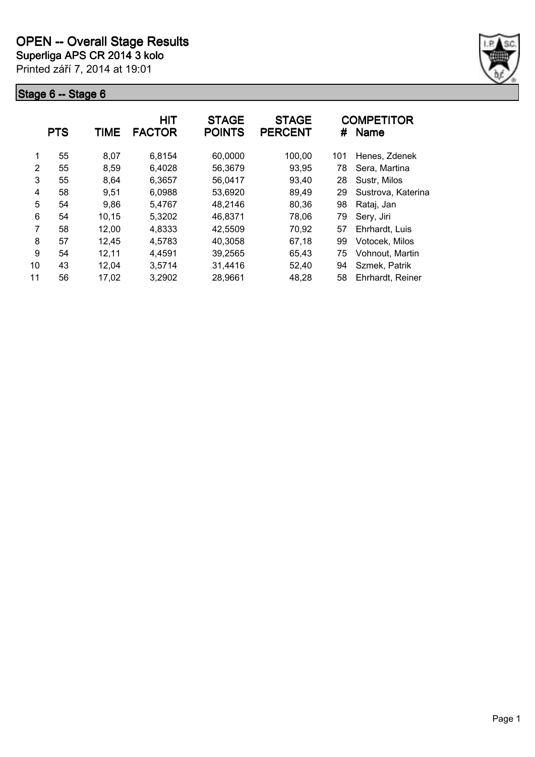

|    | <b>PTS</b> | TIME  | <b>HIT</b><br><b>FACTOR</b> | <b>STAGE</b><br><b>POINTS</b> | <b>STAGE</b><br><b>PERCENT</b> | #   | <b>COMPETITOR</b><br><b>Name</b> |
|----|------------|-------|-----------------------------|-------------------------------|--------------------------------|-----|----------------------------------|
| 1  | 55         | 8,07  | 6,8154                      | 60,0000                       | 100,00                         | 101 | Henes, Zdenek                    |
| 2  | 55         | 8,59  | 6,4028                      | 56,3679                       | 93,95                          | 78  | Sera, Martina                    |
| 3  | 55         | 8,64  | 6,3657                      | 56,0417                       | 93,40                          | 28  | Sustr, Milos                     |
| 4  | 58         | 9,51  | 6,0988                      | 53,6920                       | 89,49                          | 29  | Sustrova, Katerina               |
| 5  | 54         | 9,86  | 5.4767                      | 48,2146                       | 80,36                          | 98  | Rataj, Jan                       |
| 6  | 54         | 10,15 | 5,3202                      | 46,8371                       | 78,06                          | 79  | Sery, Jiri                       |
| 7  | 58         | 12,00 | 4,8333                      | 42,5509                       | 70,92                          | 57  | Ehrhardt, Luis                   |
| 8  | 57         | 12,45 | 4,5783                      | 40,3058                       | 67,18                          | 99  | Votocek, Milos                   |
| 9  | 54         | 12,11 | 4,4591                      | 39,2565                       | 65,43                          | 75  | Vohnout, Martin                  |
| 10 | 43         | 12,04 | 3,5714                      | 31,4416                       | 52,40                          | 94  | Szmek, Patrik                    |
| 11 | 56         | 17,02 | 3,2902                      | 28,9661                       | 48,28                          | 58  | Ehrhardt, Reiner                 |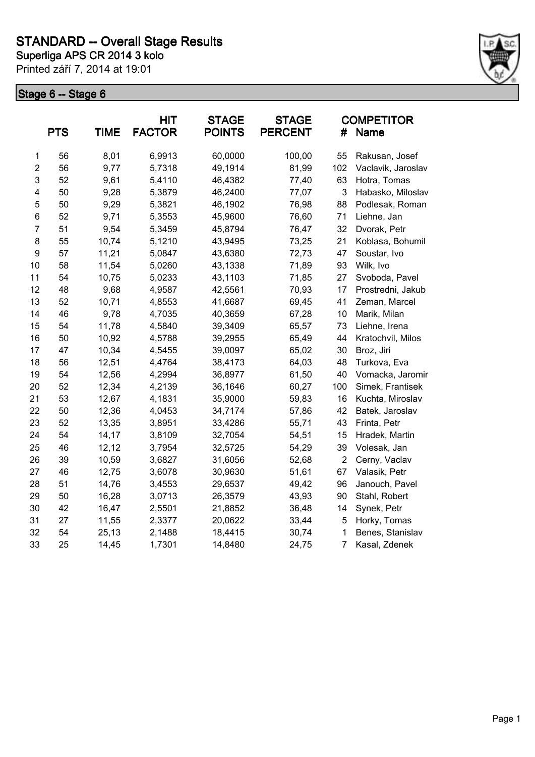

|                | <b>PTS</b> | <b>TIME</b> | <b>HIT</b><br><b>FACTOR</b> | <b>STAGE</b><br><b>POINTS</b> | <b>STAGE</b><br><b>PERCENT</b> | #              | <b>COMPETITOR</b><br><b>Name</b> |
|----------------|------------|-------------|-----------------------------|-------------------------------|--------------------------------|----------------|----------------------------------|
| 1              | 56         | 8,01        | 6,9913                      | 60,0000                       | 100,00                         | 55             | Rakusan, Josef                   |
| $\overline{2}$ | 56         | 9,77        | 5,7318                      | 49,1914                       | 81,99                          | 102            | Vaclavik, Jaroslav               |
| 3              | 52         | 9,61        | 5,4110                      | 46,4382                       | 77,40                          | 63             | Hotra, Tomas                     |
| 4              | 50         | 9,28        | 5,3879                      | 46,2400                       | 77,07                          | 3              | Habasko, Miloslav                |
| 5              | 50         | 9,29        | 5,3821                      | 46,1902                       | 76,98                          | 88             | Podlesak, Roman                  |
| 6              | 52         | 9,71        | 5,3553                      | 45,9600                       | 76,60                          | 71             | Liehne, Jan                      |
| $\overline{7}$ | 51         | 9,54        | 5,3459                      | 45,8794                       | 76,47                          | 32             | Dvorak, Petr                     |
| 8              | 55         | 10,74       | 5,1210                      | 43,9495                       | 73,25                          | 21             | Koblasa, Bohumil                 |
| 9              | 57         | 11,21       | 5,0847                      | 43,6380                       | 72,73                          | 47             | Soustar, Ivo                     |
| 10             | 58         | 11,54       | 5,0260                      | 43,1338                       | 71,89                          | 93             | Wilk, Ivo                        |
| 11             | 54         | 10,75       | 5,0233                      | 43,1103                       | 71,85                          | 27             | Svoboda, Pavel                   |
| 12             | 48         | 9,68        | 4,9587                      | 42,5561                       | 70,93                          | 17             | Prostredni, Jakub                |
| 13             | 52         | 10,71       | 4,8553                      | 41,6687                       | 69,45                          | 41             | Zeman, Marcel                    |
| 14             | 46         | 9,78        | 4,7035                      | 40,3659                       | 67,28                          | 10             | Marik, Milan                     |
| 15             | 54         | 11,78       | 4,5840                      | 39,3409                       | 65,57                          | 73             | Liehne, Irena                    |
| 16             | 50         | 10,92       | 4,5788                      | 39,2955                       | 65,49                          | 44             | Kratochvil, Milos                |
| 17             | 47         | 10,34       | 4,5455                      | 39,0097                       | 65,02                          | 30             | Broz, Jiri                       |
| 18             | 56         | 12,51       | 4,4764                      | 38,4173                       | 64,03                          | 48             | Turkova, Eva                     |
| 19             | 54         | 12,56       | 4,2994                      | 36,8977                       | 61,50                          | 40             | Vomacka, Jaromir                 |
| 20             | 52         | 12,34       | 4,2139                      | 36,1646                       | 60,27                          | 100            | Simek, Frantisek                 |
| 21             | 53         | 12,67       | 4,1831                      | 35,9000                       | 59,83                          | 16             | Kuchta, Miroslav                 |
| 22             | 50         | 12,36       | 4,0453                      | 34,7174                       | 57,86                          | 42             | Batek, Jaroslav                  |
| 23             | 52         | 13,35       | 3,8951                      | 33,4286                       | 55,71                          | 43             | Frinta, Petr                     |
| 24             | 54         | 14,17       | 3,8109                      | 32,7054                       | 54,51                          | 15             | Hradek, Martin                   |
| 25             | 46         | 12,12       | 3,7954                      | 32,5725                       | 54,29                          | 39             | Volesak, Jan                     |
| 26             | 39         | 10,59       | 3,6827                      | 31,6056                       | 52,68                          | $\overline{2}$ | Cerny, Vaclav                    |
| 27             | 46         | 12,75       | 3,6078                      | 30,9630                       | 51,61                          | 67             | Valasik, Petr                    |
| 28             | 51         | 14,76       | 3,4553                      | 29,6537                       | 49,42                          | 96             | Janouch, Pavel                   |
| 29             | 50         | 16,28       | 3,0713                      | 26,3579                       | 43,93                          | 90             | Stahl, Robert                    |
| 30             | 42         | 16,47       | 2,5501                      | 21,8852                       | 36,48                          | 14             | Synek, Petr                      |
| 31             | 27         | 11,55       | 2,3377                      | 20,0622                       | 33,44                          | 5              | Horky, Tomas                     |
| 32             | 54         | 25,13       | 2,1488                      | 18,4415                       | 30,74                          | 1              | Benes, Stanislav                 |
| 33             | 25         | 14,45       | 1,7301                      | 14,8480                       | 24,75                          | $\overline{7}$ | Kasal, Zdenek                    |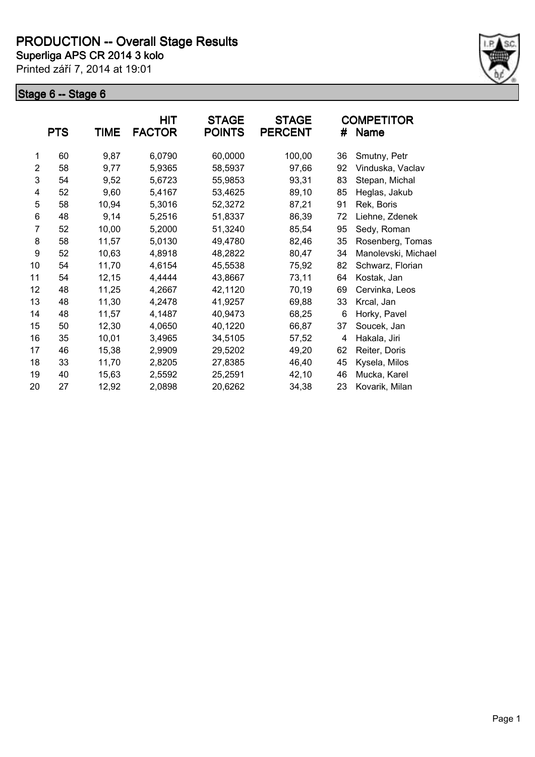

|                | <b>PTS</b> | <b>TIME</b> | <b>HIT</b><br><b>FACTOR</b> | <b>STAGE</b><br><b>POINTS</b> | <b>STAGE</b><br><b>PERCENT</b> | #  | <b>COMPETITOR</b><br>Name |
|----------------|------------|-------------|-----------------------------|-------------------------------|--------------------------------|----|---------------------------|
| 1              | 60         | 9,87        | 6,0790                      | 60,0000                       | 100,00                         | 36 | Smutny, Petr              |
| $\overline{2}$ | 58         | 9,77        | 5,9365                      | 58,5937                       | 97,66                          | 92 | Vinduska, Vaclav          |
| 3              | 54         | 9,52        | 5,6723                      | 55,9853                       | 93,31                          | 83 | Stepan, Michal            |
| 4              | 52         | 9,60        | 5,4167                      | 53,4625                       | 89,10                          | 85 | Heglas, Jakub             |
| 5              | 58         | 10,94       | 5,3016                      | 52,3272                       | 87,21                          | 91 | Rek, Boris                |
| 6              | 48         | 9,14        | 5,2516                      | 51,8337                       | 86,39                          | 72 | Liehne, Zdenek            |
| 7              | 52         | 10,00       | 5,2000                      | 51,3240                       | 85,54                          | 95 | Sedy, Roman               |
| 8              | 58         | 11,57       | 5,0130                      | 49,4780                       | 82,46                          | 35 | Rosenberg, Tomas          |
| 9              | 52         | 10,63       | 4,8918                      | 48,2822                       | 80,47                          | 34 | Manolevski, Michael       |
| 10             | 54         | 11,70       | 4,6154                      | 45,5538                       | 75,92                          | 82 | Schwarz, Florian          |
| 11             | 54         | 12,15       | 4,4444                      | 43,8667                       | 73,11                          | 64 | Kostak, Jan               |
| 12             | 48         | 11,25       | 4,2667                      | 42,1120                       | 70,19                          | 69 | Cervinka, Leos            |
| 13             | 48         | 11,30       | 4,2478                      | 41,9257                       | 69,88                          | 33 | Krcal, Jan                |
| 14             | 48         | 11,57       | 4,1487                      | 40,9473                       | 68,25                          | 6  | Horky, Pavel              |
| 15             | 50         | 12,30       | 4,0650                      | 40,1220                       | 66,87                          | 37 | Soucek, Jan               |
| 16             | 35         | 10,01       | 3,4965                      | 34,5105                       | 57,52                          | 4  | Hakala, Jiri              |
| 17             | 46         | 15,38       | 2,9909                      | 29,5202                       | 49,20                          | 62 | Reiter, Doris             |
| 18             | 33         | 11,70       | 2,8205                      | 27,8385                       | 46,40                          | 45 | Kysela, Milos             |
| 19             | 40         | 15,63       | 2,5592                      | 25,2591                       | 42,10                          | 46 | Mucka, Karel              |
| 20             | 27         | 12,92       | 2,0898                      | 20,6262                       | 34,38                          | 23 | Kovarik, Milan            |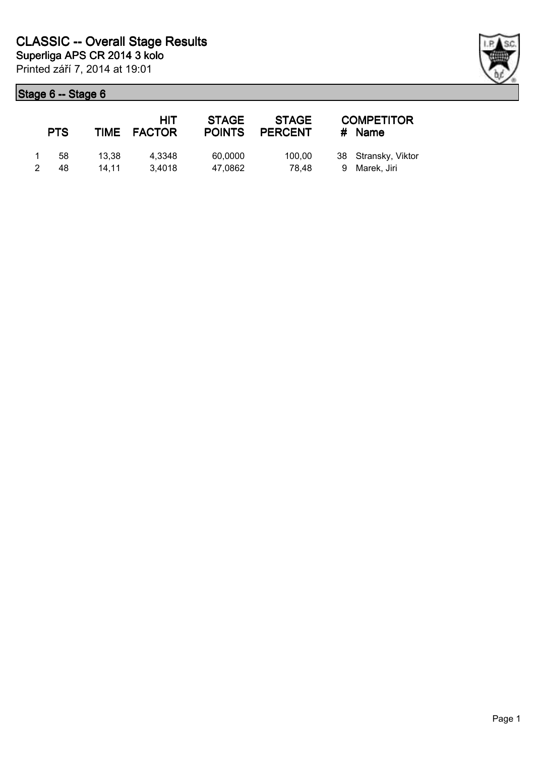| <b>PTS</b> |                | HIT<br>TIME FACTOR | <b>STAGE</b><br><b>POINTS</b> | <b>STAGE</b><br><b>PERCENT</b> | <b>COMPETITOR</b><br># Name          |
|------------|----------------|--------------------|-------------------------------|--------------------------------|--------------------------------------|
| 58<br>48   | 13.38<br>14.11 | 4.3348<br>3.4018   | 60,0000<br>47.0862            | 100.00<br>78.48                | 38 Stransky, Viktor<br>9 Marek, Jiri |

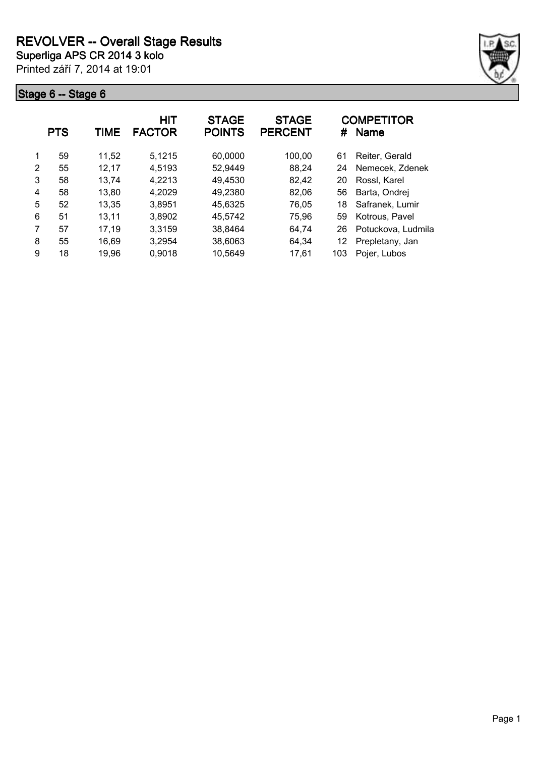

|   | <b>PTS</b> | TIME  | <b>HIT</b><br><b>FACTOR</b> | <b>STAGE</b><br><b>POINTS</b> | <b>STAGE</b><br><b>PERCENT</b> | #   | <b>COMPETITOR</b><br><b>Name</b> |
|---|------------|-------|-----------------------------|-------------------------------|--------------------------------|-----|----------------------------------|
| 1 | 59         | 11,52 | 5,1215                      | 60,0000                       | 100,00                         | 61  | Reiter, Gerald                   |
| 2 | 55         | 12.17 | 4,5193                      | 52,9449                       | 88,24                          | 24  | Nemecek, Zdenek                  |
| 3 | 58         | 13,74 | 4,2213                      | 49,4530                       | 82,42                          | 20  | Rossl, Karel                     |
| 4 | 58         | 13,80 | 4,2029                      | 49,2380                       | 82,06                          | 56  | Barta, Ondrej                    |
| 5 | 52         | 13,35 | 3,8951                      | 45,6325                       | 76,05                          | 18  | Safranek, Lumir                  |
| 6 | 51         | 13,11 | 3,8902                      | 45,5742                       | 75,96                          | 59  | Kotrous, Pavel                   |
| 7 | 57         | 17,19 | 3,3159                      | 38,8464                       | 64.74                          | 26  | Potuckova, Ludmila               |
| 8 | 55         | 16,69 | 3,2954                      | 38,6063                       | 64,34                          | 12  | Prepletany, Jan                  |
| 9 | 18         | 19.96 | 0,9018                      | 10,5649                       | 17,61                          | 103 | Pojer, Lubos                     |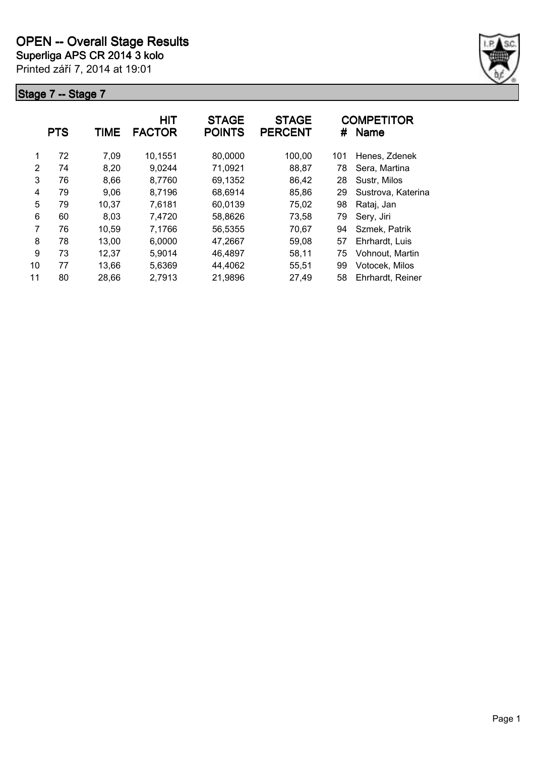

|    | <b>PTS</b> | TIME  | <b>HIT</b><br><b>FACTOR</b> | <b>STAGE</b><br><b>POINTS</b> | <b>STAGE</b><br><b>PERCENT</b> | #   | <b>COMPETITOR</b><br><b>Name</b> |
|----|------------|-------|-----------------------------|-------------------------------|--------------------------------|-----|----------------------------------|
| 1  | 72         | 7,09  | 10,1551                     | 80,0000                       | 100,00                         | 101 | Henes, Zdenek                    |
| 2  | 74         | 8,20  | 9,0244                      | 71,0921                       | 88,87                          | 78  | Sera, Martina                    |
| 3  | 76         | 8,66  | 8,7760                      | 69,1352                       | 86,42                          | 28  | Sustr, Milos                     |
| 4  | 79         | 9,06  | 8,7196                      | 68,6914                       | 85,86                          | 29  | Sustrova, Katerina               |
| 5  | 79         | 10,37 | 7,6181                      | 60,0139                       | 75,02                          | 98  | Rataj, Jan                       |
| 6  | 60         | 8,03  | 7,4720                      | 58,8626                       | 73,58                          | 79  | Sery, Jiri                       |
| 7  | 76         | 10,59 | 7,1766                      | 56,5355                       | 70,67                          | 94  | Szmek, Patrik                    |
| 8  | 78         | 13,00 | 6,0000                      | 47,2667                       | 59,08                          | 57  | Ehrhardt, Luis                   |
| 9  | 73         | 12,37 | 5,9014                      | 46,4897                       | 58,11                          | 75  | Vohnout, Martin                  |
| 10 | 77         | 13.66 | 5,6369                      | 44,4062                       | 55,51                          | 99  | Votocek, Milos                   |
| 11 | 80         | 28,66 | 2,7913                      | 21,9896                       | 27,49                          | 58  | Ehrhardt, Reiner                 |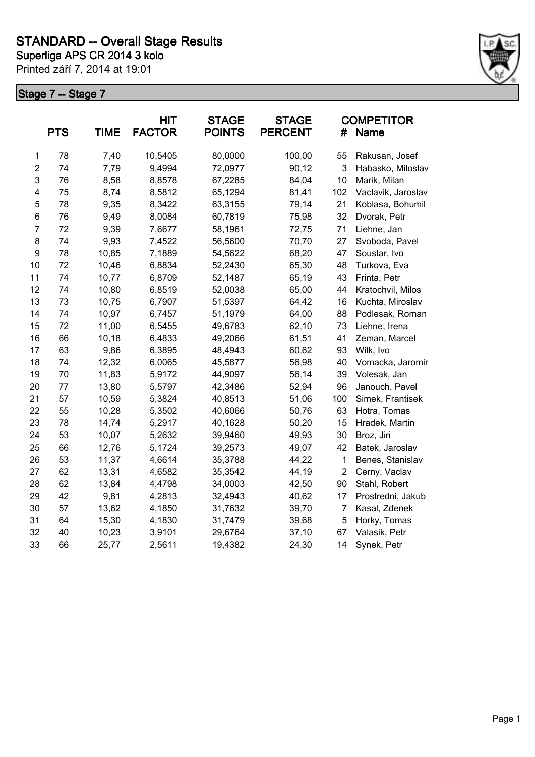

|                | <b>PTS</b> | <b>TIME</b> | HIT<br><b>FACTOR</b> | <b>STAGE</b><br><b>POINTS</b> | <b>STAGE</b><br><b>PERCENT</b> | #              | <b>COMPETITOR</b><br>Name |
|----------------|------------|-------------|----------------------|-------------------------------|--------------------------------|----------------|---------------------------|
| $\mathbf 1$    | 78         | 7,40        | 10,5405              | 80,0000                       | 100,00                         | 55             | Rakusan, Josef            |
| $\overline{2}$ | 74         | 7,79        | 9,4994               | 72,0977                       | 90,12                          | 3              | Habasko, Miloslav         |
| 3              | 76         | 8,58        | 8,8578               | 67,2285                       | 84,04                          | 10             | Marik, Milan              |
| 4              | 75         | 8,74        | 8,5812               | 65,1294                       | 81,41                          | 102            | Vaclavik, Jaroslav        |
| 5              | 78         | 9,35        | 8,3422               | 63,3155                       | 79,14                          | 21             | Koblasa, Bohumil          |
| 6              | 76         | 9,49        | 8,0084               | 60,7819                       | 75,98                          | 32             | Dvorak, Petr              |
| $\overline{7}$ | 72         | 9,39        | 7,6677               | 58,1961                       | 72,75                          | 71             | Liehne, Jan               |
| 8              | 74         | 9,93        | 7,4522               | 56,5600                       | 70,70                          | 27             | Svoboda, Pavel            |
| 9              | 78         | 10,85       | 7,1889               | 54,5622                       | 68,20                          | 47             | Soustar, Ivo              |
| 10             | 72         | 10,46       | 6,8834               | 52,2430                       | 65,30                          | 48             | Turkova, Eva              |
| 11             | 74         | 10,77       | 6,8709               | 52,1487                       | 65,19                          | 43             | Frinta, Petr              |
| 12             | 74         | 10,80       | 6,8519               | 52,0038                       | 65,00                          | 44             | Kratochvil, Milos         |
| 13             | 73         | 10,75       | 6,7907               | 51,5397                       | 64,42                          | 16             | Kuchta, Miroslav          |
| 14             | 74         | 10,97       | 6,7457               | 51,1979                       | 64,00                          | 88             | Podlesak, Roman           |
| 15             | 72         | 11,00       | 6,5455               | 49,6783                       | 62,10                          | 73             | Liehne, Irena             |
| 16             | 66         | 10,18       | 6,4833               | 49,2066                       | 61,51                          | 41             | Zeman, Marcel             |
| 17             | 63         | 9,86        | 6,3895               | 48,4943                       | 60,62                          | 93             | Wilk, Ivo                 |
| 18             | 74         | 12,32       | 6,0065               | 45,5877                       | 56,98                          | 40             | Vomacka, Jaromir          |
| 19             | 70         | 11,83       | 5,9172               | 44,9097                       | 56,14                          | 39             | Volesak, Jan              |
| 20             | 77         | 13,80       | 5,5797               | 42,3486                       | 52,94                          | 96             | Janouch, Pavel            |
| 21             | 57         | 10,59       | 5,3824               | 40,8513                       | 51,06                          | 100            | Simek, Frantisek          |
| 22             | 55         | 10,28       | 5,3502               | 40,6066                       | 50,76                          | 63             | Hotra, Tomas              |
| 23             | 78         | 14,74       | 5,2917               | 40,1628                       | 50,20                          | 15             | Hradek, Martin            |
| 24             | 53         | 10,07       | 5,2632               | 39,9460                       | 49,93                          | 30             | Broz, Jiri                |
| 25             | 66         | 12,76       | 5,1724               | 39,2573                       | 49,07                          | 42             | Batek, Jaroslav           |
| 26             | 53         | 11,37       | 4,6614               | 35,3788                       | 44,22                          | 1              | Benes, Stanislav          |
| 27             | 62         | 13,31       | 4,6582               | 35,3542                       | 44,19                          | $\overline{2}$ | Cerny, Vaclav             |
| 28             | 62         | 13,84       | 4,4798               | 34,0003                       | 42,50                          | 90             | Stahl, Robert             |
| 29             | 42         | 9,81        | 4,2813               | 32,4943                       | 40,62                          | 17             | Prostredni, Jakub         |
| 30             | 57         | 13,62       | 4,1850               | 31,7632                       | 39,70                          | 7              | Kasal, Zdenek             |
| 31             | 64         | 15,30       | 4,1830               | 31,7479                       | 39,68                          | 5              | Horky, Tomas              |
| 32             | 40         | 10,23       | 3,9101               | 29,6764                       | 37,10                          | 67             | Valasik, Petr             |
| 33             | 66         | 25,77       | 2,5611               | 19,4382                       | 24,30                          | 14             | Synek, Petr               |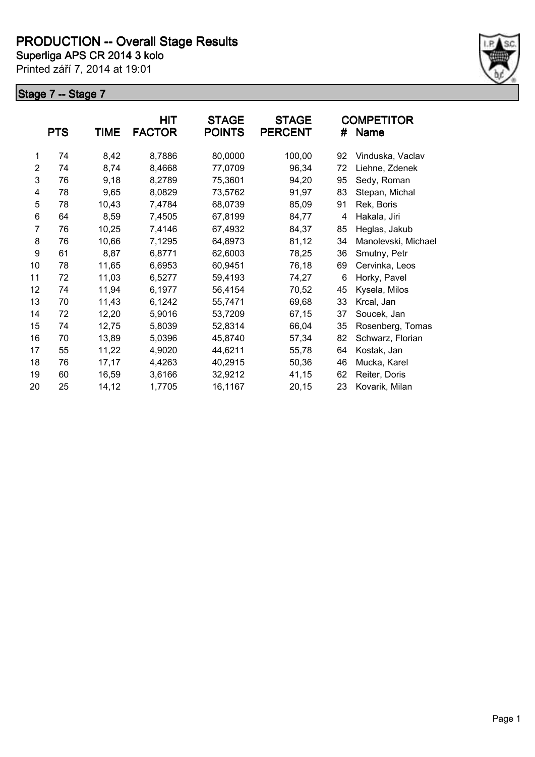

|                | <b>PTS</b> | <b>TIME</b> | <b>HIT</b><br><b>FACTOR</b> | <b>STAGE</b><br><b>POINTS</b> | <b>STAGE</b><br><b>PERCENT</b> | #  | <b>COMPETITOR</b><br><b>Name</b> |
|----------------|------------|-------------|-----------------------------|-------------------------------|--------------------------------|----|----------------------------------|
| 1              | 74         | 8,42        | 8,7886                      | 80,0000                       | 100,00                         | 92 | Vinduska, Vaclav                 |
| $\overline{2}$ | 74         | 8,74        | 8,4668                      | 77,0709                       | 96,34                          | 72 | Liehne, Zdenek                   |
| 3              | 76         | 9,18        | 8,2789                      | 75,3601                       | 94,20                          | 95 | Sedy, Roman                      |
| 4              | 78         | 9,65        | 8,0829                      | 73,5762                       | 91,97                          | 83 | Stepan, Michal                   |
| 5              | 78         | 10,43       | 7,4784                      | 68,0739                       | 85,09                          | 91 | Rek, Boris                       |
| 6              | 64         | 8,59        | 7,4505                      | 67,8199                       | 84,77                          | 4  | Hakala, Jiri                     |
| 7              | 76         | 10,25       | 7,4146                      | 67,4932                       | 84,37                          | 85 | Heglas, Jakub                    |
| 8              | 76         | 10,66       | 7,1295                      | 64,8973                       | 81,12                          | 34 | Manolevski, Michael              |
| 9              | 61         | 8,87        | 6,8771                      | 62,6003                       | 78,25                          | 36 | Smutny, Petr                     |
| 10             | 78         | 11,65       | 6,6953                      | 60,9451                       | 76,18                          | 69 | Cervinka, Leos                   |
| 11             | 72         | 11,03       | 6,5277                      | 59,4193                       | 74,27                          | 6  | Horky, Pavel                     |
| 12             | 74         | 11,94       | 6,1977                      | 56,4154                       | 70,52                          | 45 | Kysela, Milos                    |
| 13             | 70         | 11,43       | 6,1242                      | 55,7471                       | 69,68                          | 33 | Krcal, Jan                       |
| 14             | 72         | 12,20       | 5,9016                      | 53,7209                       | 67,15                          | 37 | Soucek, Jan                      |
| 15             | 74         | 12,75       | 5,8039                      | 52,8314                       | 66,04                          | 35 | Rosenberg, Tomas                 |
| 16             | 70         | 13,89       | 5,0396                      | 45,8740                       | 57,34                          | 82 | Schwarz, Florian                 |
| 17             | 55         | 11,22       | 4,9020                      | 44,6211                       | 55,78                          | 64 | Kostak, Jan                      |
| 18             | 76         | 17,17       | 4,4263                      | 40,2915                       | 50,36                          | 46 | Mucka, Karel                     |
| 19             | 60         | 16,59       | 3,6166                      | 32,9212                       | 41,15                          | 62 | Reiter, Doris                    |
| 20             | 25         | 14,12       | 1,7705                      | 16,1167                       | 20,15                          | 23 | Kovarik, Milan                   |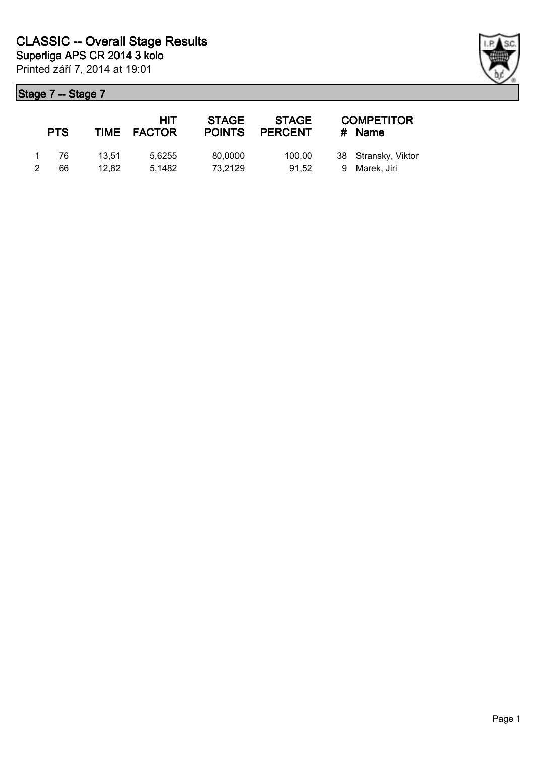| <b>PTS</b> |       | HIT<br>TIME FACTOR | <b>STAGE</b><br><b>POINTS</b> | <b>STAGE</b><br><b>PERCENT</b> | <b>COMPETITOR</b><br># Name |
|------------|-------|--------------------|-------------------------------|--------------------------------|-----------------------------|
| -76        | 13.51 | 5.6255             | 80,0000                       | 100.00                         | 38 Stransky, Viktor         |
| 66         | 12.82 | 5.1482             | 73,2129                       | 91.52                          | 9 Marek, Jiri               |

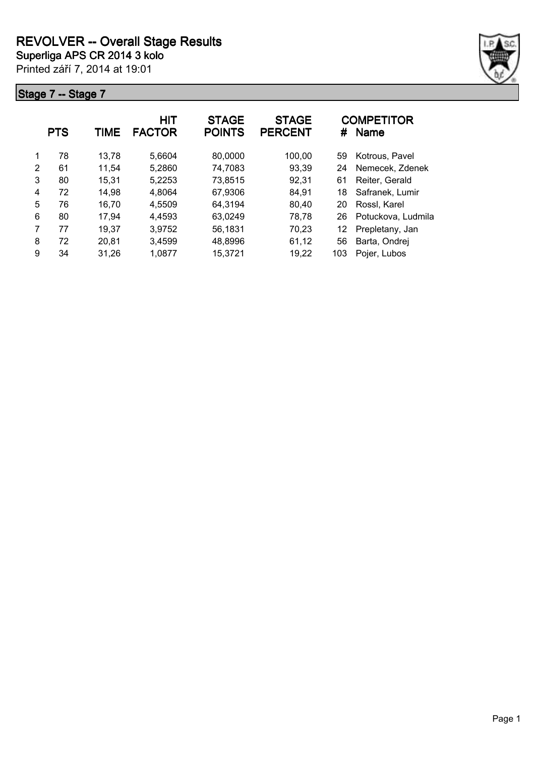

|   | <b>PTS</b> | TIME  | <b>HIT</b><br><b>FACTOR</b> | <b>STAGE</b><br><b>POINTS</b> | <b>STAGE</b><br><b>PERCENT</b> | #   | <b>COMPETITOR</b><br><b>Name</b> |
|---|------------|-------|-----------------------------|-------------------------------|--------------------------------|-----|----------------------------------|
| 1 | 78         | 13,78 | 5,6604                      | 80,0000                       | 100,00                         | 59  | Kotrous, Pavel                   |
| 2 | 61         | 11,54 | 5,2860                      | 74,7083                       | 93,39                          | 24  | Nemecek, Zdenek                  |
| 3 | 80         | 15,31 | 5,2253                      | 73,8515                       | 92,31                          | 61  | Reiter, Gerald                   |
| 4 | 72         | 14,98 | 4,8064                      | 67,9306                       | 84,91                          | 18  | Safranek, Lumir                  |
| 5 | 76         | 16,70 | 4,5509                      | 64,3194                       | 80,40                          | 20  | Rossl, Karel                     |
| 6 | 80         | 17,94 | 4,4593                      | 63,0249                       | 78,78                          | 26  | Potuckova, Ludmila               |
| 7 | 77         | 19,37 | 3,9752                      | 56,1831                       | 70,23                          | 12  | Prepletany, Jan                  |
| 8 | 72         | 20,81 | 3,4599                      | 48,8996                       | 61,12                          | 56  | Barta, Ondrej                    |
| 9 | 34         | 31.26 | 1,0877                      | 15,3721                       | 19,22                          | 103 | Pojer, Lubos                     |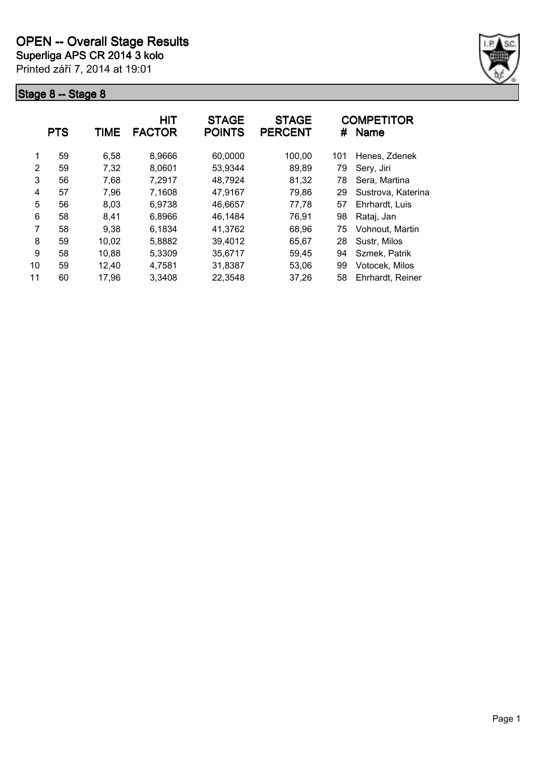

|    | <b>PTS</b> | <b>TIME</b> | <b>HIT</b><br><b>FACTOR</b> | <b>STAGE</b><br><b>POINTS</b> | <b>STAGE</b><br><b>PERCENT</b> | #   | <b>COMPETITOR</b><br><b>Name</b> |
|----|------------|-------------|-----------------------------|-------------------------------|--------------------------------|-----|----------------------------------|
| 1  | 59         | 6,58        | 8,9666                      | 60,0000                       | 100,00                         | 101 | Henes, Zdenek                    |
| 2  | 59         | 7,32        | 8,0601                      | 53,9344                       | 89,89                          | 79  | Sery, Jiri                       |
| 3  | 56         | 7.68        | 7,2917                      | 48,7924                       | 81,32                          | 78  | Sera, Martina                    |
| 4  | 57         | 7,96        | 7,1608                      | 47,9167                       | 79,86                          | 29  | Sustrova, Katerina               |
| 5  | 56         | 8,03        | 6,9738                      | 46,6657                       | 77,78                          | 57  | Ehrhardt, Luis                   |
| 6  | 58         | 8,41        | 6,8966                      | 46,1484                       | 76,91                          | 98  | Rataj, Jan                       |
| 7  | 58         | 9,38        | 6,1834                      | 41,3762                       | 68,96                          | 75  | Vohnout, Martin                  |
| 8  | 59         | 10,02       | 5,8882                      | 39,4012                       | 65,67                          | 28  | Sustr, Milos                     |
| 9  | 58         | 10,88       | 5,3309                      | 35,6717                       | 59,45                          | 94  | Szmek, Patrik                    |
| 10 | 59         | 12,40       | 4,7581                      | 31,8387                       | 53,06                          | 99  | Votocek, Milos                   |
| 11 | 60         | 17,96       | 3,3408                      | 22,3548                       | 37,26                          | 58  | Ehrhardt, Reiner                 |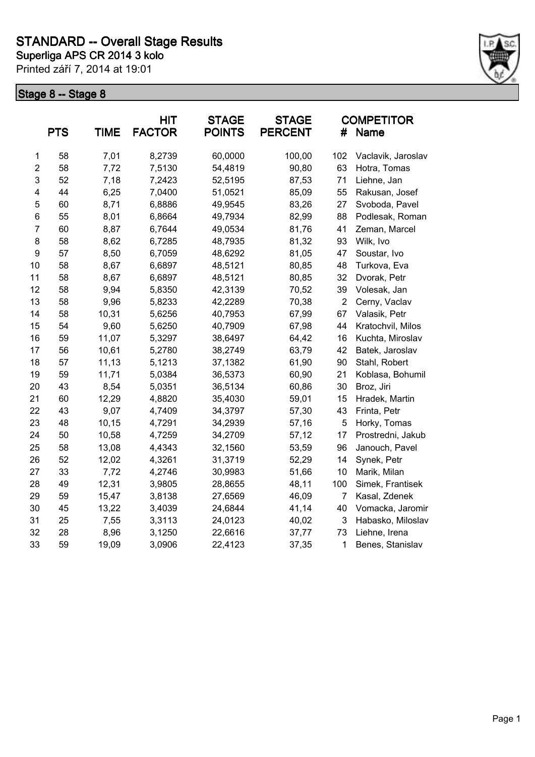

|                | <b>PTS</b> | <b>TIME</b> | <b>HIT</b><br><b>FACTOR</b> | <b>STAGE</b><br><b>POINTS</b> | <b>STAGE</b><br><b>PERCENT</b> | #              | <b>COMPETITOR</b><br>Name |
|----------------|------------|-------------|-----------------------------|-------------------------------|--------------------------------|----------------|---------------------------|
| 1              | 58         | 7,01        | 8,2739                      | 60,0000                       | 100,00                         | 102            | Vaclavik, Jaroslav        |
| $\overline{2}$ | 58         | 7,72        | 7,5130                      | 54,4819                       | 90,80                          | 63             | Hotra, Tomas              |
| 3              | 52         | 7,18        | 7,2423                      | 52,5195                       | 87,53                          | 71             | Liehne, Jan               |
| 4              | 44         | 6,25        | 7,0400                      | 51,0521                       | 85,09                          | 55             | Rakusan, Josef            |
| 5              | 60         | 8,71        | 6,8886                      | 49,9545                       | 83,26                          | 27             | Svoboda, Pavel            |
| 6              | 55         | 8,01        | 6,8664                      | 49,7934                       | 82,99                          | 88             | Podlesak, Roman           |
| $\overline{7}$ | 60         | 8,87        | 6,7644                      | 49,0534                       | 81,76                          | 41             | Zeman, Marcel             |
| 8              | 58         | 8,62        | 6,7285                      | 48,7935                       | 81,32                          | 93             | Wilk, Ivo                 |
| 9              | 57         | 8,50        | 6,7059                      | 48,6292                       | 81,05                          | 47             | Soustar, Ivo              |
| 10             | 58         | 8,67        | 6,6897                      | 48,5121                       | 80,85                          | 48             | Turkova, Eva              |
| 11             | 58         | 8,67        | 6,6897                      | 48,5121                       | 80,85                          | 32             | Dvorak, Petr              |
| 12             | 58         | 9,94        | 5,8350                      | 42,3139                       | 70,52                          | 39             | Volesak, Jan              |
| 13             | 58         | 9,96        | 5,8233                      | 42,2289                       | 70,38                          | $\overline{2}$ | Cerny, Vaclav             |
| 14             | 58         | 10,31       | 5,6256                      | 40,7953                       | 67,99                          | 67             | Valasik, Petr             |
| 15             | 54         | 9,60        | 5,6250                      | 40,7909                       | 67,98                          | 44             | Kratochvil, Milos         |
| 16             | 59         | 11,07       | 5,3297                      | 38,6497                       | 64,42                          | 16             | Kuchta, Miroslav          |
| 17             | 56         | 10,61       | 5,2780                      | 38,2749                       | 63,79                          | 42             | Batek, Jaroslav           |
| 18             | 57         | 11,13       | 5,1213                      | 37,1382                       | 61,90                          | 90             | Stahl, Robert             |
| 19             | 59         | 11,71       | 5,0384                      | 36,5373                       | 60,90                          | 21             | Koblasa, Bohumil          |
| 20             | 43         | 8,54        | 5,0351                      | 36,5134                       | 60,86                          | 30             | Broz, Jiri                |
| 21             | 60         | 12,29       | 4,8820                      | 35,4030                       | 59,01                          | 15             | Hradek, Martin            |
| 22             | 43         | 9,07        | 4,7409                      | 34,3797                       | 57,30                          | 43             | Frinta, Petr              |
| 23             | 48         | 10,15       | 4,7291                      | 34,2939                       | 57,16                          | 5              | Horky, Tomas              |
| 24             | 50         | 10,58       | 4,7259                      | 34,2709                       | 57,12                          | 17             | Prostredni, Jakub         |
| 25             | 58         | 13,08       | 4,4343                      | 32,1560                       | 53,59                          | 96             | Janouch, Pavel            |
| 26             | 52         | 12,02       | 4,3261                      | 31,3719                       | 52,29                          | 14             | Synek, Petr               |
| 27             | 33         | 7,72        | 4,2746                      | 30,9983                       | 51,66                          | 10             | Marik, Milan              |
| 28             | 49         | 12,31       | 3,9805                      | 28,8655                       | 48,11                          | 100            | Simek, Frantisek          |
| 29             | 59         | 15,47       | 3,8138                      | 27,6569                       | 46,09                          | 7              | Kasal, Zdenek             |
| 30             | 45         | 13,22       | 3,4039                      | 24,6844                       | 41,14                          | 40             | Vomacka, Jaromir          |
| 31             | 25         | 7,55        | 3,3113                      | 24,0123                       | 40,02                          | 3              | Habasko, Miloslav         |
| 32             | 28         | 8,96        | 3,1250                      | 22,6616                       | 37,77                          | 73             | Liehne, Irena             |
| 33             | 59         | 19,09       | 3,0906                      | 22,4123                       | 37,35                          | 1              | Benes, Stanislav          |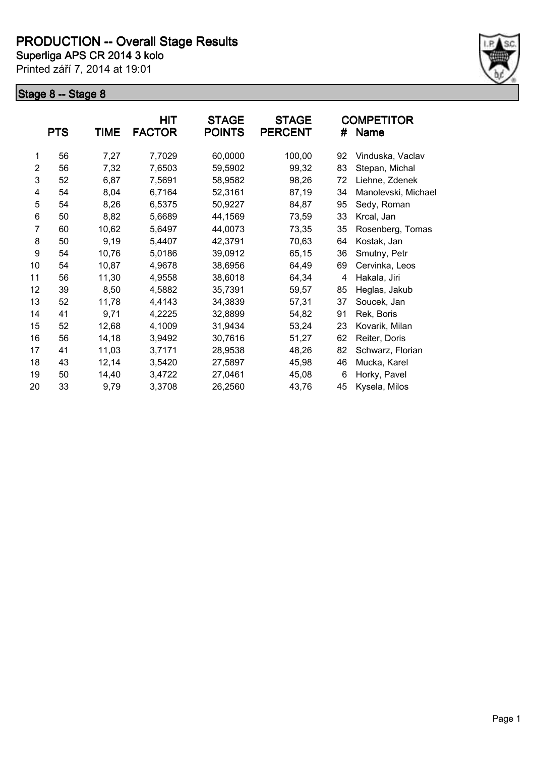

|                | <b>PTS</b> | <b>TIME</b> | <b>HIT</b><br><b>FACTOR</b> | <b>STAGE</b><br><b>POINTS</b> | <b>STAGE</b><br><b>PERCENT</b> | #  | <b>COMPETITOR</b><br><b>Name</b> |
|----------------|------------|-------------|-----------------------------|-------------------------------|--------------------------------|----|----------------------------------|
| 1              | 56         | 7,27        | 7,7029                      | 60,0000                       | 100,00                         | 92 | Vinduska, Vaclav                 |
| $\overline{2}$ | 56         | 7,32        | 7,6503                      | 59,5902                       | 99,32                          | 83 | Stepan, Michal                   |
| 3              | 52         | 6,87        | 7,5691                      | 58,9582                       | 98,26                          | 72 | Liehne, Zdenek                   |
| 4              | 54         | 8,04        | 6,7164                      | 52,3161                       | 87,19                          | 34 | Manolevski, Michael              |
| 5              | 54         | 8,26        | 6,5375                      | 50,9227                       | 84,87                          | 95 | Sedy, Roman                      |
| 6              | 50         | 8,82        | 5,6689                      | 44,1569                       | 73,59                          | 33 | Krcal, Jan                       |
| 7              | 60         | 10,62       | 5,6497                      | 44,0073                       | 73,35                          | 35 | Rosenberg, Tomas                 |
| 8              | 50         | 9,19        | 5,4407                      | 42,3791                       | 70,63                          | 64 | Kostak, Jan                      |
| 9              | 54         | 10,76       | 5,0186                      | 39,0912                       | 65,15                          | 36 | Smutny, Petr                     |
| 10             | 54         | 10,87       | 4,9678                      | 38,6956                       | 64,49                          | 69 | Cervinka, Leos                   |
| 11             | 56         | 11,30       | 4,9558                      | 38,6018                       | 64,34                          | 4  | Hakala, Jiri                     |
| 12             | 39         | 8,50        | 4,5882                      | 35,7391                       | 59,57                          | 85 | Heglas, Jakub                    |
| 13             | 52         | 11,78       | 4,4143                      | 34,3839                       | 57,31                          | 37 | Soucek, Jan                      |
| 14             | 41         | 9,71        | 4,2225                      | 32,8899                       | 54,82                          | 91 | Rek, Boris                       |
| 15             | 52         | 12,68       | 4,1009                      | 31,9434                       | 53,24                          | 23 | Kovarik, Milan                   |
| 16             | 56         | 14,18       | 3,9492                      | 30,7616                       | 51,27                          | 62 | Reiter, Doris                    |
| 17             | 41         | 11,03       | 3,7171                      | 28,9538                       | 48,26                          | 82 | Schwarz, Florian                 |
| 18             | 43         | 12,14       | 3,5420                      | 27,5897                       | 45,98                          | 46 | Mucka, Karel                     |
| 19             | 50         | 14,40       | 3,4722                      | 27,0461                       | 45,08                          | 6  | Horky, Pavel                     |
| 20             | 33         | 9,79        | 3,3708                      | 26,2560                       | 43,76                          | 45 | Kysela, Milos                    |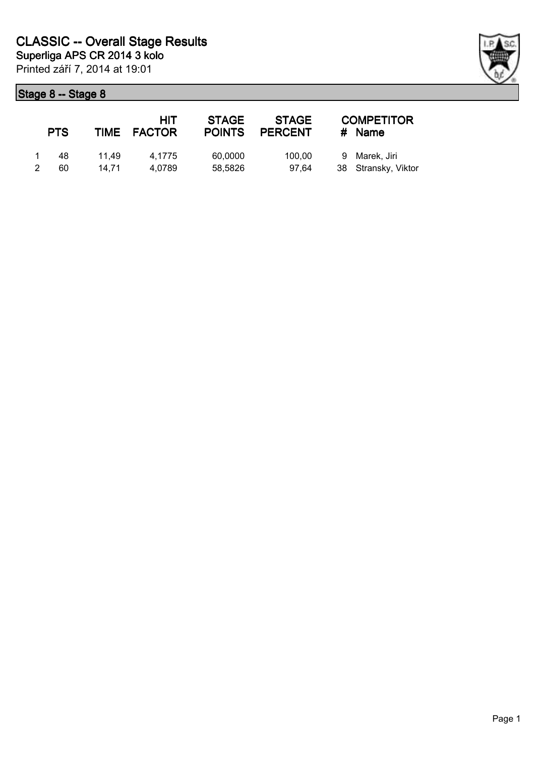| <b>PTS</b> |       | HIT<br>TIME FACTOR | <b>STAGE</b><br><b>POINTS</b> | <b>STAGE</b><br><b>PERCENT</b> | <b>COMPETITOR</b><br># Name |
|------------|-------|--------------------|-------------------------------|--------------------------------|-----------------------------|
| 48         | 11.49 | 4.1775             | 60,0000                       | 100.00                         | 9 Marek, Jiri               |
| 60         | 14.71 | 4.0789             | 58,5826                       | 97.64                          | 38 Stransky, Viktor         |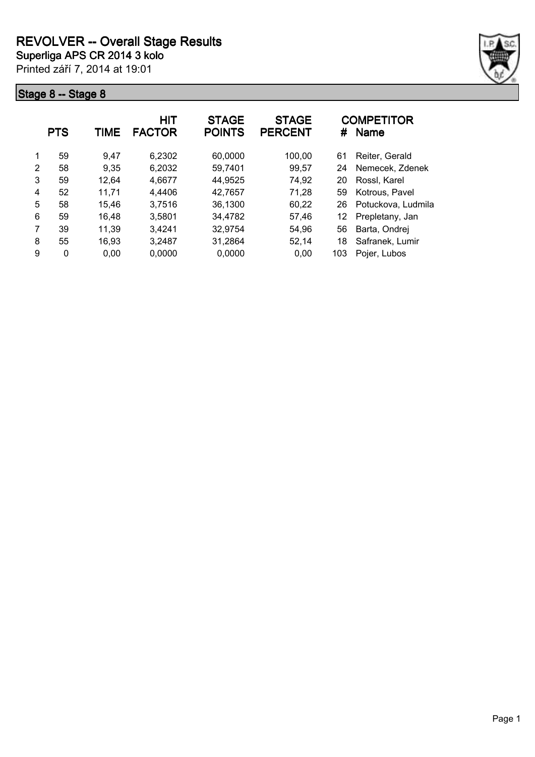

|   | <b>PTS</b> | TIME  | <b>HIT</b><br><b>FACTOR</b> | <b>STAGE</b><br><b>POINTS</b> | <b>STAGE</b><br><b>PERCENT</b> | #   | <b>COMPETITOR</b><br><b>Name</b> |
|---|------------|-------|-----------------------------|-------------------------------|--------------------------------|-----|----------------------------------|
| 1 | 59         | 9.47  | 6,2302                      | 60,0000                       | 100,00                         | 61  | Reiter, Gerald                   |
| 2 | 58         | 9,35  | 6,2032                      | 59,7401                       | 99,57                          | 24  | Nemecek, Zdenek                  |
| 3 | 59         | 12,64 | 4,6677                      | 44,9525                       | 74,92                          | 20  | Rossl, Karel                     |
| 4 | 52         | 11,71 | 4,4406                      | 42,7657                       | 71,28                          | 59  | Kotrous, Pavel                   |
| 5 | 58         | 15,46 | 3,7516                      | 36,1300                       | 60,22                          | 26  | Potuckova, Ludmila               |
| 6 | 59         | 16,48 | 3,5801                      | 34,4782                       | 57,46                          | 12  | Prepletany, Jan                  |
|   | 39         | 11,39 | 3,4241                      | 32,9754                       | 54.96                          | 56  | Barta, Ondrej                    |
| 8 | 55         | 16,93 | 3,2487                      | 31,2864                       | 52,14                          | 18  | Safranek, Lumir                  |
| 9 | 0          | 0,00  | 0,0000                      | 0,0000                        | 0,00                           | 103 | Pojer, Lubos                     |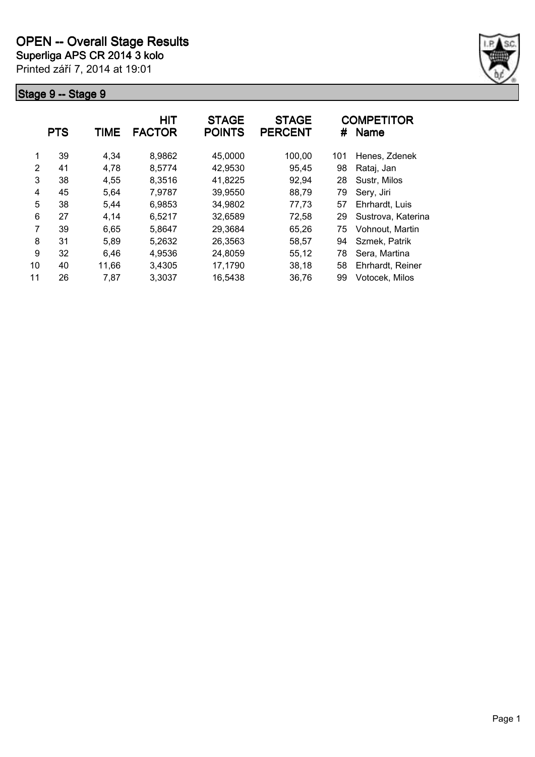

|    | <b>PTS</b> | TIME  | <b>HIT</b><br><b>FACTOR</b> | <b>STAGE</b><br><b>POINTS</b> | <b>STAGE</b><br><b>PERCENT</b> | #   | <b>COMPETITOR</b><br><b>Name</b> |
|----|------------|-------|-----------------------------|-------------------------------|--------------------------------|-----|----------------------------------|
| 1  | 39         | 4,34  | 8,9862                      | 45,0000                       | 100,00                         | 101 | Henes, Zdenek                    |
| 2  | 41         | 4,78  | 8,5774                      | 42,9530                       | 95,45                          | 98  | Rataj, Jan                       |
| 3  | 38         | 4,55  | 8,3516                      | 41,8225                       | 92,94                          | 28  | Sustr, Milos                     |
| 4  | 45         | 5,64  | 7,9787                      | 39,9550                       | 88,79                          | 79  | Sery, Jiri                       |
| 5  | 38         | 5,44  | 6,9853                      | 34,9802                       | 77,73                          | 57  | Ehrhardt, Luis                   |
| 6  | 27         | 4,14  | 6,5217                      | 32,6589                       | 72,58                          | 29  | Sustrova, Katerina               |
| 7  | 39         | 6,65  | 5,8647                      | 29,3684                       | 65,26                          | 75  | Vohnout, Martin                  |
| 8  | 31         | 5,89  | 5,2632                      | 26,3563                       | 58,57                          | 94  | Szmek, Patrik                    |
| 9  | 32         | 6,46  | 4,9536                      | 24,8059                       | 55,12                          | 78  | Sera, Martina                    |
| 10 | 40         | 11,66 | 3,4305                      | 17,1790                       | 38,18                          | 58  | Ehrhardt, Reiner                 |
| 11 | 26         | 7,87  | 3,3037                      | 16,5438                       | 36,76                          | 99  | Votocek, Milos                   |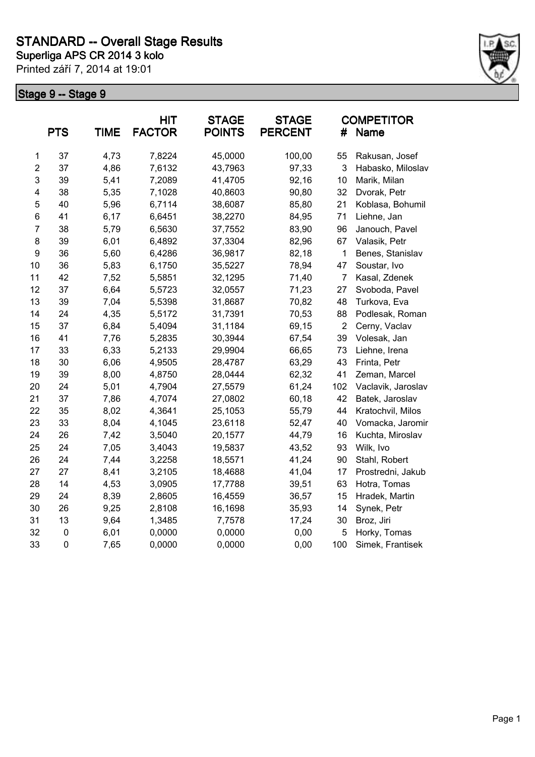

|                | <b>PTS</b>  | <b>TIME</b> | <b>HIT</b><br><b>FACTOR</b> | <b>STAGE</b><br><b>POINTS</b> | <b>STAGE</b><br><b>PERCENT</b> | #              | <b>COMPETITOR</b><br><b>Name</b> |
|----------------|-------------|-------------|-----------------------------|-------------------------------|--------------------------------|----------------|----------------------------------|
| $\mathbf 1$    | 37          | 4,73        | 7,8224                      | 45,0000                       | 100,00                         | 55             | Rakusan, Josef                   |
| $\overline{c}$ | 37          | 4,86        | 7,6132                      | 43,7963                       | 97,33                          | 3              | Habasko, Miloslav                |
| 3              | 39          | 5,41        | 7,2089                      | 41,4705                       | 92,16                          | 10             | Marik, Milan                     |
| 4              | 38          | 5,35        | 7,1028                      | 40,8603                       | 90,80                          | 32             | Dvorak, Petr                     |
| 5              | 40          | 5,96        | 6,7114                      | 38,6087                       | 85,80                          | 21             | Koblasa, Bohumil                 |
| 6              | 41          | 6,17        | 6,6451                      | 38,2270                       | 84,95                          | 71             | Liehne, Jan                      |
| $\overline{7}$ | 38          | 5,79        | 6,5630                      | 37,7552                       | 83,90                          | 96             | Janouch, Pavel                   |
| 8              | 39          | 6,01        | 6,4892                      | 37,3304                       | 82,96                          | 67             | Valasik, Petr                    |
| 9              | 36          | 5,60        | 6,4286                      | 36,9817                       | 82,18                          | 1              | Benes, Stanislav                 |
| 10             | 36          | 5,83        | 6,1750                      | 35,5227                       | 78,94                          | 47             | Soustar, Ivo                     |
| 11             | 42          | 7,52        | 5,5851                      | 32,1295                       | 71,40                          | $\overline{7}$ | Kasal, Zdenek                    |
| 12             | 37          | 6,64        | 5,5723                      | 32,0557                       | 71,23                          | 27             | Svoboda, Pavel                   |
| 13             | 39          | 7,04        | 5,5398                      | 31,8687                       | 70,82                          | 48             | Turkova, Eva                     |
| 14             | 24          | 4,35        | 5,5172                      | 31,7391                       | 70,53                          | 88             | Podlesak, Roman                  |
| 15             | 37          | 6,84        | 5,4094                      | 31,1184                       | 69,15                          | $\overline{2}$ | Cerny, Vaclav                    |
| 16             | 41          | 7,76        | 5,2835                      | 30,3944                       | 67,54                          | 39             | Volesak, Jan                     |
| 17             | 33          | 6,33        | 5,2133                      | 29,9904                       | 66,65                          | 73             | Liehne, Irena                    |
| 18             | 30          | 6,06        | 4,9505                      | 28,4787                       | 63,29                          | 43             | Frinta, Petr                     |
| 19             | 39          | 8,00        | 4,8750                      | 28,0444                       | 62,32                          | 41             | Zeman, Marcel                    |
| 20             | 24          | 5,01        | 4,7904                      | 27,5579                       | 61,24                          | 102            | Vaclavik, Jaroslav               |
| 21             | 37          | 7,86        | 4,7074                      | 27,0802                       | 60,18                          | 42             | Batek, Jaroslav                  |
| 22             | 35          | 8,02        | 4,3641                      | 25,1053                       | 55,79                          | 44             | Kratochvil, Milos                |
| 23             | 33          | 8,04        | 4,1045                      | 23,6118                       | 52,47                          | 40             | Vomacka, Jaromir                 |
| 24             | 26          | 7,42        | 3,5040                      | 20,1577                       | 44,79                          | 16             | Kuchta, Miroslav                 |
| 25             | 24          | 7,05        | 3,4043                      | 19,5837                       | 43,52                          | 93             | Wilk, Ivo                        |
| 26             | 24          | 7,44        | 3,2258                      | 18,5571                       | 41,24                          | 90             | Stahl, Robert                    |
| 27             | 27          | 8,41        | 3,2105                      | 18,4688                       | 41,04                          | 17             | Prostredni, Jakub                |
| 28             | 14          | 4,53        | 3,0905                      | 17,7788                       | 39,51                          | 63             | Hotra, Tomas                     |
| 29             | 24          | 8,39        | 2,8605                      | 16,4559                       | 36,57                          | 15             | Hradek, Martin                   |
| 30             | 26          | 9,25        | 2,8108                      | 16,1698                       | 35,93                          | 14             | Synek, Petr                      |
| 31             | 13          | 9,64        | 1,3485                      | 7,7578                        | 17,24                          | 30             | Broz, Jiri                       |
| 32             | $\mathbf 0$ | 6,01        | 0,0000                      | 0,0000                        | 0,00                           | 5              | Horky, Tomas                     |
| 33             | $\pmb{0}$   | 7,65        | 0,0000                      | 0,0000                        | 0,00                           | 100            | Simek, Frantisek                 |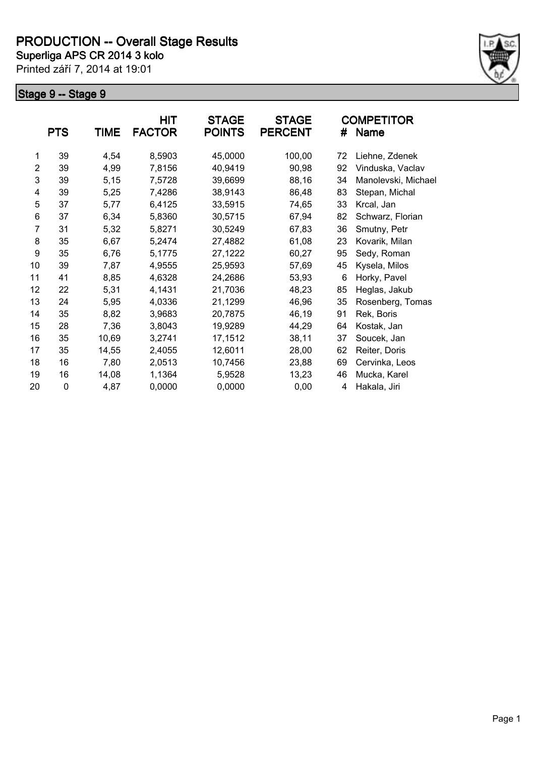

|                | <b>PTS</b>  | <b>TIME</b> | HIT<br><b>FACTOR</b> | <b>STAGE</b><br><b>POINTS</b> | <b>STAGE</b><br><b>PERCENT</b> | #  | <b>COMPETITOR</b><br>Name |
|----------------|-------------|-------------|----------------------|-------------------------------|--------------------------------|----|---------------------------|
| 1              | 39          | 4,54        | 8,5903               | 45,0000                       | 100,00                         | 72 | Liehne, Zdenek            |
| $\overline{2}$ | 39          | 4,99        | 7,8156               | 40,9419                       | 90,98                          | 92 | Vinduska, Vaclav          |
| 3              | 39          | 5,15        | 7,5728               | 39,6699                       | 88,16                          | 34 | Manolevski, Michael       |
| 4              | 39          | 5,25        | 7,4286               | 38,9143                       | 86,48                          | 83 | Stepan, Michal            |
| 5              | 37          | 5,77        | 6,4125               | 33,5915                       | 74,65                          | 33 | Krcal, Jan                |
| 6              | 37          | 6,34        | 5,8360               | 30,5715                       | 67,94                          | 82 | Schwarz, Florian          |
| 7              | 31          | 5,32        | 5,8271               | 30,5249                       | 67,83                          | 36 | Smutny, Petr              |
| 8              | 35          | 6,67        | 5,2474               | 27,4882                       | 61,08                          | 23 | Kovarik, Milan            |
| 9              | 35          | 6,76        | 5,1775               | 27,1222                       | 60,27                          | 95 | Sedy, Roman               |
| 10             | 39          | 7,87        | 4,9555               | 25,9593                       | 57,69                          | 45 | Kysela, Milos             |
| 11             | 41          | 8,85        | 4,6328               | 24,2686                       | 53,93                          | 6  | Horky, Pavel              |
| 12             | 22          | 5,31        | 4,1431               | 21,7036                       | 48,23                          | 85 | Heglas, Jakub             |
| 13             | 24          | 5,95        | 4,0336               | 21,1299                       | 46,96                          | 35 | Rosenberg, Tomas          |
| 14             | 35          | 8,82        | 3,9683               | 20,7875                       | 46,19                          | 91 | Rek, Boris                |
| 15             | 28          | 7,36        | 3,8043               | 19,9289                       | 44,29                          | 64 | Kostak, Jan               |
| 16             | 35          | 10,69       | 3,2741               | 17,1512                       | 38,11                          | 37 | Soucek, Jan               |
| 17             | 35          | 14,55       | 2,4055               | 12,6011                       | 28,00                          | 62 | Reiter, Doris             |
| 18             | 16          | 7,80        | 2,0513               | 10,7456                       | 23,88                          | 69 | Cervinka, Leos            |
| 19             | 16          | 14,08       | 1,1364               | 5,9528                        | 13,23                          | 46 | Mucka, Karel              |
| 20             | $\mathbf 0$ | 4,87        | 0,0000               | 0,0000                        | 0,00                           | 4  | Hakala, Jiri              |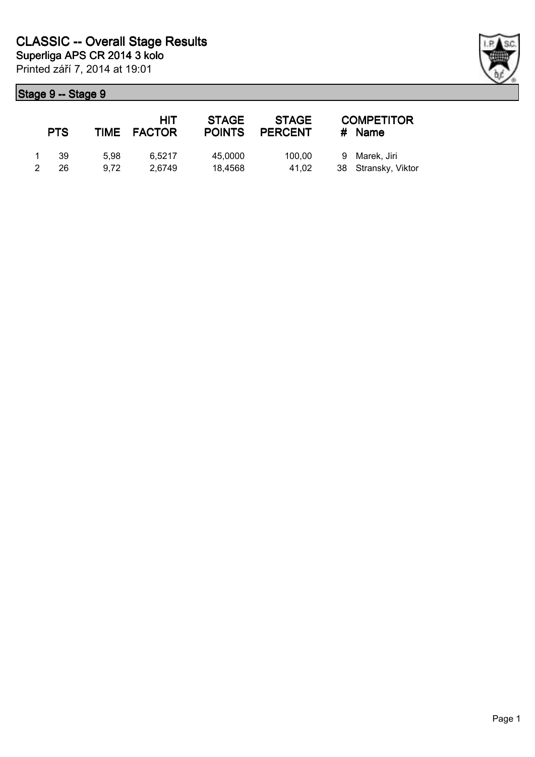|               | <b>PTS</b> |      | <b>HIT</b><br>TIME FACTOR | <b>STAGE</b><br><b>POINTS</b> | <b>STAGE</b><br><b>PERCENT</b> | <b>COMPETITOR</b><br># Name |
|---------------|------------|------|---------------------------|-------------------------------|--------------------------------|-----------------------------|
|               | -39        | 5.98 | 6.5217                    | 45,0000                       | 100.00                         | 9 Marek, Jiri               |
| $\mathcal{P}$ | 26         | 9.72 | 2.6749                    | 18.4568                       | 41.02                          | 38 Stransky, Viktor         |

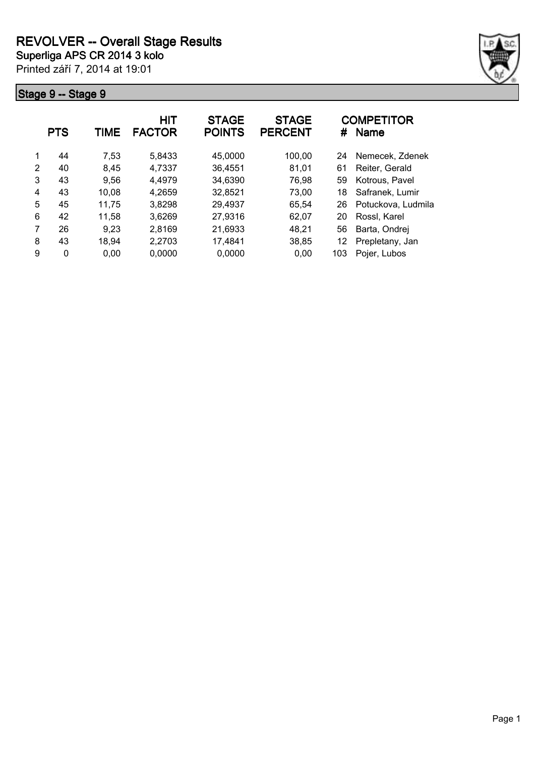

|   | <b>PTS</b> | TIME  | HIT<br><b>FACTOR</b> | <b>STAGE</b><br><b>POINTS</b> | <b>STAGE</b><br><b>PERCENT</b> | #   | <b>COMPETITOR</b><br><b>Name</b> |
|---|------------|-------|----------------------|-------------------------------|--------------------------------|-----|----------------------------------|
|   | 44         | 7,53  | 5,8433               | 45,0000                       | 100,00                         | 24  | Nemecek. Zdenek                  |
| 2 | 40         | 8,45  | 4,7337               | 36,4551                       | 81,01                          | 61  | Reiter, Gerald                   |
| 3 | 43         | 9,56  | 4,4979               | 34,6390                       | 76,98                          | 59  | Kotrous, Pavel                   |
| 4 | 43         | 10,08 | 4,2659               | 32,8521                       | 73,00                          | 18  | Safranek, Lumir                  |
| 5 | 45         | 11,75 | 3,8298               | 29,4937                       | 65,54                          | 26  | Potuckova, Ludmila               |
| 6 | 42         | 11,58 | 3,6269               | 27,9316                       | 62,07                          | 20  | Rossl, Karel                     |
|   | 26         | 9,23  | 2,8169               | 21,6933                       | 48,21                          | 56  | Barta, Ondrej                    |
| 8 | 43         | 18,94 | 2,2703               | 17,4841                       | 38,85                          | 12  | Prepletany, Jan                  |
| 9 | 0          | 0.00  | 0,0000               | 0,0000                        | 0.00                           | 103 | Pojer, Lubos                     |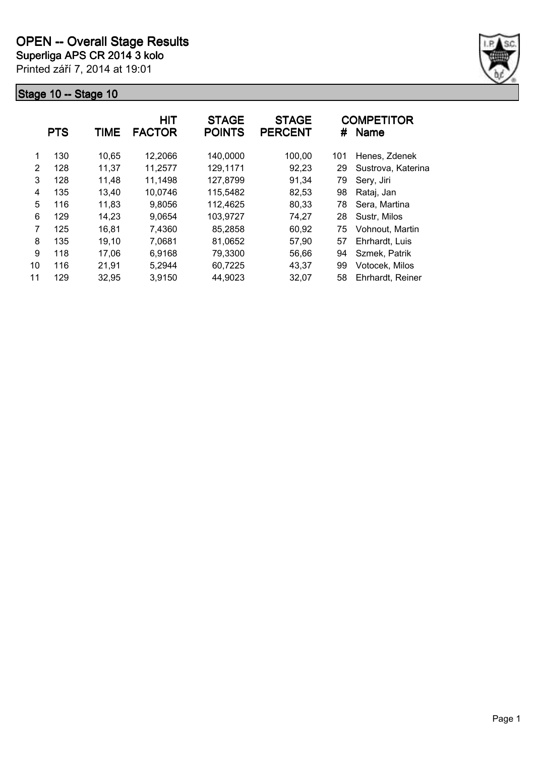

|    | <b>PTS</b> | <b>TIME</b> | <b>HIT</b><br><b>FACTOR</b> | <b>STAGE</b><br><b>POINTS</b> | <b>STAGE</b><br><b>PERCENT</b> | #   | <b>COMPETITOR</b><br><b>Name</b> |
|----|------------|-------------|-----------------------------|-------------------------------|--------------------------------|-----|----------------------------------|
| 1  | 130        | 10,65       | 12,2066                     | 140,0000                      | 100,00                         | 101 | Henes, Zdenek                    |
| 2  | 128        | 11,37       | 11,2577                     | 129,1171                      | 92,23                          | 29  | Sustrova, Katerina               |
| 3  | 128        | 11.48       | 11,1498                     | 127,8799                      | 91,34                          | 79  | Sery, Jiri                       |
| 4  | 135        | 13,40       | 10,0746                     | 115,5482                      | 82,53                          | 98  | Rataj, Jan                       |
| 5  | 116        | 11,83       | 9,8056                      | 112,4625                      | 80,33                          | 78  | Sera, Martina                    |
| 6  | 129        | 14,23       | 9,0654                      | 103,9727                      | 74,27                          | 28  | Sustr, Milos                     |
| 7  | 125        | 16,81       | 7,4360                      | 85,2858                       | 60,92                          | 75  | Vohnout, Martin                  |
| 8  | 135        | 19,10       | 7,0681                      | 81,0652                       | 57,90                          | 57  | Ehrhardt, Luis                   |
| 9  | 118        | 17,06       | 6,9168                      | 79,3300                       | 56,66                          | 94  | Szmek, Patrik                    |
| 10 | 116        | 21,91       | 5,2944                      | 60,7225                       | 43,37                          | 99  | Votocek, Milos                   |
| 11 | 129        | 32,95       | 3,9150                      | 44,9023                       | 32,07                          | 58  | Ehrhardt, Reiner                 |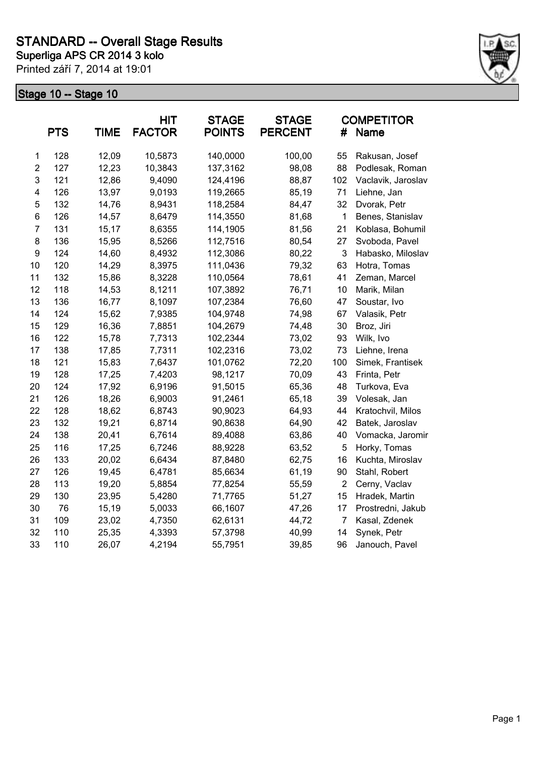

|                         | <b>PTS</b> | <b>TIME</b> | <b>HIT</b><br><b>FACTOR</b> | <b>STAGE</b><br><b>POINTS</b> | <b>STAGE</b><br><b>PERCENT</b> | #              | <b>COMPETITOR</b><br>Name |
|-------------------------|------------|-------------|-----------------------------|-------------------------------|--------------------------------|----------------|---------------------------|
| $\mathbf 1$             | 128        | 12,09       | 10,5873                     | 140,0000                      | 100,00                         | 55             | Rakusan, Josef            |
| $\overline{2}$          | 127        | 12,23       | 10,3843                     | 137,3162                      | 98,08                          | 88             | Podlesak, Roman           |
| 3                       | 121        | 12,86       | 9,4090                      | 124,4196                      | 88,87                          | 102            | Vaclavik, Jaroslav        |
| $\overline{\mathbf{4}}$ | 126        | 13,97       | 9,0193                      | 119,2665                      | 85,19                          | 71             | Liehne, Jan               |
| $\mathbf 5$             | 132        | 14,76       | 8,9431                      | 118,2584                      | 84,47                          | 32             | Dvorak, Petr              |
| 6                       | 126        | 14,57       | 8,6479                      | 114,3550                      | 81,68                          | $\mathbf 1$    | Benes, Stanislav          |
| $\overline{7}$          | 131        | 15,17       | 8,6355                      | 114,1905                      | 81,56                          | 21             | Koblasa, Bohumil          |
| 8                       | 136        | 15,95       | 8,5266                      | 112,7516                      | 80,54                          | 27             | Svoboda, Pavel            |
| 9                       | 124        | 14,60       | 8,4932                      | 112,3086                      | 80,22                          | 3              | Habasko, Miloslav         |
| 10                      | 120        | 14,29       | 8,3975                      | 111,0436                      | 79,32                          | 63             | Hotra, Tomas              |
| 11                      | 132        | 15,86       | 8,3228                      | 110,0564                      | 78,61                          | 41             | Zeman, Marcel             |
| 12                      | 118        | 14,53       | 8,1211                      | 107,3892                      | 76,71                          | 10             | Marik, Milan              |
| 13                      | 136        | 16,77       | 8,1097                      | 107,2384                      | 76,60                          | 47             | Soustar, Ivo              |
| 14                      | 124        | 15,62       | 7,9385                      | 104,9748                      | 74,98                          | 67             | Valasik, Petr             |
| 15                      | 129        | 16,36       | 7,8851                      | 104,2679                      | 74,48                          | 30             | Broz, Jiri                |
| 16                      | 122        | 15,78       | 7,7313                      | 102,2344                      | 73,02                          | 93             | Wilk, Ivo                 |
| 17                      | 138        | 17,85       | 7,7311                      | 102,2316                      | 73,02                          | 73             | Liehne, Irena             |
| 18                      | 121        | 15,83       | 7,6437                      | 101,0762                      | 72,20                          | 100            | Simek, Frantisek          |
| 19                      | 128        | 17,25       | 7,4203                      | 98,1217                       | 70,09                          | 43             | Frinta, Petr              |
| 20                      | 124        | 17,92       | 6,9196                      | 91,5015                       | 65,36                          | 48             | Turkova, Eva              |
| 21                      | 126        | 18,26       | 6,9003                      | 91,2461                       | 65,18                          | 39             | Volesak, Jan              |
| 22                      | 128        | 18,62       | 6,8743                      | 90,9023                       | 64,93                          | 44             | Kratochvil, Milos         |
| 23                      | 132        | 19,21       | 6,8714                      | 90,8638                       | 64,90                          | 42             | Batek, Jaroslav           |
| 24                      | 138        | 20,41       | 6,7614                      | 89,4088                       | 63,86                          | 40             | Vomacka, Jaromir          |
| 25                      | 116        | 17,25       | 6,7246                      | 88,9228                       | 63,52                          | 5              | Horky, Tomas              |
| 26                      | 133        | 20,02       | 6,6434                      | 87,8480                       | 62,75                          | 16             | Kuchta, Miroslav          |
| 27                      | 126        | 19,45       | 6,4781                      | 85,6634                       | 61,19                          | 90             | Stahl, Robert             |
| 28                      | 113        | 19,20       | 5,8854                      | 77,8254                       | 55,59                          | $\overline{2}$ | Cerny, Vaclav             |
| 29                      | 130        | 23,95       | 5,4280                      | 71,7765                       | 51,27                          | 15             | Hradek, Martin            |
| 30                      | 76         | 15,19       | 5,0033                      | 66,1607                       | 47,26                          | 17             | Prostredni, Jakub         |
| 31                      | 109        | 23,02       | 4,7350                      | 62,6131                       | 44,72                          | 7              | Kasal, Zdenek             |
| 32                      | 110        | 25,35       | 4,3393                      | 57,3798                       | 40,99                          | 14             | Synek, Petr               |
| 33                      | 110        | 26,07       | 4,2194                      | 55,7951                       | 39,85                          | 96             | Janouch, Pavel            |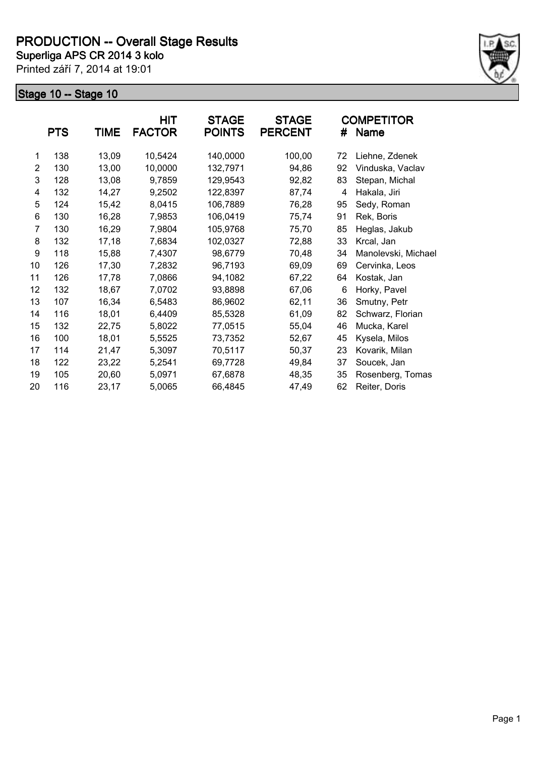

|                | <b>PTS</b> | <b>TIME</b> | HIT<br><b>FACTOR</b> | <b>STAGE</b><br><b>POINTS</b> | <b>STAGE</b><br><b>PERCENT</b> | #  | <b>COMPETITOR</b><br>Name |
|----------------|------------|-------------|----------------------|-------------------------------|--------------------------------|----|---------------------------|
| 1              | 138        | 13,09       | 10,5424              | 140,0000                      | 100,00                         | 72 | Liehne, Zdenek            |
| $\overline{2}$ | 130        | 13,00       | 10,0000              | 132,7971                      | 94,86                          | 92 | Vinduska, Vaclav          |
| 3              | 128        | 13,08       | 9,7859               | 129,9543                      | 92,82                          | 83 | Stepan, Michal            |
| 4              | 132        | 14,27       | 9,2502               | 122,8397                      | 87,74                          | 4  | Hakala, Jiri              |
| 5              | 124        | 15,42       | 8,0415               | 106,7889                      | 76,28                          | 95 | Sedy, Roman               |
| 6              | 130        | 16,28       | 7,9853               | 106,0419                      | 75,74                          | 91 | Rek, Boris                |
| 7              | 130        | 16,29       | 7,9804               | 105,9768                      | 75,70                          | 85 | Heglas, Jakub             |
| 8              | 132        | 17,18       | 7,6834               | 102,0327                      | 72,88                          | 33 | Krcal, Jan                |
| 9              | 118        | 15,88       | 7,4307               | 98,6779                       | 70,48                          | 34 | Manolevski, Michael       |
| 10             | 126        | 17,30       | 7,2832               | 96,7193                       | 69,09                          | 69 | Cervinka, Leos            |
| 11             | 126        | 17,78       | 7,0866               | 94,1082                       | 67,22                          | 64 | Kostak, Jan               |
| 12             | 132        | 18,67       | 7,0702               | 93,8898                       | 67,06                          | 6  | Horky, Pavel              |
| 13             | 107        | 16,34       | 6,5483               | 86,9602                       | 62,11                          | 36 | Smutny, Petr              |
| 14             | 116        | 18,01       | 6,4409               | 85,5328                       | 61,09                          | 82 | Schwarz, Florian          |
| 15             | 132        | 22,75       | 5,8022               | 77,0515                       | 55,04                          | 46 | Mucka, Karel              |
| 16             | 100        | 18,01       | 5,5525               | 73,7352                       | 52,67                          | 45 | Kysela, Milos             |
| 17             | 114        | 21,47       | 5,3097               | 70,5117                       | 50,37                          | 23 | Kovarik, Milan            |
| 18             | 122        | 23,22       | 5,2541               | 69,7728                       | 49,84                          | 37 | Soucek, Jan               |
| 19             | 105        | 20,60       | 5,0971               | 67,6878                       | 48,35                          | 35 | Rosenberg, Tomas          |
| 20             | 116        | 23,17       | 5,0065               | 66,4845                       | 47,49                          | 62 | Reiter, Doris             |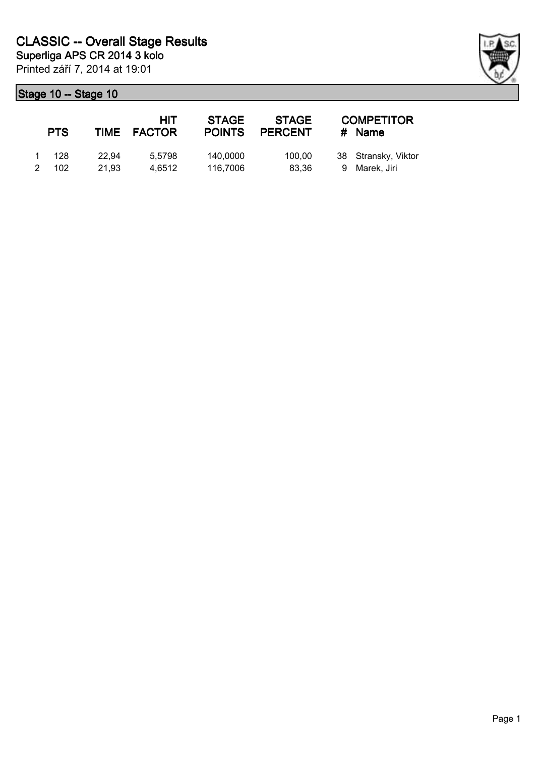|   | <b>PTS</b>     |                | HIT<br>TIME FACTOR | <b>STAGE</b><br><b>POINTS</b> | <b>STAGE</b><br><b>PERCENT</b> | <b>COMPETITOR</b><br># Name          |
|---|----------------|----------------|--------------------|-------------------------------|--------------------------------|--------------------------------------|
| 2 | 1 128<br>- 102 | 22.94<br>21.93 | 5.5798<br>4.6512   | 140,0000<br>116,7006          | 100.00<br>83.36                | 38 Stransky, Viktor<br>9 Marek, Jiri |

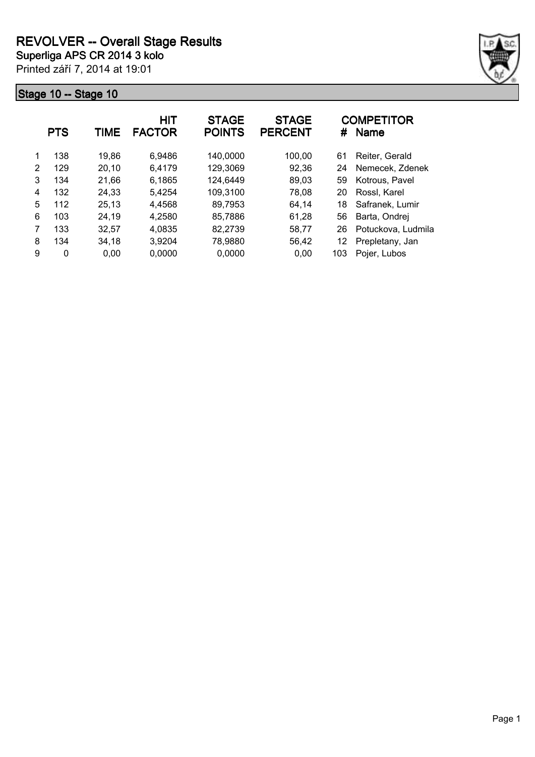

|   | <b>PTS</b> | TIME  | HIT<br><b>FACTOR</b> | <b>STAGE</b><br><b>POINTS</b> | <b>STAGE</b><br><b>PERCENT</b> | #   | <b>COMPETITOR</b><br><b>Name</b> |
|---|------------|-------|----------------------|-------------------------------|--------------------------------|-----|----------------------------------|
| 1 | 138        | 19,86 | 6,9486               | 140,0000                      | 100,00                         | 61  | Reiter, Gerald                   |
| 2 | 129        | 20,10 | 6,4179               | 129,3069                      | 92,36                          | 24  | Nemecek. Zdenek                  |
| 3 | 134        | 21,66 | 6,1865               | 124,6449                      | 89,03                          | 59  | Kotrous, Pavel                   |
| 4 | 132        | 24,33 | 5,4254               | 109,3100                      | 78,08                          | 20  | Rossl, Karel                     |
| 5 | 112        | 25,13 | 4,4568               | 89,7953                       | 64.14                          | 18  | Safranek, Lumir                  |
| 6 | 103        | 24,19 | 4,2580               | 85,7886                       | 61,28                          | 56  | Barta, Ondrej                    |
|   | 133        | 32.57 | 4,0835               | 82,2739                       | 58,77                          | 26  | Potuckova, Ludmila               |
| 8 | 134        | 34.18 | 3,9204               | 78,9880                       | 56,42                          | 12  | Prepletany, Jan                  |
| 9 | 0          | 0,00  | 0,0000               | 0,0000                        | 0,00                           | 103 | Pojer, Lubos                     |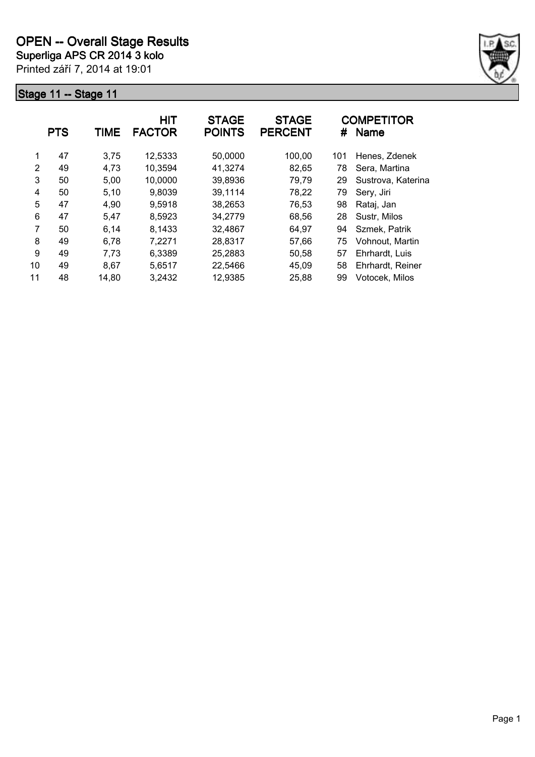

|    | <b>PTS</b> | TIME  | <b>HIT</b><br><b>FACTOR</b> | <b>STAGE</b><br><b>POINTS</b> | <b>STAGE</b><br><b>PERCENT</b> | #   | <b>COMPETITOR</b><br><b>Name</b> |
|----|------------|-------|-----------------------------|-------------------------------|--------------------------------|-----|----------------------------------|
| 1  | 47         | 3,75  | 12,5333                     | 50,0000                       | 100,00                         | 101 | Henes, Zdenek                    |
| 2  | 49         | 4,73  | 10,3594                     | 41,3274                       | 82,65                          | 78  | Sera, Martina                    |
| 3  | 50         | 5,00  | 10,0000                     | 39,8936                       | 79,79                          | 29  | Sustrova, Katerina               |
| 4  | 50         | 5,10  | 9,8039                      | 39,1114                       | 78,22                          | 79  | Sery, Jiri                       |
| 5  | 47         | 4,90  | 9,5918                      | 38,2653                       | 76,53                          | 98  | Rataj, Jan                       |
| 6  | 47         | 5,47  | 8,5923                      | 34,2779                       | 68,56                          | 28  | Sustr, Milos                     |
| 7  | 50         | 6,14  | 8,1433                      | 32,4867                       | 64,97                          | 94  | Szmek, Patrik                    |
| 8  | 49         | 6,78  | 7,2271                      | 28,8317                       | 57,66                          | 75  | Vohnout, Martin                  |
| 9  | 49         | 7,73  | 6,3389                      | 25,2883                       | 50,58                          | 57  | Ehrhardt, Luis                   |
| 10 | 49         | 8,67  | 5,6517                      | 22,5466                       | 45,09                          | 58  | Ehrhardt, Reiner                 |
| 11 | 48         | 14,80 | 3,2432                      | 12,9385                       | 25,88                          | 99  | Votocek, Milos                   |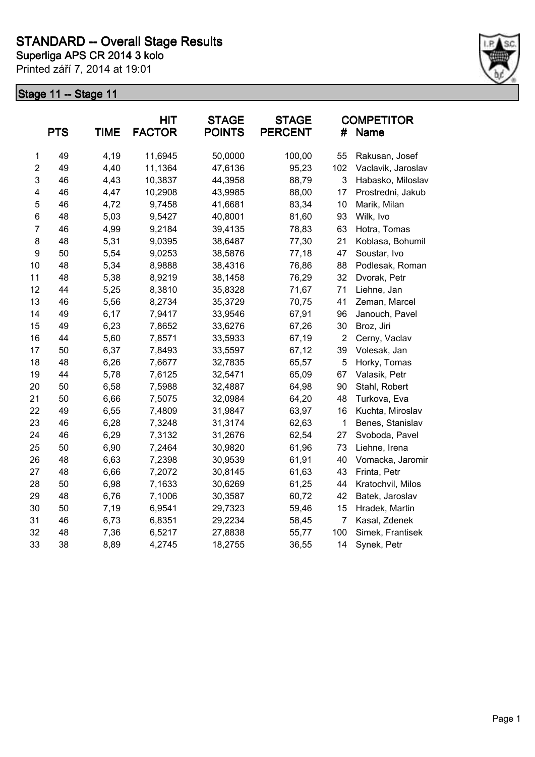

|                         | <b>PTS</b> | <b>TIME</b> | <b>HIT</b><br><b>FACTOR</b> | <b>STAGE</b><br><b>POINTS</b> | <b>STAGE</b><br><b>PERCENT</b> | #              | <b>COMPETITOR</b><br><b>Name</b> |
|-------------------------|------------|-------------|-----------------------------|-------------------------------|--------------------------------|----------------|----------------------------------|
| $\mathbf 1$             | 49         | 4,19        | 11,6945                     | 50,0000                       | 100,00                         | 55             | Rakusan, Josef                   |
| $\overline{c}$          | 49         | 4,40        | 11,1364                     | 47,6136                       | 95,23                          | 102            | Vaclavik, Jaroslav               |
| 3                       | 46         | 4,43        | 10,3837                     | 44,3958                       | 88,79                          | 3              | Habasko, Miloslav                |
| $\overline{\mathbf{4}}$ | 46         | 4,47        | 10,2908                     | 43,9985                       | 88,00                          | 17             | Prostredni, Jakub                |
| 5                       | 46         | 4,72        | 9,7458                      | 41,6681                       | 83,34                          | 10             | Marik, Milan                     |
| $\,6$                   | 48         | 5,03        | 9,5427                      | 40,8001                       | 81,60                          | 93             | Wilk, Ivo                        |
| $\overline{7}$          | 46         | 4,99        | 9,2184                      | 39,4135                       | 78,83                          | 63             | Hotra, Tomas                     |
| 8                       | 48         | 5,31        | 9,0395                      | 38,6487                       | 77,30                          | 21             | Koblasa, Bohumil                 |
| 9                       | 50         | 5,54        | 9,0253                      | 38,5876                       | 77,18                          | 47             | Soustar, Ivo                     |
| 10                      | 48         | 5,34        | 8,9888                      | 38,4316                       | 76,86                          | 88             | Podlesak, Roman                  |
| 11                      | 48         | 5,38        | 8,9219                      | 38,1458                       | 76,29                          | 32             | Dvorak, Petr                     |
| 12                      | 44         | 5,25        | 8,3810                      | 35,8328                       | 71,67                          | 71             | Liehne, Jan                      |
| 13                      | 46         | 5,56        | 8,2734                      | 35,3729                       | 70,75                          | 41             | Zeman, Marcel                    |
| 14                      | 49         | 6,17        | 7,9417                      | 33,9546                       | 67,91                          | 96             | Janouch, Pavel                   |
| 15                      | 49         | 6,23        | 7,8652                      | 33,6276                       | 67,26                          | 30             | Broz, Jiri                       |
| 16                      | 44         | 5,60        | 7,8571                      | 33,5933                       | 67,19                          | $\overline{2}$ | Cerny, Vaclav                    |
| 17                      | 50         | 6,37        | 7,8493                      | 33,5597                       | 67,12                          | 39             | Volesak, Jan                     |
| 18                      | 48         | 6,26        | 7,6677                      | 32,7835                       | 65,57                          | 5              | Horky, Tomas                     |
| 19                      | 44         | 5,78        | 7,6125                      | 32,5471                       | 65,09                          | 67             | Valasik, Petr                    |
| 20                      | 50         | 6,58        | 7,5988                      | 32,4887                       | 64,98                          | 90             | Stahl, Robert                    |
| 21                      | 50         | 6,66        | 7,5075                      | 32,0984                       | 64,20                          | 48             | Turkova, Eva                     |
| 22                      | 49         | 6,55        | 7,4809                      | 31,9847                       | 63,97                          | 16             | Kuchta, Miroslav                 |
| 23                      | 46         | 6,28        | 7,3248                      | 31,3174                       | 62,63                          | 1              | Benes, Stanislav                 |
| 24                      | 46         | 6,29        | 7,3132                      | 31,2676                       | 62,54                          | 27             | Svoboda, Pavel                   |
| 25                      | 50         | 6,90        | 7,2464                      | 30,9820                       | 61,96                          | 73             | Liehne, Irena                    |
| 26                      | 48         | 6,63        | 7,2398                      | 30,9539                       | 61,91                          | 40             | Vomacka, Jaromir                 |
| 27                      | 48         | 6,66        | 7,2072                      | 30,8145                       | 61,63                          | 43             | Frinta, Petr                     |
| 28                      | 50         | 6,98        | 7,1633                      | 30,6269                       | 61,25                          | 44             | Kratochvil, Milos                |
| 29                      | 48         | 6,76        | 7,1006                      | 30,3587                       | 60,72                          | 42             | Batek, Jaroslav                  |
| 30                      | 50         | 7,19        | 6,9541                      | 29,7323                       | 59,46                          | 15             | Hradek, Martin                   |
| 31                      | 46         | 6,73        | 6,8351                      | 29,2234                       | 58,45                          | $\overline{7}$ | Kasal, Zdenek                    |
| 32                      | 48         | 7,36        | 6,5217                      | 27,8838                       | 55,77                          | 100            | Simek, Frantisek                 |
| 33                      | 38         | 8,89        | 4,2745                      | 18,2755                       | 36,55                          | 14             | Synek, Petr                      |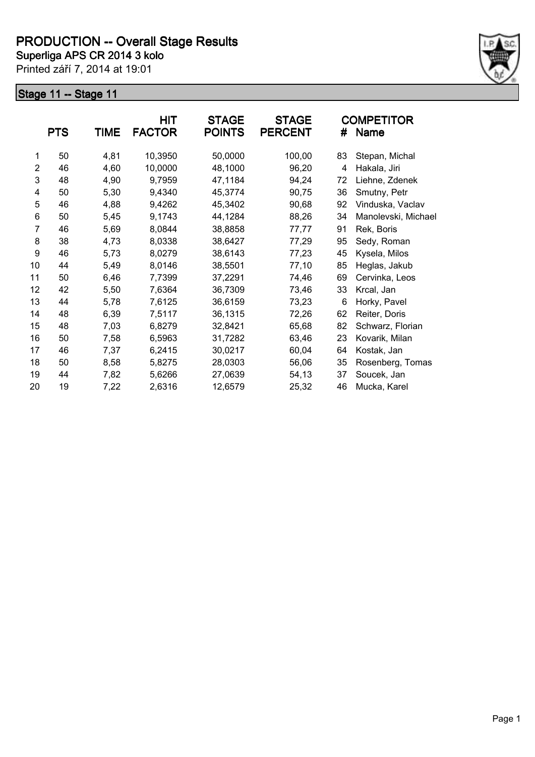

|                | <b>PTS</b> | <b>TIME</b> | <b>HIT</b><br><b>FACTOR</b> | <b>STAGE</b><br><b>POINTS</b> | <b>STAGE</b><br><b>PERCENT</b> | #  | <b>COMPETITOR</b><br>Name |
|----------------|------------|-------------|-----------------------------|-------------------------------|--------------------------------|----|---------------------------|
| 1              | 50         | 4,81        | 10,3950                     | 50,0000                       | 100,00                         | 83 | Stepan, Michal            |
| $\overline{2}$ | 46         | 4,60        | 10,0000                     | 48,1000                       | 96,20                          | 4  | Hakala, Jiri              |
| 3              | 48         | 4,90        | 9,7959                      | 47,1184                       | 94,24                          | 72 | Liehne, Zdenek            |
| 4              | 50         | 5,30        | 9,4340                      | 45,3774                       | 90,75                          | 36 | Smutny, Petr              |
| 5              | 46         | 4,88        | 9,4262                      | 45,3402                       | 90,68                          | 92 | Vinduska, Vaclav          |
| 6              | 50         | 5,45        | 9,1743                      | 44,1284                       | 88,26                          | 34 | Manolevski, Michael       |
| 7              | 46         | 5,69        | 8,0844                      | 38,8858                       | 77,77                          | 91 | Rek, Boris                |
| 8              | 38         | 4,73        | 8,0338                      | 38,6427                       | 77,29                          | 95 | Sedy, Roman               |
| 9              | 46         | 5,73        | 8,0279                      | 38,6143                       | 77,23                          | 45 | Kysela, Milos             |
| 10             | 44         | 5,49        | 8,0146                      | 38,5501                       | 77,10                          | 85 | Heglas, Jakub             |
| 11             | 50         | 6,46        | 7,7399                      | 37,2291                       | 74,46                          | 69 | Cervinka, Leos            |
| 12             | 42         | 5,50        | 7,6364                      | 36,7309                       | 73,46                          | 33 | Krcal, Jan                |
| 13             | 44         | 5,78        | 7,6125                      | 36,6159                       | 73,23                          | 6  | Horky, Pavel              |
| 14             | 48         | 6,39        | 7,5117                      | 36,1315                       | 72,26                          | 62 | Reiter, Doris             |
| 15             | 48         | 7,03        | 6,8279                      | 32,8421                       | 65,68                          | 82 | Schwarz, Florian          |
| 16             | 50         | 7,58        | 6,5963                      | 31,7282                       | 63,46                          | 23 | Kovarik, Milan            |
| 17             | 46         | 7,37        | 6,2415                      | 30,0217                       | 60,04                          | 64 | Kostak, Jan               |
| 18             | 50         | 8,58        | 5,8275                      | 28,0303                       | 56,06                          | 35 | Rosenberg, Tomas          |
| 19             | 44         | 7,82        | 5,6266                      | 27,0639                       | 54,13                          | 37 | Soucek, Jan               |
| 20             | 19         | 7,22        | 2,6316                      | 12,6579                       | 25,32                          | 46 | Mucka, Karel              |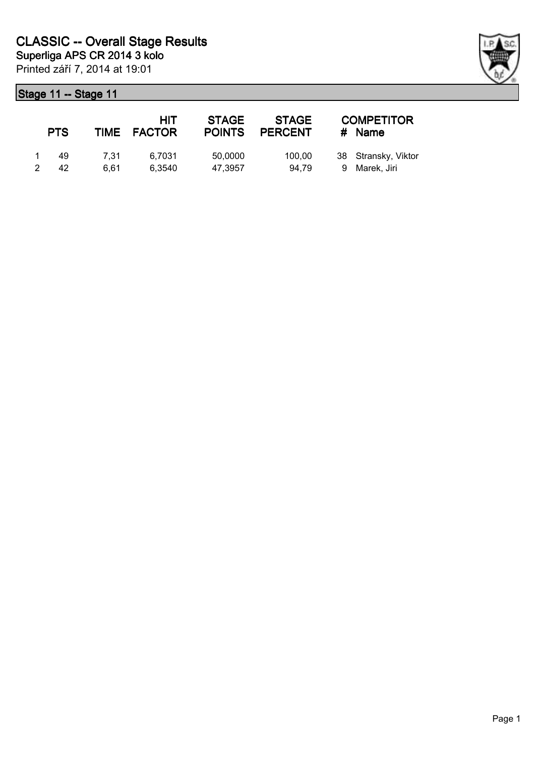| <b>PTS</b> |      | HIT<br>TIME FACTOR | <b>STAGE</b><br><b>POINTS</b> | <b>STAGE</b><br><b>PERCENT</b> | <b>COMPETITOR</b><br># Name |
|------------|------|--------------------|-------------------------------|--------------------------------|-----------------------------|
| 49         | 7.31 | 6.7031             | 50,0000                       | 100.00                         | 38 Stransky, Viktor         |
| 42         | 6.61 | 6.3540             | 47.3957                       | 94.79                          | 9 Marek, Jiri               |

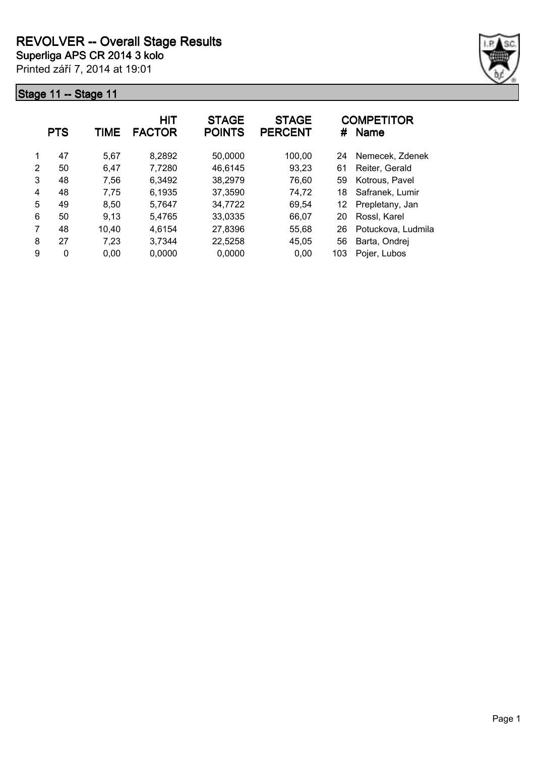

|   | <b>PTS</b> | TIME  | <b>HIT</b><br><b>FACTOR</b> | <b>STAGE</b><br><b>POINTS</b> | <b>STAGE</b><br><b>PERCENT</b> | #   | <b>COMPETITOR</b><br><b>Name</b> |
|---|------------|-------|-----------------------------|-------------------------------|--------------------------------|-----|----------------------------------|
| 1 | 47         | 5,67  | 8,2892                      | 50,0000                       | 100,00                         | 24  | Nemecek, Zdenek                  |
| 2 | 50         | 6,47  | 7,7280                      | 46,6145                       | 93,23                          | 61  | Reiter, Gerald                   |
| 3 | 48         | 7,56  | 6,3492                      | 38,2979                       | 76,60                          | 59  | Kotrous, Pavel                   |
| 4 | 48         | 7,75  | 6,1935                      | 37,3590                       | 74,72                          | 18  | Safranek, Lumir                  |
| 5 | 49         | 8,50  | 5,7647                      | 34,7722                       | 69,54                          | 12  | Prepletany, Jan                  |
| 6 | 50         | 9,13  | 5,4765                      | 33,0335                       | 66,07                          | 20  | Rossl, Karel                     |
| 7 | 48         | 10,40 | 4,6154                      | 27,8396                       | 55,68                          | 26  | Potuckova, Ludmila               |
| 8 | 27         | 7,23  | 3,7344                      | 22,5258                       | 45,05                          | 56  | Barta, Ondrej                    |
| 9 | 0          | 0,00  | 0,0000                      | 0,0000                        | 0.00                           | 103 | Pojer, Lubos                     |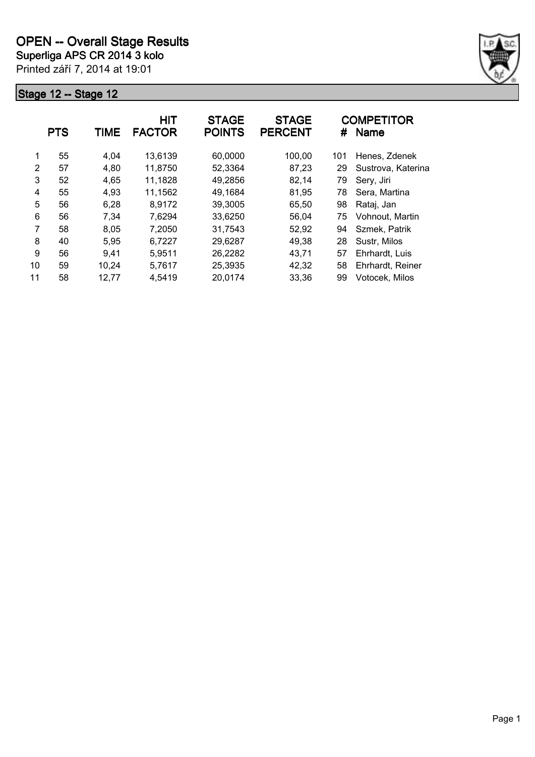

|    | <b>PTS</b> | TIME  | <b>HIT</b><br><b>FACTOR</b> | <b>STAGE</b><br><b>POINTS</b> | <b>STAGE</b><br><b>PERCENT</b> | #   | <b>COMPETITOR</b><br><b>Name</b> |
|----|------------|-------|-----------------------------|-------------------------------|--------------------------------|-----|----------------------------------|
| 1  | 55         | 4,04  | 13,6139                     | 60,0000                       | 100,00                         | 101 | Henes, Zdenek                    |
| 2  | 57         | 4,80  | 11,8750                     | 52,3364                       | 87,23                          | 29  | Sustrova, Katerina               |
| 3  | 52         | 4,65  | 11,1828                     | 49,2856                       | 82,14                          | 79  | Sery, Jiri                       |
| 4  | 55         | 4,93  | 11,1562                     | 49,1684                       | 81,95                          | 78  | Sera, Martina                    |
| 5  | 56         | 6,28  | 8,9172                      | 39,3005                       | 65,50                          | 98  | Rataj, Jan                       |
| 6  | 56         | 7,34  | 7,6294                      | 33,6250                       | 56,04                          | 75  | Vohnout, Martin                  |
| 7  | 58         | 8,05  | 7,2050                      | 31,7543                       | 52,92                          | 94  | Szmek, Patrik                    |
| 8  | 40         | 5,95  | 6,7227                      | 29,6287                       | 49,38                          | 28  | Sustr, Milos                     |
| 9  | 56         | 9.41  | 5,9511                      | 26,2282                       | 43,71                          | 57  | Ehrhardt, Luis                   |
| 10 | 59         | 10,24 | 5,7617                      | 25,3935                       | 42,32                          | 58  | Ehrhardt, Reiner                 |
| 11 | 58         | 12,77 | 4,5419                      | 20,0174                       | 33,36                          | 99  | Votocek, Milos                   |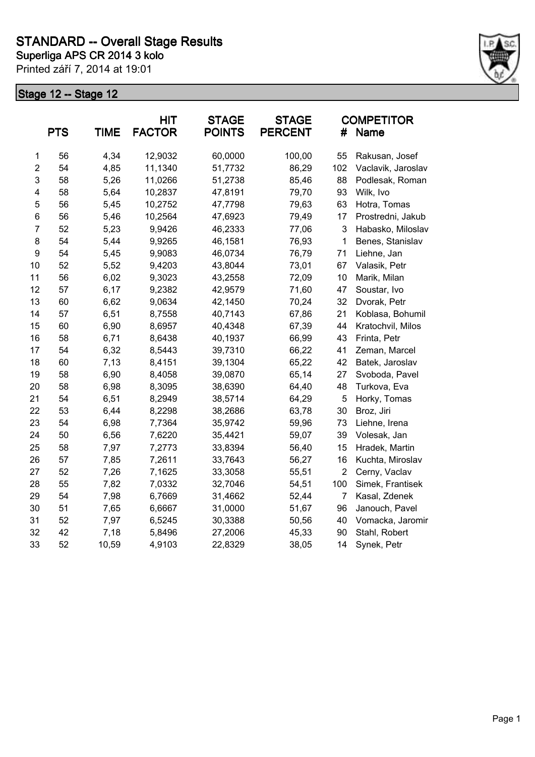

|                         | <b>PTS</b> | <b>TIME</b> | <b>HIT</b><br><b>FACTOR</b> | <b>STAGE</b><br><b>POINTS</b> | <b>STAGE</b><br><b>PERCENT</b> | #              | <b>COMPETITOR</b><br><b>Name</b> |
|-------------------------|------------|-------------|-----------------------------|-------------------------------|--------------------------------|----------------|----------------------------------|
| $\mathbf 1$             | 56         | 4,34        | 12,9032                     | 60,0000                       | 100,00                         | 55             | Rakusan, Josef                   |
| $\overline{c}$          | 54         | 4,85        | 11,1340                     | 51,7732                       | 86,29                          | 102            | Vaclavik, Jaroslav               |
| 3                       | 58         | 5,26        | 11,0266                     | 51,2738                       | 85,46                          | 88             | Podlesak, Roman                  |
| $\overline{\mathbf{4}}$ | 58         | 5,64        | 10,2837                     | 47,8191                       | 79,70                          | 93             | Wilk, Ivo                        |
| 5                       | 56         | 5,45        | 10,2752                     | 47,7798                       | 79,63                          | 63             | Hotra, Tomas                     |
| 6                       | 56         | 5,46        | 10,2564                     | 47,6923                       | 79,49                          | 17             | Prostredni, Jakub                |
| $\overline{7}$          | 52         | 5,23        | 9,9426                      | 46,2333                       | 77,06                          | 3              | Habasko, Miloslav                |
| 8                       | 54         | 5,44        | 9,9265                      | 46,1581                       | 76,93                          | 1              | Benes, Stanislav                 |
| 9                       | 54         | 5,45        | 9,9083                      | 46,0734                       | 76,79                          | 71             | Liehne, Jan                      |
| 10                      | 52         | 5,52        | 9,4203                      | 43,8044                       | 73,01                          | 67             | Valasik, Petr                    |
| 11                      | 56         | 6,02        | 9,3023                      | 43,2558                       | 72,09                          | 10             | Marik, Milan                     |
| 12                      | 57         | 6,17        | 9,2382                      | 42,9579                       | 71,60                          | 47             | Soustar, Ivo                     |
| 13                      | 60         | 6,62        | 9,0634                      | 42,1450                       | 70,24                          | 32             | Dvorak, Petr                     |
| 14                      | 57         | 6,51        | 8,7558                      | 40,7143                       | 67,86                          | 21             | Koblasa, Bohumil                 |
| 15                      | 60         | 6,90        | 8,6957                      | 40,4348                       | 67,39                          | 44             | Kratochvil, Milos                |
| 16                      | 58         | 6,71        | 8,6438                      | 40,1937                       | 66,99                          | 43             | Frinta, Petr                     |
| 17                      | 54         | 6,32        | 8,5443                      | 39,7310                       | 66,22                          | 41             | Zeman, Marcel                    |
| 18                      | 60         | 7,13        | 8,4151                      | 39,1304                       | 65,22                          | 42             | Batek, Jaroslav                  |
| 19                      | 58         | 6,90        | 8,4058                      | 39,0870                       | 65,14                          | 27             | Svoboda, Pavel                   |
| 20                      | 58         | 6,98        | 8,3095                      | 38,6390                       | 64,40                          | 48             | Turkova, Eva                     |
| 21                      | 54         | 6,51        | 8,2949                      | 38,5714                       | 64,29                          | 5              | Horky, Tomas                     |
| 22                      | 53         | 6,44        | 8,2298                      | 38,2686                       | 63,78                          | 30             | Broz, Jiri                       |
| 23                      | 54         | 6,98        | 7,7364                      | 35,9742                       | 59,96                          | 73             | Liehne, Irena                    |
| 24                      | 50         | 6,56        | 7,6220                      | 35,4421                       | 59,07                          | 39             | Volesak, Jan                     |
| 25                      | 58         | 7,97        | 7,2773                      | 33,8394                       | 56,40                          | 15             | Hradek, Martin                   |
| 26                      | 57         | 7,85        | 7,2611                      | 33,7643                       | 56,27                          | 16             | Kuchta, Miroslav                 |
| 27                      | 52         | 7,26        | 7,1625                      | 33,3058                       | 55,51                          | $\overline{2}$ | Cerny, Vaclav                    |
| 28                      | 55         | 7,82        | 7,0332                      | 32,7046                       | 54,51                          | 100            | Simek, Frantisek                 |
| 29                      | 54         | 7,98        | 6,7669                      | 31,4662                       | 52,44                          | 7              | Kasal, Zdenek                    |
| 30                      | 51         | 7,65        | 6,6667                      | 31,0000                       | 51,67                          | 96             | Janouch, Pavel                   |
| 31                      | 52         | 7,97        | 6,5245                      | 30,3388                       | 50,56                          | 40             | Vomacka, Jaromir                 |
| 32                      | 42         | 7,18        | 5,8496                      | 27,2006                       | 45,33                          | 90             | Stahl, Robert                    |
| 33                      | 52         | 10,59       | 4,9103                      | 22,8329                       | 38,05                          | 14             | Synek, Petr                      |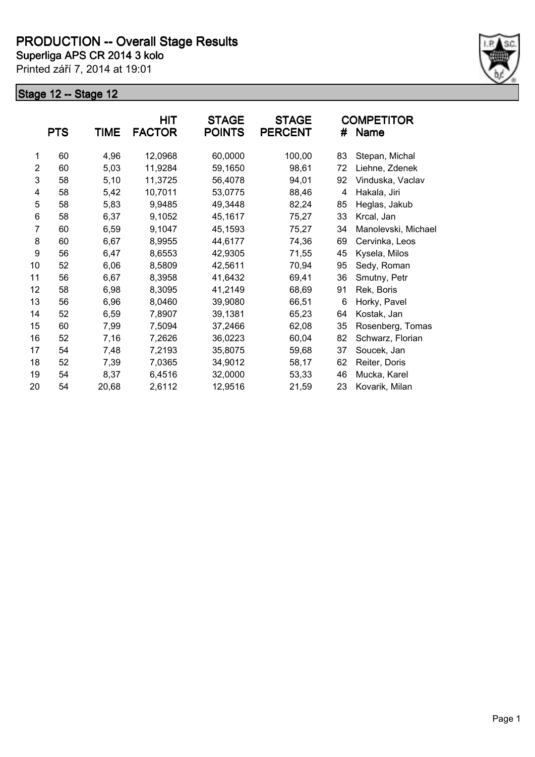

|                | <b>PTS</b> | <b>TIME</b> | HIT<br><b>FACTOR</b> | <b>STAGE</b><br><b>POINTS</b> | <b>STAGE</b><br><b>PERCENT</b> | #  | <b>COMPETITOR</b><br>Name |
|----------------|------------|-------------|----------------------|-------------------------------|--------------------------------|----|---------------------------|
| 1              | 60         | 4,96        | 12,0968              | 60,0000                       | 100,00                         | 83 | Stepan, Michal            |
| $\overline{2}$ | 60         | 5,03        | 11,9284              | 59,1650                       | 98,61                          | 72 | Liehne, Zdenek            |
| 3              | 58         | 5,10        | 11,3725              | 56,4078                       | 94,01                          | 92 | Vinduska, Vaclav          |
| 4              | 58         | 5,42        | 10,7011              | 53,0775                       | 88,46                          | 4  | Hakala, Jiri              |
| 5              | 58         | 5,83        | 9,9485               | 49,3448                       | 82,24                          | 85 | Heglas, Jakub             |
| 6              | 58         | 6,37        | 9,1052               | 45,1617                       | 75,27                          | 33 | Krcal, Jan                |
| 7              | 60         | 6,59        | 9,1047               | 45,1593                       | 75,27                          | 34 | Manolevski, Michael       |
| 8              | 60         | 6,67        | 8,9955               | 44,6177                       | 74,36                          | 69 | Cervinka, Leos            |
| 9              | 56         | 6,47        | 8,6553               | 42,9305                       | 71,55                          | 45 | Kysela, Milos             |
| 10             | 52         | 6,06        | 8,5809               | 42,5611                       | 70,94                          | 95 | Sedy, Roman               |
| 11             | 56         | 6,67        | 8,3958               | 41,6432                       | 69,41                          | 36 | Smutny, Petr              |
| 12             | 58         | 6,98        | 8,3095               | 41,2149                       | 68,69                          | 91 | Rek, Boris                |
| 13             | 56         | 6,96        | 8,0460               | 39,9080                       | 66,51                          | 6  | Horky, Pavel              |
| 14             | 52         | 6,59        | 7,8907               | 39,1381                       | 65,23                          | 64 | Kostak, Jan               |
| 15             | 60         | 7,99        | 7,5094               | 37,2466                       | 62,08                          | 35 | Rosenberg, Tomas          |
| 16             | 52         | 7,16        | 7,2626               | 36,0223                       | 60,04                          | 82 | Schwarz, Florian          |
| 17             | 54         | 7,48        | 7,2193               | 35,8075                       | 59,68                          | 37 | Soucek, Jan               |
| 18             | 52         | 7,39        | 7,0365               | 34,9012                       | 58,17                          | 62 | Reiter, Doris             |
| 19             | 54         | 8,37        | 6,4516               | 32,0000                       | 53,33                          | 46 | Mucka, Karel              |
| 20             | 54         | 20,68       | 2,6112               | 12,9516                       | 21,59                          | 23 | Kovarik, Milan            |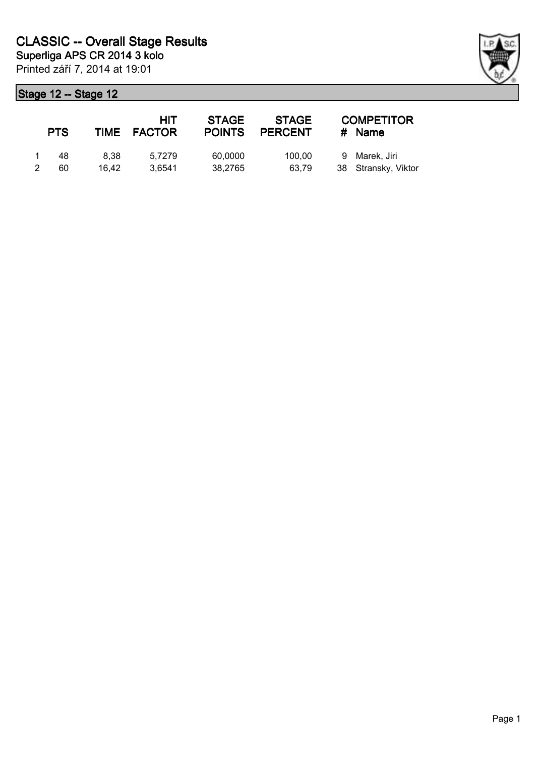| <b>PTS</b> |       | HIT<br>TIME FACTOR | <b>STAGE</b><br><b>POINTS</b> | <b>STAGE</b><br><b>PERCENT</b> | <b>COMPETITOR</b><br>$#$ Name |
|------------|-------|--------------------|-------------------------------|--------------------------------|-------------------------------|
| 48         | 8.38  | 5.7279             | 60,0000                       | 100.00                         | 9 Marek, Jiri                 |
| 60         | 16.42 | 3.6541             | 38,2765                       | 63,79                          | 38 Stransky, Viktor           |